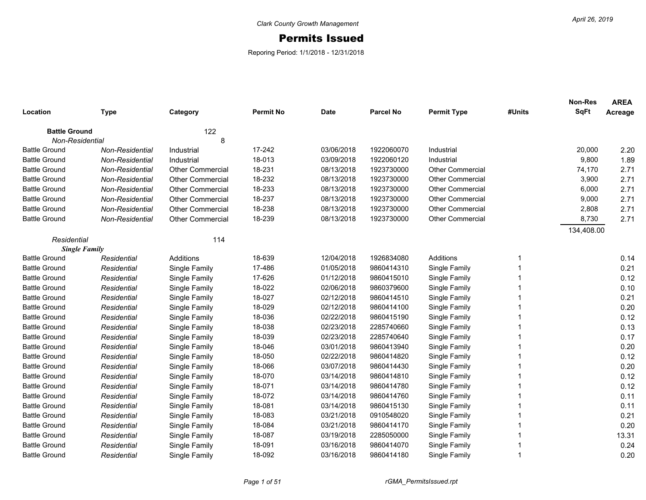## Permits Issued

Reporing Period: 1/1/2018 - 12/31/2018

|                      |                 |                         |                  |             |                  |                         |             | <b>Non-Res</b><br><b>SqFt</b> | <b>AREA</b> |
|----------------------|-----------------|-------------------------|------------------|-------------|------------------|-------------------------|-------------|-------------------------------|-------------|
| Location             | <b>Type</b>     | Category                | <b>Permit No</b> | <b>Date</b> | <b>Parcel No</b> | <b>Permit Type</b>      | #Units      |                               | Acreage     |
| <b>Battle Ground</b> |                 | 122                     |                  |             |                  |                         |             |                               |             |
| Non-Residential      |                 | 8                       |                  |             |                  |                         |             |                               |             |
| <b>Battle Ground</b> | Non-Residential | Industrial              | 17-242           | 03/06/2018  | 1922060070       | Industrial              |             | 20,000                        | 2.20        |
| <b>Battle Ground</b> | Non-Residential | Industrial              | 18-013           | 03/09/2018  | 1922060120       | Industrial              |             | 9,800                         | 1.89        |
| <b>Battle Ground</b> | Non-Residential | <b>Other Commercial</b> | 18-231           | 08/13/2018  | 1923730000       | <b>Other Commercial</b> |             | 74,170                        | 2.71        |
| <b>Battle Ground</b> | Non-Residential | <b>Other Commercial</b> | 18-232           | 08/13/2018  | 1923730000       | Other Commercial        |             | 3,900                         | 2.71        |
| <b>Battle Ground</b> | Non-Residential | <b>Other Commercial</b> | 18-233           | 08/13/2018  | 1923730000       | Other Commercial        |             | 6,000                         | 2.71        |
| <b>Battle Ground</b> | Non-Residential | <b>Other Commercial</b> | 18-237           | 08/13/2018  | 1923730000       | <b>Other Commercial</b> |             | 9,000                         | 2.71        |
| <b>Battle Ground</b> | Non-Residential | <b>Other Commercial</b> | 18-238           | 08/13/2018  | 1923730000       | <b>Other Commercial</b> |             | 2,808                         | 2.71        |
| <b>Battle Ground</b> | Non-Residential | <b>Other Commercial</b> | 18-239           | 08/13/2018  | 1923730000       | <b>Other Commercial</b> |             | 8,730                         | 2.71        |
|                      |                 |                         |                  |             |                  |                         |             | 134,408.00                    |             |
| Residential          |                 | 114                     |                  |             |                  |                         |             |                               |             |
| <b>Single Family</b> |                 |                         |                  |             |                  |                         |             |                               |             |
| <b>Battle Ground</b> | Residential     | Additions               | 18-639           | 12/04/2018  | 1926834080       | Additions               | -1          |                               | 0.14        |
| <b>Battle Ground</b> | Residential     | Single Family           | 17-486           | 01/05/2018  | 9860414310       | Single Family           |             |                               | 0.21        |
| <b>Battle Ground</b> | Residential     | Single Family           | 17-626           | 01/12/2018  | 9860415010       | Single Family           |             |                               | 0.12        |
| <b>Battle Ground</b> | Residential     | Single Family           | 18-022           | 02/06/2018  | 9860379600       | Single Family           |             |                               | 0.10        |
| <b>Battle Ground</b> | Residential     | Single Family           | 18-027           | 02/12/2018  | 9860414510       | Single Family           |             |                               | 0.21        |
| <b>Battle Ground</b> | Residential     | Single Family           | 18-029           | 02/12/2018  | 9860414100       | Single Family           |             |                               | 0.20        |
| <b>Battle Ground</b> | Residential     | Single Family           | 18-036           | 02/22/2018  | 9860415190       | Single Family           |             |                               | 0.12        |
| <b>Battle Ground</b> | Residential     | Single Family           | 18-038           | 02/23/2018  | 2285740660       | Single Family           |             |                               | 0.13        |
| <b>Battle Ground</b> | Residential     | Single Family           | 18-039           | 02/23/2018  | 2285740640       | Single Family           | 1           |                               | 0.17        |
| <b>Battle Ground</b> | Residential     | Single Family           | 18-046           | 03/01/2018  | 9860413940       | Single Family           | 1           |                               | 0.20        |
| <b>Battle Ground</b> | Residential     | Single Family           | 18-050           | 02/22/2018  | 9860414820       | Single Family           | 1           |                               | 0.12        |
| <b>Battle Ground</b> | Residential     | Single Family           | 18-066           | 03/07/2018  | 9860414430       | Single Family           | 1           |                               | 0.20        |
| <b>Battle Ground</b> | Residential     | Single Family           | 18-070           | 03/14/2018  | 9860414810       | Single Family           |             |                               | 0.12        |
| <b>Battle Ground</b> | Residential     | Single Family           | 18-071           | 03/14/2018  | 9860414780       | Single Family           |             |                               | 0.12        |
| <b>Battle Ground</b> | Residential     | Single Family           | 18-072           | 03/14/2018  | 9860414760       | Single Family           |             |                               | 0.11        |
| <b>Battle Ground</b> | Residential     | Single Family           | 18-081           | 03/14/2018  | 9860415130       | Single Family           | 1           |                               | 0.11        |
| <b>Battle Ground</b> | Residential     | Single Family           | 18-083           | 03/21/2018  | 0910548020       | Single Family           | 1           |                               | 0.21        |
| <b>Battle Ground</b> | Residential     | Single Family           | 18-084           | 03/21/2018  | 9860414170       | Single Family           | 1           |                               | 0.20        |
| <b>Battle Ground</b> | Residential     | Single Family           | 18-087           | 03/19/2018  | 2285050000       | Single Family           | 1           |                               | 13.31       |
| <b>Battle Ground</b> | Residential     | Single Family           | 18-091           | 03/16/2018  | 9860414070       | Single Family           | 1           |                               | 0.24        |
| <b>Battle Ground</b> | Residential     | Single Family           | 18-092           | 03/16/2018  | 9860414180       | Single Family           | $\mathbf 1$ |                               | 0.20        |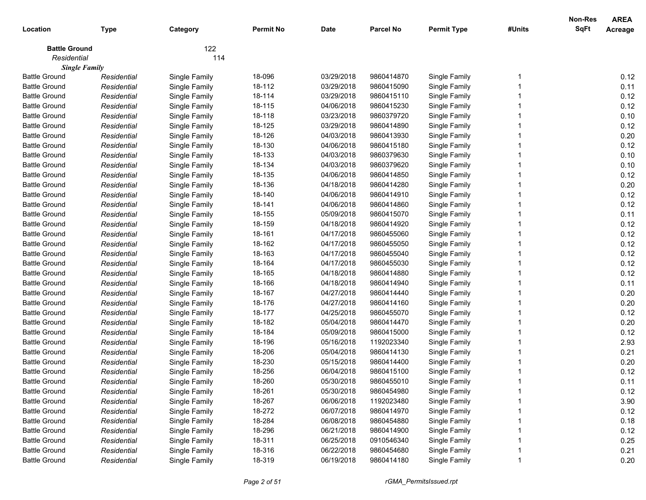| Location             | <b>Type</b>          | Category      | <b>Permit No</b> | <b>Date</b> | <b>Parcel No</b> | <b>Permit Type</b> | #Units | <b>Non-Res</b><br><b>SqFt</b> | <b>AREA</b><br>Acreage |
|----------------------|----------------------|---------------|------------------|-------------|------------------|--------------------|--------|-------------------------------|------------------------|
| <b>Battle Ground</b> |                      | 122           |                  |             |                  |                    |        |                               |                        |
| Residential          |                      | 114           |                  |             |                  |                    |        |                               |                        |
|                      | <b>Single Family</b> |               |                  |             |                  |                    |        |                               |                        |
| <b>Battle Ground</b> | Residential          | Single Family | 18-096           | 03/29/2018  | 9860414870       | Single Family      |        |                               | 0.12                   |
| <b>Battle Ground</b> | Residential          | Single Family | 18-112           | 03/29/2018  | 9860415090       | Single Family      |        |                               | 0.11                   |
| <b>Battle Ground</b> | Residential          | Single Family | 18-114           | 03/29/2018  | 9860415110       | Single Family      |        |                               | 0.12                   |
| <b>Battle Ground</b> | Residential          | Single Family | 18-115           | 04/06/2018  | 9860415230       | Single Family      |        |                               | 0.12                   |
| <b>Battle Ground</b> | Residential          | Single Family | 18-118           | 03/23/2018  | 9860379720       | Single Family      |        |                               | 0.10                   |
| <b>Battle Ground</b> | Residential          | Single Family | 18-125           | 03/29/2018  | 9860414890       | Single Family      |        |                               | 0.12                   |
| <b>Battle Ground</b> | Residential          | Single Family | 18-126           | 04/03/2018  | 9860413930       | Single Family      |        |                               | 0.20                   |
| <b>Battle Ground</b> | Residential          | Single Family | 18-130           | 04/06/2018  | 9860415180       | Single Family      |        |                               | 0.12                   |
| <b>Battle Ground</b> | Residential          | Single Family | 18-133           | 04/03/2018  | 9860379630       | Single Family      |        |                               | 0.10                   |
| <b>Battle Ground</b> | Residential          | Single Family | 18-134           | 04/03/2018  | 9860379620       | Single Family      |        |                               | 0.10                   |
| <b>Battle Ground</b> | Residential          | Single Family | 18-135           | 04/06/2018  | 9860414850       | Single Family      |        |                               | 0.12                   |
| <b>Battle Ground</b> | Residential          | Single Family | 18-136           | 04/18/2018  | 9860414280       | Single Family      |        |                               | 0.20                   |
| <b>Battle Ground</b> | Residential          | Single Family | 18-140           | 04/06/2018  | 9860414910       | Single Family      |        |                               | 0.12                   |
| <b>Battle Ground</b> | Residential          | Single Family | 18-141           | 04/06/2018  | 9860414860       | Single Family      |        |                               | 0.12                   |
| <b>Battle Ground</b> | Residential          | Single Family | 18-155           | 05/09/2018  | 9860415070       | Single Family      |        |                               | 0.11                   |
| <b>Battle Ground</b> | Residential          | Single Family | 18-159           | 04/18/2018  | 9860414920       | Single Family      |        |                               | 0.12                   |
| <b>Battle Ground</b> | Residential          | Single Family | 18-161           | 04/17/2018  | 9860455060       | Single Family      |        |                               | 0.12                   |
| <b>Battle Ground</b> | Residential          | Single Family | 18-162           | 04/17/2018  | 9860455050       | Single Family      |        |                               | 0.12                   |
| <b>Battle Ground</b> | Residential          | Single Family | 18-163           | 04/17/2018  | 9860455040       | Single Family      |        |                               | 0.12                   |
| <b>Battle Ground</b> | Residential          | Single Family | 18-164           | 04/17/2018  | 9860455030       | Single Family      |        |                               | 0.12                   |
| <b>Battle Ground</b> | Residential          | Single Family | 18-165           | 04/18/2018  | 9860414880       | Single Family      |        |                               | 0.12                   |
| <b>Battle Ground</b> | Residential          | Single Family | 18-166           | 04/18/2018  | 9860414940       | Single Family      |        |                               | 0.11                   |
| <b>Battle Ground</b> | Residential          | Single Family | 18-167           | 04/27/2018  | 9860414440       | Single Family      |        |                               | 0.20                   |
| <b>Battle Ground</b> | Residential          | Single Family | 18-176           | 04/27/2018  | 9860414160       | Single Family      |        |                               | 0.20                   |
| <b>Battle Ground</b> | Residential          | Single Family | 18-177           | 04/25/2018  | 9860455070       | Single Family      |        |                               | 0.12                   |
| <b>Battle Ground</b> | Residential          | Single Family | 18-182           | 05/04/2018  | 9860414470       | Single Family      |        |                               | 0.20                   |
| <b>Battle Ground</b> | Residential          | Single Family | 18-184           | 05/09/2018  | 9860415000       | Single Family      |        |                               | 0.12                   |
| <b>Battle Ground</b> | Residential          | Single Family | 18-196           | 05/16/2018  | 1192023340       | Single Family      |        |                               | 2.93                   |
| <b>Battle Ground</b> | Residential          | Single Family | 18-206           | 05/04/2018  | 9860414130       | Single Family      |        |                               | 0.21                   |
| <b>Battle Ground</b> | Residential          | Single Family | 18-230           | 05/15/2018  | 9860414400       | Single Family      |        |                               | 0.20                   |
| <b>Battle Ground</b> | Residential          | Single Family | 18-256           | 06/04/2018  | 9860415100       | Single Family      |        |                               | 0.12                   |
| <b>Battle Ground</b> | Residential          | Single Family | 18-260           | 05/30/2018  | 9860455010       | Single Family      |        |                               | 0.11                   |
| <b>Battle Ground</b> | Residential          | Single Family | 18-261           | 05/30/2018  | 9860454980       | Single Family      |        |                               | 0.12                   |
| <b>Battle Ground</b> | Residential          | Single Family | 18-267           | 06/06/2018  | 1192023480       | Single Family      |        |                               | 3.90                   |
| <b>Battle Ground</b> | Residential          | Single Family | 18-272           | 06/07/2018  | 9860414970       | Single Family      |        |                               | 0.12                   |
| <b>Battle Ground</b> | Residential          | Single Family | 18-284           | 06/08/2018  | 9860454880       | Single Family      |        |                               | 0.18                   |
| <b>Battle Ground</b> | Residential          | Single Family | 18-296           | 06/21/2018  | 9860414900       | Single Family      |        |                               | 0.12                   |
| <b>Battle Ground</b> | Residential          | Single Family | 18-311           | 06/25/2018  | 0910546340       | Single Family      |        |                               | 0.25                   |
| <b>Battle Ground</b> | Residential          | Single Family | 18-316           | 06/22/2018  | 9860454680       | Single Family      |        |                               | 0.21                   |
| <b>Battle Ground</b> | Residential          | Single Family | 18-319           | 06/19/2018  | 9860414180       | Single Family      |        |                               | 0.20                   |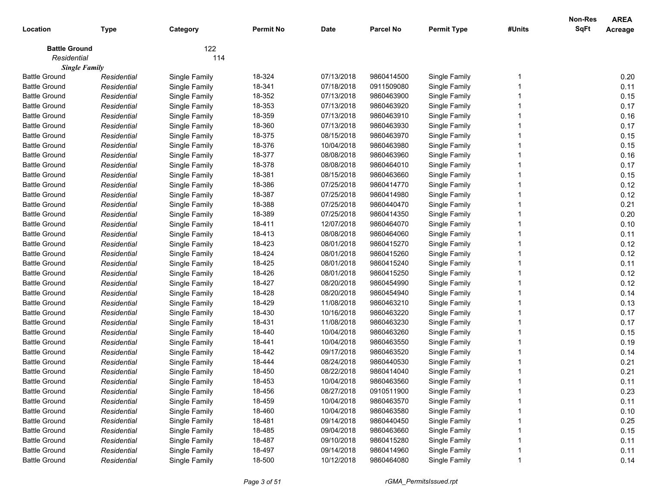| Location             | <b>Type</b>          | Category      | <b>Permit No</b> | <b>Date</b> | <b>Parcel No</b> | <b>Permit Type</b> | #Units | <b>Non-Res</b><br><b>SqFt</b> | <b>AREA</b><br>Acreage |
|----------------------|----------------------|---------------|------------------|-------------|------------------|--------------------|--------|-------------------------------|------------------------|
| <b>Battle Ground</b> |                      | 122           |                  |             |                  |                    |        |                               |                        |
| Residential          |                      | 114           |                  |             |                  |                    |        |                               |                        |
|                      | <b>Single Family</b> |               |                  |             |                  |                    |        |                               |                        |
| <b>Battle Ground</b> | Residential          | Single Family | 18-324           | 07/13/2018  | 9860414500       | Single Family      |        |                               | 0.20                   |
| <b>Battle Ground</b> | Residential          | Single Family | 18-341           | 07/18/2018  | 0911509080       | Single Family      |        |                               | 0.11                   |
| <b>Battle Ground</b> | Residential          | Single Family | 18-352           | 07/13/2018  | 9860463900       | Single Family      |        |                               | 0.15                   |
| <b>Battle Ground</b> | Residential          | Single Family | 18-353           | 07/13/2018  | 9860463920       | Single Family      |        |                               | 0.17                   |
| <b>Battle Ground</b> | Residential          | Single Family | 18-359           | 07/13/2018  | 9860463910       | Single Family      |        |                               | 0.16                   |
| <b>Battle Ground</b> | Residential          | Single Family | 18-360           | 07/13/2018  | 9860463930       | Single Family      |        |                               | 0.17                   |
| <b>Battle Ground</b> | Residential          | Single Family | 18-375           | 08/15/2018  | 9860463970       | Single Family      |        |                               | 0.15                   |
| <b>Battle Ground</b> | Residential          | Single Family | 18-376           | 10/04/2018  | 9860463980       | Single Family      |        |                               | 0.15                   |
| <b>Battle Ground</b> | Residential          | Single Family | 18-377           | 08/08/2018  | 9860463960       | Single Family      |        |                               | 0.16                   |
| <b>Battle Ground</b> | Residential          | Single Family | 18-378           | 08/08/2018  | 9860464010       | Single Family      |        |                               | 0.17                   |
| <b>Battle Ground</b> | Residential          | Single Family | 18-381           | 08/15/2018  | 9860463660       | Single Family      |        |                               | 0.15                   |
| <b>Battle Ground</b> | Residential          | Single Family | 18-386           | 07/25/2018  | 9860414770       | Single Family      |        |                               | 0.12                   |
| <b>Battle Ground</b> | Residential          | Single Family | 18-387           | 07/25/2018  | 9860414980       | Single Family      |        |                               | 0.12                   |
| <b>Battle Ground</b> | Residential          | Single Family | 18-388           | 07/25/2018  | 9860440470       | Single Family      |        |                               | 0.21                   |
| <b>Battle Ground</b> | Residential          | Single Family | 18-389           | 07/25/2018  | 9860414350       | Single Family      |        |                               | 0.20                   |
| <b>Battle Ground</b> | Residential          | Single Family | 18-411           | 12/07/2018  | 9860464070       | Single Family      |        |                               | 0.10                   |
| <b>Battle Ground</b> | Residential          | Single Family | 18-413           | 08/08/2018  | 9860464060       | Single Family      |        |                               | 0.11                   |
| <b>Battle Ground</b> | Residential          | Single Family | 18-423           | 08/01/2018  | 9860415270       | Single Family      |        |                               | 0.12                   |
| <b>Battle Ground</b> | Residential          | Single Family | 18-424           | 08/01/2018  | 9860415260       | Single Family      |        |                               | 0.12                   |
| <b>Battle Ground</b> | Residential          | Single Family | 18-425           | 08/01/2018  | 9860415240       | Single Family      |        |                               | 0.11                   |
| <b>Battle Ground</b> | Residential          | Single Family | 18-426           | 08/01/2018  | 9860415250       | Single Family      |        |                               | 0.12                   |
| <b>Battle Ground</b> | Residential          | Single Family | 18-427           | 08/20/2018  | 9860454990       | Single Family      |        |                               | 0.12                   |
| <b>Battle Ground</b> | Residential          | Single Family | 18-428           | 08/20/2018  | 9860454940       | Single Family      |        |                               | 0.14                   |
| <b>Battle Ground</b> | Residential          | Single Family | 18-429           | 11/08/2018  | 9860463210       | Single Family      |        |                               | 0.13                   |
| <b>Battle Ground</b> | Residential          | Single Family | 18-430           | 10/16/2018  | 9860463220       | Single Family      |        |                               | 0.17                   |
| <b>Battle Ground</b> | Residential          | Single Family | 18-431           | 11/08/2018  | 9860463230       | Single Family      |        |                               | 0.17                   |
| <b>Battle Ground</b> | Residential          | Single Family | 18-440           | 10/04/2018  | 9860463260       | Single Family      |        |                               | 0.15                   |
| <b>Battle Ground</b> | Residential          | Single Family | 18-441           | 10/04/2018  | 9860463550       | Single Family      |        |                               | 0.19                   |
| <b>Battle Ground</b> | Residential          | Single Family | 18-442           | 09/17/2018  | 9860463520       | Single Family      |        |                               | 0.14                   |
| <b>Battle Ground</b> | Residential          | Single Family | 18-444           | 08/24/2018  | 9860440530       | Single Family      |        |                               | 0.21                   |
| <b>Battle Ground</b> | Residential          | Single Family | 18-450           | 08/22/2018  | 9860414040       | Single Family      |        |                               | 0.21                   |
| <b>Battle Ground</b> | Residential          | Single Family | 18-453           | 10/04/2018  | 9860463560       | Single Family      |        |                               | 0.11                   |
| <b>Battle Ground</b> | Residential          | Single Family | 18-456           | 08/27/2018  | 0910511900       | Single Family      |        |                               | 0.23                   |
| <b>Battle Ground</b> | Residential          | Single Family | 18-459           | 10/04/2018  | 9860463570       | Single Family      |        |                               | 0.11                   |
| <b>Battle Ground</b> | Residential          | Single Family | 18-460           | 10/04/2018  | 9860463580       | Single Family      |        |                               | 0.10                   |
| <b>Battle Ground</b> | Residential          | Single Family | 18-481           | 09/14/2018  | 9860440450       | Single Family      |        |                               | 0.25                   |
| <b>Battle Ground</b> | Residential          | Single Family | 18-485           | 09/04/2018  | 9860463660       | Single Family      |        |                               | 0.15                   |
| <b>Battle Ground</b> | Residential          | Single Family | 18-487           | 09/10/2018  | 9860415280       | Single Family      |        |                               | 0.11                   |
| <b>Battle Ground</b> | Residential          | Single Family | 18-497           | 09/14/2018  | 9860414960       | Single Family      |        |                               | 0.11                   |
| <b>Battle Ground</b> | Residential          | Single Family | 18-500           | 10/12/2018  | 9860464080       | Single Family      |        |                               | 0.14                   |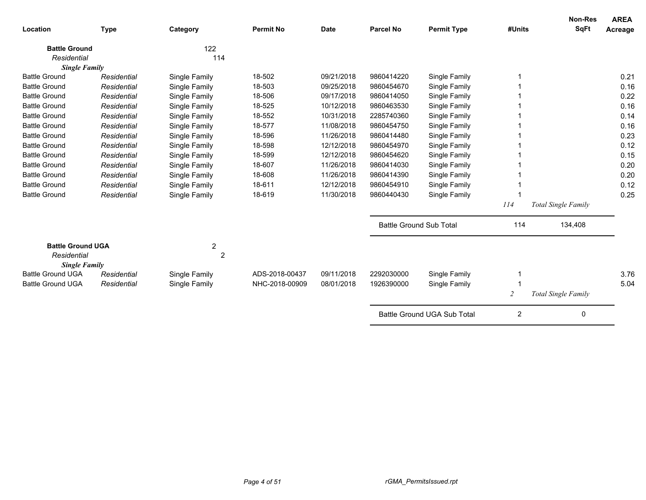| Location                                         | <b>Type</b> | Category       | <b>Permit No</b> | <b>Date</b> | <b>Parcel No</b>               | <b>Permit Type</b>          | #Units         | <b>Non-Res</b><br><b>SqFt</b> | <b>AREA</b><br>Acreage |
|--------------------------------------------------|-------------|----------------|------------------|-------------|--------------------------------|-----------------------------|----------------|-------------------------------|------------------------|
| <b>Battle Ground</b>                             |             | 122            |                  |             |                                |                             |                |                               |                        |
| Residential                                      |             | 114            |                  |             |                                |                             |                |                               |                        |
| <b>Single Family</b>                             |             |                |                  |             |                                |                             |                |                               |                        |
| <b>Battle Ground</b>                             | Residential | Single Family  | 18-502           | 09/21/2018  | 9860414220                     | Single Family               |                |                               | 0.21                   |
| <b>Battle Ground</b>                             | Residential | Single Family  | 18-503           | 09/25/2018  | 9860454670                     | Single Family               |                |                               | 0.16                   |
| <b>Battle Ground</b>                             | Residential | Single Family  | 18-506           | 09/17/2018  | 9860414050                     | Single Family               |                |                               | 0.22                   |
| <b>Battle Ground</b>                             | Residential | Single Family  | 18-525           | 10/12/2018  | 9860463530                     | Single Family               |                |                               | 0.16                   |
| <b>Battle Ground</b>                             | Residential | Single Family  | 18-552           | 10/31/2018  | 2285740360                     | Single Family               |                |                               | 0.14                   |
| <b>Battle Ground</b>                             | Residential | Single Family  | 18-577           | 11/08/2018  | 9860454750                     | Single Family               |                |                               | 0.16                   |
| <b>Battle Ground</b>                             | Residential | Single Family  | 18-596           | 11/26/2018  | 9860414480                     | Single Family               |                |                               | 0.23                   |
| <b>Battle Ground</b>                             | Residential | Single Family  | 18-598           | 12/12/2018  | 9860454970                     | Single Family               |                |                               | 0.12                   |
| <b>Battle Ground</b>                             | Residential | Single Family  | 18-599           | 12/12/2018  | 9860454620                     | Single Family               |                |                               | 0.15                   |
| <b>Battle Ground</b>                             | Residential | Single Family  | 18-607           | 11/26/2018  | 9860414030                     | Single Family               |                |                               | 0.20                   |
| <b>Battle Ground</b>                             | Residential | Single Family  | 18-608           | 11/26/2018  | 9860414390                     | Single Family               |                |                               | 0.20                   |
| <b>Battle Ground</b>                             | Residential | Single Family  | 18-611           | 12/12/2018  | 9860454910                     | Single Family               |                |                               | 0.12                   |
| <b>Battle Ground</b>                             | Residential | Single Family  | 18-619           | 11/30/2018  | 9860440430                     | Single Family               |                |                               | 0.25                   |
|                                                  |             |                |                  |             |                                |                             | 114            | Total Single Family           |                        |
|                                                  |             |                |                  |             | <b>Battle Ground Sub Total</b> |                             | 114            | 134,408                       |                        |
| <b>Battle Ground UGA</b>                         |             | 2              |                  |             |                                |                             |                |                               |                        |
| Residential                                      |             | $\overline{2}$ |                  |             |                                |                             |                |                               |                        |
| <b>Single Family</b><br><b>Battle Ground UGA</b> | Residential | Single Family  | ADS-2018-00437   | 09/11/2018  | 2292030000                     | Single Family               |                |                               | 3.76                   |
| <b>Battle Ground UGA</b>                         | Residential | Single Family  | NHC-2018-00909   | 08/01/2018  | 1926390000                     | Single Family               |                |                               | 5.04                   |
|                                                  |             |                |                  |             |                                |                             |                |                               |                        |
|                                                  |             |                |                  |             |                                |                             | 2              | <b>Total Single Family</b>    |                        |
|                                                  |             |                |                  |             |                                | Battle Ground UGA Sub Total | $\overline{2}$ | 0                             |                        |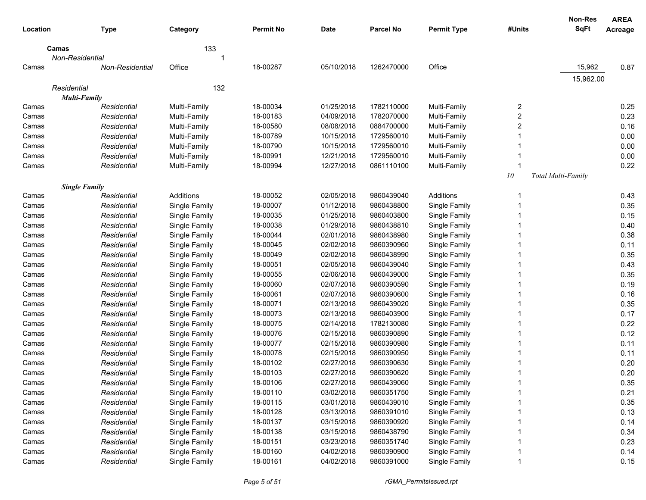|             |                        |               |                  |            |            |                    |            | <b>Non-Res</b>     | <b>AREA</b> |
|-------------|------------------------|---------------|------------------|------------|------------|--------------------|------------|--------------------|-------------|
| Location    | <b>Type</b>            | Category      | <b>Permit No</b> | Date       | Parcel No  | <b>Permit Type</b> | #Units     | <b>SqFt</b>        | Acreage     |
| Camas       |                        | 133           |                  |            |            |                    |            |                    |             |
|             | Non-Residential        |               |                  |            |            |                    |            |                    |             |
| Camas       | <b>Non-Residential</b> | Office        | 18-00287         | 05/10/2018 | 1262470000 | Office             |            | 15,962             | 0.87        |
|             |                        |               |                  |            |            |                    |            | 15,962.00          |             |
| Residential |                        | 132           |                  |            |            |                    |            |                    |             |
|             | <b>Multi-Family</b>    |               |                  |            |            |                    |            |                    |             |
| Camas       | Residential            | Multi-Family  | 18-00034         | 01/25/2018 | 1782110000 | Multi-Family       | 2          |                    | 0.25        |
| Camas       | Residential            | Multi-Family  | 18-00183         | 04/09/2018 | 1782070000 | Multi-Family       | 2          |                    | 0.23        |
| Camas       | Residential            | Multi-Family  | 18-00580         | 08/08/2018 | 0884700000 | Multi-Family       | 2          |                    | 0.16        |
| Camas       | Residential            | Multi-Family  | 18-00789         | 10/15/2018 | 1729560010 | Multi-Family       |            |                    | 0.00        |
| Camas       | Residential            | Multi-Family  | 18-00790         | 10/15/2018 | 1729560010 | Multi-Family       |            |                    | 0.00        |
| Camas       | Residential            | Multi-Family  | 18-00991         | 12/21/2018 | 1729560010 | Multi-Family       |            |                    | 0.00        |
| Camas       | Residential            | Multi-Family  | 18-00994         | 12/27/2018 | 0861110100 | Multi-Family       |            |                    | 0.22        |
|             |                        |               |                  |            |            |                    | ${\it 10}$ | Total Multi-Family |             |
|             | <b>Single Family</b>   |               |                  |            |            |                    |            |                    |             |
| Camas       | Residential            | Additions     | 18-00052         | 02/05/2018 | 9860439040 | Additions          | -1         |                    | 0.43        |
| Camas       | Residential            | Single Family | 18-00007         | 01/12/2018 | 9860438800 | Single Family      | -1         |                    | 0.35        |
| Camas       | Residential            | Single Family | 18-00035         | 01/25/2018 | 9860403800 | Single Family      | -1         |                    | 0.15        |
| Camas       | Residential            | Single Family | 18-00038         | 01/29/2018 | 9860438810 | Single Family      | -1         |                    | 0.40        |
| Camas       | Residential            | Single Family | 18-00044         | 02/01/2018 | 9860438980 | Single Family      | -1         |                    | 0.38        |
| Camas       | Residential            | Single Family | 18-00045         | 02/02/2018 | 9860390960 | Single Family      | -1         |                    | 0.11        |
| Camas       | Residential            | Single Family | 18-00049         | 02/02/2018 | 9860438990 | Single Family      | -1         |                    | 0.35        |
| Camas       | Residential            | Single Family | 18-00051         | 02/05/2018 | 9860439040 | Single Family      | -1         |                    | 0.43        |
| Camas       | Residential            | Single Family | 18-00055         | 02/06/2018 | 9860439000 | Single Family      |            |                    | 0.35        |
| Camas       | Residential            | Single Family | 18-00060         | 02/07/2018 | 9860390590 | Single Family      |            |                    | 0.19        |
| Camas       | Residential            | Single Family | 18-00061         | 02/07/2018 | 9860390600 | Single Family      |            |                    | 0.16        |
| Camas       | Residential            | Single Family | 18-00071         | 02/13/2018 | 9860439020 | Single Family      |            |                    | 0.35        |
| Camas       | Residential            | Single Family | 18-00073         | 02/13/2018 | 9860403900 | Single Family      |            |                    | 0.17        |
| Camas       | Residential            | Single Family | 18-00075         | 02/14/2018 | 1782130080 | Single Family      |            |                    | 0.22        |
| Camas       | Residential            | Single Family | 18-00076         | 02/15/2018 | 9860390890 | Single Family      |            |                    | 0.12        |
| Camas       | Residential            | Single Family | 18-00077         | 02/15/2018 | 9860390980 | Single Family      |            |                    | 0.11        |
| Camas       | Residential            | Single Family | 18-00078         | 02/15/2018 | 9860390950 | Single Family      |            |                    | 0.11        |
| Camas       | Residential            | Single Family | 18-00102         | 02/27/2018 | 9860390630 | Single Family      |            |                    | 0.20        |
| Camas       | Residential            | Single Family | 18-00103         | 02/27/2018 | 9860390620 | Single Family      |            |                    | 0.20        |
| Camas       | Residential            | Single Family | 18-00106         | 02/27/2018 | 9860439060 | Single Family      |            |                    | 0.35        |
| Camas       | Residential            | Single Family | 18-00110         | 03/02/2018 | 9860351750 | Single Family      |            |                    | 0.21        |
| Camas       | Residential            | Single Family | 18-00115         | 03/01/2018 | 9860439010 | Single Family      |            |                    | 0.35        |
| Camas       | Residential            | Single Family | 18-00128         | 03/13/2018 | 9860391010 | Single Family      |            |                    | 0.13        |
| Camas       | Residential            | Single Family | 18-00137         | 03/15/2018 | 9860390920 | Single Family      |            |                    | 0.14        |
| Camas       | Residential            | Single Family | 18-00138         | 03/15/2018 | 9860438790 | Single Family      |            |                    | 0.34        |
| Camas       | Residential            | Single Family | 18-00151         | 03/23/2018 | 9860351740 | Single Family      |            |                    | 0.23        |
| Camas       | Residential            | Single Family | 18-00160         | 04/02/2018 | 9860390900 | Single Family      |            |                    | 0.14        |
| Camas       | Residential            | Single Family | 18-00161         | 04/02/2018 | 9860391000 | Single Family      |            |                    | 0.15        |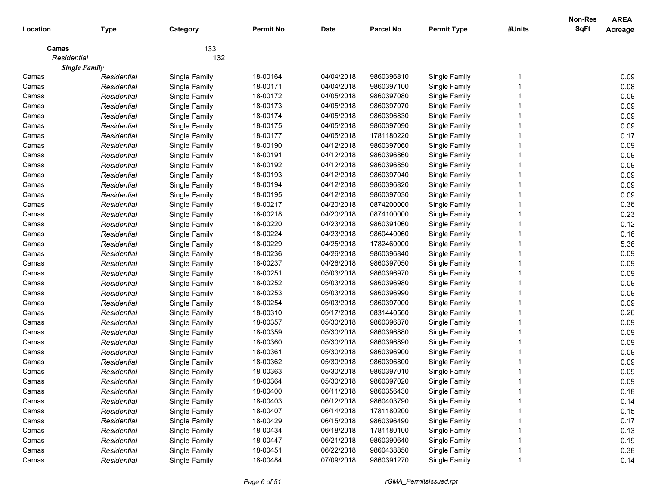|             |                      |               |                  |            |                  |                    |        | Non-Res     | <b>AREA</b>    |
|-------------|----------------------|---------------|------------------|------------|------------------|--------------------|--------|-------------|----------------|
| Location    | <b>Type</b>          | Category      | <b>Permit No</b> | Date       | <b>Parcel No</b> | <b>Permit Type</b> | #Units | <b>SqFt</b> | <b>Acreage</b> |
| Camas       |                      | 133           |                  |            |                  |                    |        |             |                |
| Residential |                      | 132           |                  |            |                  |                    |        |             |                |
|             | <b>Single Family</b> |               |                  |            |                  |                    |        |             |                |
| Camas       | Residential          | Single Family | 18-00164         | 04/04/2018 | 9860396810       | Single Family      |        |             | 0.09           |
| Camas       | Residential          | Single Family | 18-00171         | 04/04/2018 | 9860397100       | Single Family      |        |             | 0.08           |
| Camas       | Residential          | Single Family | 18-00172         | 04/05/2018 | 9860397080       | Single Family      |        |             | 0.09           |
| Camas       | Residential          | Single Family | 18-00173         | 04/05/2018 | 9860397070       | Single Family      |        |             | 0.09           |
| Camas       | Residential          | Single Family | 18-00174         | 04/05/2018 | 9860396830       | Single Family      |        |             | 0.09           |
| Camas       | Residential          | Single Family | 18-00175         | 04/05/2018 | 9860397090       | Single Family      |        |             | 0.09           |
| Camas       | Residential          | Single Family | 18-00177         | 04/05/2018 | 1781180220       | Single Family      |        |             | 0.17           |
| Camas       | Residential          | Single Family | 18-00190         | 04/12/2018 | 9860397060       | Single Family      |        |             | 0.09           |
| Camas       | Residential          | Single Family | 18-00191         | 04/12/2018 | 9860396860       | Single Family      |        |             | 0.09           |
| Camas       | Residential          | Single Family | 18-00192         | 04/12/2018 | 9860396850       | Single Family      |        |             | 0.09           |
| Camas       | Residential          | Single Family | 18-00193         | 04/12/2018 | 9860397040       | Single Family      |        |             | 0.09           |
| Camas       | Residential          | Single Family | 18-00194         | 04/12/2018 | 9860396820       | Single Family      |        |             | 0.09           |
| Camas       | Residential          | Single Family | 18-00195         | 04/12/2018 | 9860397030       | Single Family      |        |             | 0.09           |
| Camas       | Residential          | Single Family | 18-00217         | 04/20/2018 | 0874200000       | Single Family      |        |             | 0.36           |
| Camas       | Residential          | Single Family | 18-00218         | 04/20/2018 | 0874100000       | Single Family      |        |             | 0.23           |
| Camas       | Residential          | Single Family | 18-00220         | 04/23/2018 | 9860391060       | Single Family      |        |             | 0.12           |
| Camas       | Residential          | Single Family | 18-00224         | 04/23/2018 | 9860440060       | Single Family      |        |             | 0.16           |
| Camas       | Residential          | Single Family | 18-00229         | 04/25/2018 | 1782460000       | Single Family      |        |             | 5.36           |
| Camas       | Residential          | Single Family | 18-00236         | 04/26/2018 | 9860396840       | Single Family      |        |             | 0.09           |
| Camas       | Residential          | Single Family | 18-00237         | 04/26/2018 | 9860397050       | Single Family      |        |             | 0.09           |
| Camas       | Residential          | Single Family | 18-00251         | 05/03/2018 | 9860396970       | Single Family      |        |             | 0.09           |
| Camas       | Residential          | Single Family | 18-00252         | 05/03/2018 | 9860396980       | Single Family      |        |             | 0.09           |
| Camas       | Residential          | Single Family | 18-00253         | 05/03/2018 | 9860396990       | Single Family      |        |             | 0.09           |
| Camas       | Residential          | Single Family | 18-00254         | 05/03/2018 | 9860397000       | Single Family      |        |             | 0.09           |
| Camas       | Residential          | Single Family | 18-00310         | 05/17/2018 | 0831440560       | Single Family      |        |             | 0.26           |
| Camas       | Residential          | Single Family | 18-00357         | 05/30/2018 | 9860396870       | Single Family      |        |             | 0.09           |
| Camas       | Residential          | Single Family | 18-00359         | 05/30/2018 | 9860396880       | Single Family      |        |             | 0.09           |
| Camas       | Residential          | Single Family | 18-00360         | 05/30/2018 | 9860396890       | Single Family      |        |             | 0.09           |
| Camas       | Residential          | Single Family | 18-00361         | 05/30/2018 | 9860396900       | Single Family      |        |             | 0.09           |
| Camas       | Residential          | Single Family | 18-00362         | 05/30/2018 | 9860396800       | Single Family      |        |             | 0.09           |
| Camas       | Residential          | Single Family | 18-00363         | 05/30/2018 | 9860397010       | Single Family      |        |             | 0.09           |
| Camas       | Residential          | Single Family | 18-00364         | 05/30/2018 | 9860397020       | Single Family      |        |             | 0.09           |
| Camas       | Residential          | Single Family | 18-00400         | 06/11/2018 | 9860356430       | Single Family      |        |             | 0.18           |
| Camas       | Residential          | Single Family | 18-00403         | 06/12/2018 | 9860403790       | Single Family      |        |             | 0.14           |
| Camas       | Residential          | Single Family | 18-00407         | 06/14/2018 | 1781180200       | Single Family      |        |             | 0.15           |
| Camas       | Residential          | Single Family | 18-00429         | 06/15/2018 | 9860396490       | Single Family      |        |             | 0.17           |
| Camas       | Residential          | Single Family | 18-00434         | 06/18/2018 | 1781180100       | Single Family      |        |             | 0.13           |
| Camas       | Residential          | Single Family | 18-00447         | 06/21/2018 | 9860390640       | Single Family      |        |             | 0.19           |
| Camas       | Residential          | Single Family | 18-00451         | 06/22/2018 | 9860438850       | Single Family      |        |             | 0.38           |
| Camas       | Residential          | Single Family | 18-00484         | 07/09/2018 | 9860391270       | Single Family      |        |             | 0.14           |
|             |                      |               |                  |            |                  |                    |        |             |                |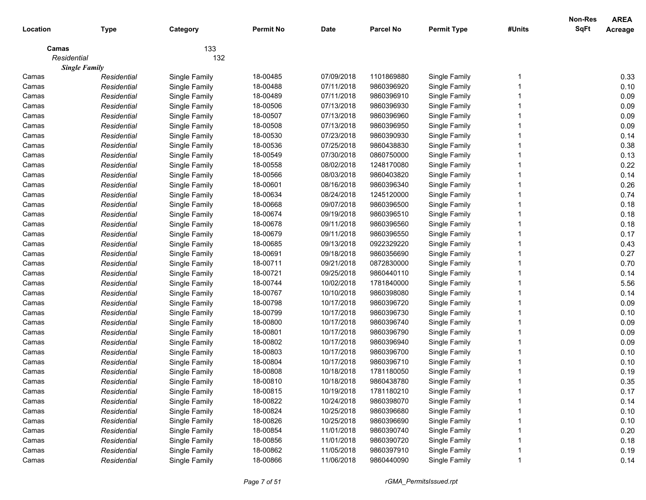|             |                      |               |                  |             |                  |                    |        | Non-Res     | <b>AREA</b>    |
|-------------|----------------------|---------------|------------------|-------------|------------------|--------------------|--------|-------------|----------------|
| Location    | <b>Type</b>          | Category      | <b>Permit No</b> | <b>Date</b> | <b>Parcel No</b> | <b>Permit Type</b> | #Units | <b>SqFt</b> | <b>Acreage</b> |
| Camas       |                      | 133           |                  |             |                  |                    |        |             |                |
| Residential |                      | 132           |                  |             |                  |                    |        |             |                |
|             | <b>Single Family</b> |               |                  |             |                  |                    |        |             |                |
| Camas       | Residential          | Single Family | 18-00485         | 07/09/2018  | 1101869880       | Single Family      |        |             | 0.33           |
| Camas       | Residential          | Single Family | 18-00488         | 07/11/2018  | 9860396920       | Single Family      |        |             | 0.10           |
| Camas       | Residential          | Single Family | 18-00489         | 07/11/2018  | 9860396910       | Single Family      |        |             | 0.09           |
| Camas       | Residential          | Single Family | 18-00506         | 07/13/2018  | 9860396930       | Single Family      |        |             | 0.09           |
| Camas       | Residential          | Single Family | 18-00507         | 07/13/2018  | 9860396960       | Single Family      |        |             | 0.09           |
| Camas       | Residential          | Single Family | 18-00508         | 07/13/2018  | 9860396950       | Single Family      |        |             | 0.09           |
| Camas       | Residential          | Single Family | 18-00530         | 07/23/2018  | 9860390930       | Single Family      |        |             | 0.14           |
| Camas       | Residential          | Single Family | 18-00536         | 07/25/2018  | 9860438830       | Single Family      |        |             | 0.38           |
| Camas       | Residential          | Single Family | 18-00549         | 07/30/2018  | 0860750000       | Single Family      |        |             | 0.13           |
| Camas       | Residential          | Single Family | 18-00558         | 08/02/2018  | 1248170080       | Single Family      |        |             | 0.22           |
| Camas       | Residential          | Single Family | 18-00566         | 08/03/2018  | 9860403820       | Single Family      |        |             | 0.14           |
| Camas       | Residential          | Single Family | 18-00601         | 08/16/2018  | 9860396340       | Single Family      |        |             | 0.26           |
| Camas       | Residential          | Single Family | 18-00634         | 08/24/2018  | 1245120000       | Single Family      |        |             | 0.74           |
| Camas       | Residential          | Single Family | 18-00668         | 09/07/2018  | 9860396500       | Single Family      |        |             | 0.18           |
| Camas       | Residential          | Single Family | 18-00674         | 09/19/2018  | 9860396510       | Single Family      |        |             | 0.18           |
| Camas       | Residential          | Single Family | 18-00678         | 09/11/2018  | 9860396560       | Single Family      |        |             | 0.18           |
| Camas       | Residential          | Single Family | 18-00679         | 09/11/2018  | 9860396550       | Single Family      |        |             | 0.17           |
| Camas       | Residential          | Single Family | 18-00685         | 09/13/2018  | 0922329220       | Single Family      |        |             | 0.43           |
| Camas       | Residential          | Single Family | 18-00691         | 09/18/2018  | 9860356690       | Single Family      |        |             | 0.27           |
| Camas       | Residential          | Single Family | 18-00711         | 09/21/2018  | 0872830000       | Single Family      |        |             | 0.70           |
| Camas       | Residential          | Single Family | 18-00721         | 09/25/2018  | 9860440110       | Single Family      |        |             | 0.14           |
| Camas       | Residential          | Single Family | 18-00744         | 10/02/2018  | 1781840000       | Single Family      |        |             | 5.56           |
| Camas       | Residential          | Single Family | 18-00767         | 10/10/2018  | 9860398080       | Single Family      |        |             | 0.14           |
| Camas       | Residential          | Single Family | 18-00798         | 10/17/2018  | 9860396720       | Single Family      |        |             | 0.09           |
| Camas       | Residential          | Single Family | 18-00799         | 10/17/2018  | 9860396730       | Single Family      |        |             | 0.10           |
| Camas       | Residential          | Single Family | 18-00800         | 10/17/2018  | 9860396740       | Single Family      |        |             | 0.09           |
| Camas       | Residential          | Single Family | 18-00801         | 10/17/2018  | 9860396790       | Single Family      |        |             | 0.09           |
| Camas       | Residential          | Single Family | 18-00802         | 10/17/2018  | 9860396940       | Single Family      |        |             | 0.09           |
| Camas       | Residential          | Single Family | 18-00803         | 10/17/2018  | 9860396700       | Single Family      |        |             | 0.10           |
| Camas       | Residential          | Single Family | 18-00804         | 10/17/2018  | 9860396710       | Single Family      |        |             | 0.10           |
| Camas       | Residential          | Single Family | 18-00808         | 10/18/2018  | 1781180050       | Single Family      |        |             | 0.19           |
| Camas       | Residential          | Single Family | 18-00810         | 10/18/2018  | 9860438780       | Single Family      |        |             | 0.35           |
| Camas       | Residential          | Single Family | 18-00815         | 10/19/2018  | 1781180210       | Single Family      |        |             | 0.17           |
| Camas       | Residential          | Single Family | 18-00822         | 10/24/2018  | 9860398070       | Single Family      |        |             | 0.14           |
| Camas       | Residential          | Single Family | 18-00824         | 10/25/2018  | 9860396680       | Single Family      |        |             | 0.10           |
| Camas       | Residential          | Single Family | 18-00826         | 10/25/2018  | 9860396690       | Single Family      |        |             | 0.10           |
| Camas       | Residential          | Single Family | 18-00854         | 11/01/2018  | 9860390740       | Single Family      |        |             | 0.20           |
| Camas       | Residential          | Single Family | 18-00856         | 11/01/2018  | 9860390720       | Single Family      |        |             | 0.18           |
| Camas       | Residential          | Single Family | 18-00862         | 11/05/2018  | 9860397910       | Single Family      |        |             | 0.19           |
| Camas       | Residential          | Single Family | 18-00866         | 11/06/2018  | 9860440090       | Single Family      |        |             | 0.14           |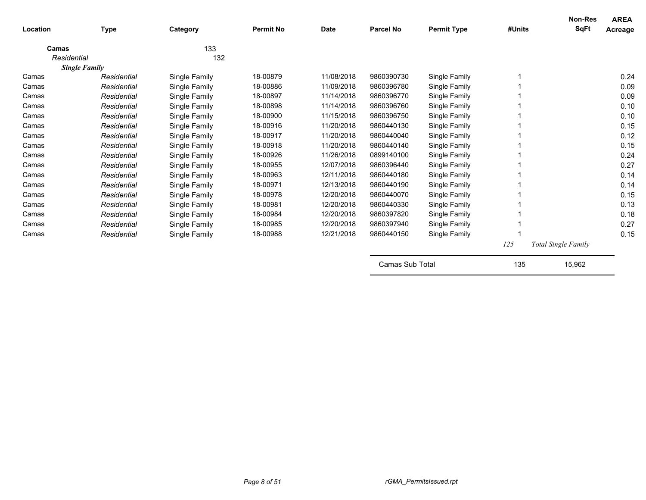| Location    | <b>Type</b>          | Category      | <b>Permit No</b> | <b>Date</b> | <b>Parcel No</b> | <b>Permit Type</b> | #Units | <b>Non-Res</b><br><b>SqFt</b> | <b>AREA</b><br>Acreage |
|-------------|----------------------|---------------|------------------|-------------|------------------|--------------------|--------|-------------------------------|------------------------|
| Camas       |                      | 133           |                  |             |                  |                    |        |                               |                        |
| Residential |                      | 132           |                  |             |                  |                    |        |                               |                        |
|             | <b>Single Family</b> |               |                  |             |                  |                    |        |                               |                        |
| Camas       | Residential          | Single Family | 18-00879         | 11/08/2018  | 9860390730       | Single Family      |        |                               | 0.24                   |
| Camas       | Residential          | Single Family | 18-00886         | 11/09/2018  | 9860396780       | Single Family      |        |                               | 0.09                   |
| Camas       | Residential          | Single Family | 18-00897         | 11/14/2018  | 9860396770       | Single Family      |        |                               | 0.09                   |
| Camas       | Residential          | Single Family | 18-00898         | 11/14/2018  | 9860396760       | Single Family      |        |                               | 0.10                   |
| Camas       | Residential          | Single Family | 18-00900         | 11/15/2018  | 9860396750       | Single Family      |        |                               | 0.10                   |
| Camas       | Residential          | Single Family | 18-00916         | 11/20/2018  | 9860440130       | Single Family      |        |                               | 0.15                   |
| Camas       | Residential          | Single Family | 18-00917         | 11/20/2018  | 9860440040       | Single Family      |        |                               | 0.12                   |
| Camas       | Residential          | Single Family | 18-00918         | 11/20/2018  | 9860440140       | Single Family      |        |                               | 0.15                   |
| Camas       | Residential          | Single Family | 18-00926         | 11/26/2018  | 0899140100       | Single Family      |        |                               | 0.24                   |
| Camas       | Residential          | Single Family | 18-00955         | 12/07/2018  | 9860396440       | Single Family      |        |                               | 0.27                   |
| Camas       | Residential          | Single Family | 18-00963         | 12/11/2018  | 9860440180       | Single Family      |        |                               | 0.14                   |
| Camas       | Residential          | Single Family | 18-00971         | 12/13/2018  | 9860440190       | Single Family      |        |                               | 0.14                   |
| Camas       | Residential          | Single Family | 18-00978         | 12/20/2018  | 9860440070       | Single Family      |        |                               | 0.15                   |
| Camas       | Residential          | Single Family | 18-00981         | 12/20/2018  | 9860440330       | Single Family      |        |                               | 0.13                   |
| Camas       | Residential          | Single Family | 18-00984         | 12/20/2018  | 9860397820       | Single Family      |        |                               | 0.18                   |
| Camas       | Residential          | Single Family | 18-00985         | 12/20/2018  | 9860397940       | Single Family      |        |                               | 0.27                   |
| Camas       | Residential          | Single Family | 18-00988         | 12/21/2018  | 9860440150       | Single Family      |        |                               | 0.15                   |
|             |                      |               |                  |             |                  |                    | 125    | Total Single Family           |                        |
|             |                      |               |                  |             | Camas Sub Total  |                    | 135    | 15,962                        |                        |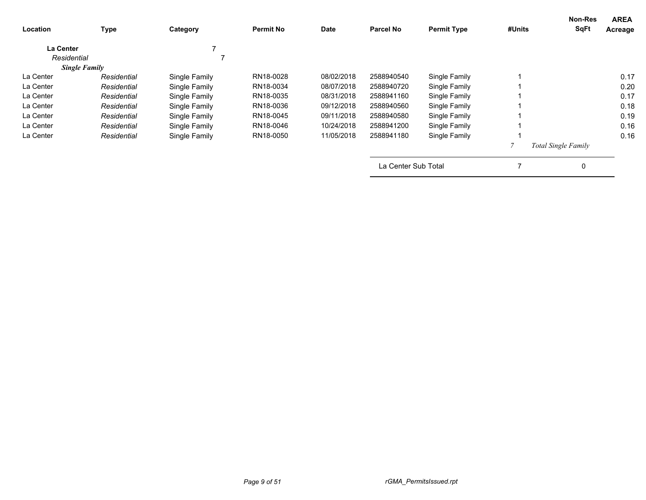| Location         | <b>Type</b>          | Category      | <b>Permit No</b> | Date       | <b>Parcel No</b>    | <b>Permit Type</b> | #Units | <b>Non-Res</b><br><b>SqFt</b> | <b>AREA</b><br>Acreage |
|------------------|----------------------|---------------|------------------|------------|---------------------|--------------------|--------|-------------------------------|------------------------|
| <b>La Center</b> |                      |               |                  |            |                     |                    |        |                               |                        |
| Residential      |                      |               |                  |            |                     |                    |        |                               |                        |
|                  | <b>Single Family</b> |               |                  |            |                     |                    |        |                               |                        |
| La Center        | Residential          | Single Family | RN18-0028        | 08/02/2018 | 2588940540          | Single Family      |        |                               | 0.17                   |
| La Center        | Residential          | Single Family | RN18-0034        | 08/07/2018 | 2588940720          | Single Family      |        |                               | 0.20                   |
| La Center        | Residential          | Single Family | RN18-0035        | 08/31/2018 | 2588941160          | Single Family      |        |                               | 0.17                   |
| La Center        | Residential          | Single Family | RN18-0036        | 09/12/2018 | 2588940560          | Single Family      |        |                               | 0.18                   |
| La Center        | Residential          | Single Family | RN18-0045        | 09/11/2018 | 2588940580          | Single Family      |        |                               | 0.19                   |
| La Center        | Residential          | Single Family | RN18-0046        | 10/24/2018 | 2588941200          | Single Family      |        |                               | 0.16                   |
| La Center        | Residential          | Single Family | RN18-0050        | 11/05/2018 | 2588941180          | Single Family      |        |                               | 0.16                   |
|                  |                      |               |                  |            |                     |                    |        | Total Single Family           |                        |
|                  |                      |               |                  |            | La Center Sub Total |                    |        | 0                             |                        |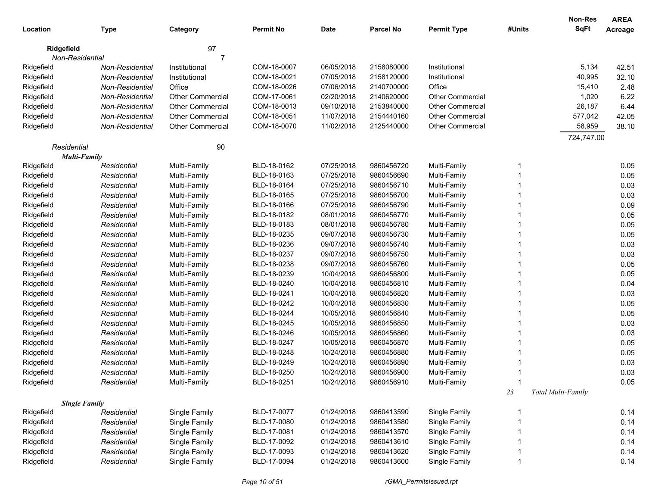|            |                                    |                         |                  |             |                  |                         |        | <b>Non-Res</b>     | <b>AREA</b> |
|------------|------------------------------------|-------------------------|------------------|-------------|------------------|-------------------------|--------|--------------------|-------------|
| Location   | <b>Type</b>                        | Category                | <b>Permit No</b> | <b>Date</b> | <b>Parcel No</b> | <b>Permit Type</b>      | #Units | <b>SqFt</b>        | Acreage     |
|            | Ridgefield                         | 97                      |                  |             |                  |                         |        |                    |             |
|            | Non-Residential                    | 7                       |                  |             |                  |                         |        |                    |             |
| Ridgefield | Non-Residential                    | Institutional           | COM-18-0007      | 06/05/2018  | 2158080000       | Institutional           |        | 5,134              | 42.51       |
| Ridgefield | Non-Residential                    | Institutional           | COM-18-0021      | 07/05/2018  | 2158120000       | Institutional           |        | 40,995             | 32.10       |
| Ridgefield | Non-Residential                    | Office                  | COM-18-0026      | 07/06/2018  | 2140700000       | Office                  |        | 15,410             | 2.48        |
| Ridgefield | Non-Residential                    | <b>Other Commercial</b> | COM-17-0061      | 02/20/2018  | 2140620000       | <b>Other Commercial</b> |        | 1,020              | 6.22        |
| Ridgefield | Non-Residential                    | <b>Other Commercial</b> | COM-18-0013      | 09/10/2018  | 2153840000       | Other Commercial        |        | 26,187             | 6.44        |
| Ridgefield | Non-Residential                    | <b>Other Commercial</b> | COM-18-0051      | 11/07/2018  | 2154440160       | <b>Other Commercial</b> |        | 577,042            | 42.05       |
| Ridgefield | Non-Residential                    | <b>Other Commercial</b> | COM-18-0070      | 11/02/2018  | 2125440000       | Other Commercial        |        | 58,959             | 38.10       |
|            |                                    |                         |                  |             |                  |                         |        | 724,747.00         |             |
|            | Residential                        | 90                      |                  |             |                  |                         |        |                    |             |
| Ridgefield | <b>Multi-Family</b><br>Residential | Multi-Family            | BLD-18-0162      | 07/25/2018  | 9860456720       | Multi-Family            | 1      |                    | 0.05        |
| Ridgefield | Residential                        | Multi-Family            | BLD-18-0163      | 07/25/2018  | 9860456690       | Multi-Family            |        |                    | 0.05        |
| Ridgefield | Residential                        | Multi-Family            | BLD-18-0164      | 07/25/2018  | 9860456710       | Multi-Family            |        |                    | 0.03        |
| Ridgefield | Residential                        | Multi-Family            | BLD-18-0165      | 07/25/2018  | 9860456700       | Multi-Family            |        |                    | 0.03        |
| Ridgefield | Residential                        | Multi-Family            | BLD-18-0166      | 07/25/2018  | 9860456790       | Multi-Family            |        |                    | 0.09        |
| Ridgefield | Residential                        | Multi-Family            | BLD-18-0182      | 08/01/2018  | 9860456770       | Multi-Family            |        |                    | 0.05        |
| Ridgefield | Residential                        | Multi-Family            | BLD-18-0183      | 08/01/2018  | 9860456780       | Multi-Family            |        |                    | 0.05        |
| Ridgefield | Residential                        | Multi-Family            | BLD-18-0235      | 09/07/2018  | 9860456730       | Multi-Family            |        |                    | 0.05        |
| Ridgefield | Residential                        | Multi-Family            | BLD-18-0236      | 09/07/2018  | 9860456740       | Multi-Family            |        |                    | 0.03        |
| Ridgefield | Residential                        | Multi-Family            | BLD-18-0237      | 09/07/2018  | 9860456750       | Multi-Family            |        |                    | 0.03        |
| Ridgefield | Residential                        | Multi-Family            | BLD-18-0238      | 09/07/2018  | 9860456760       | Multi-Family            |        |                    | 0.05        |
| Ridgefield | Residential                        | Multi-Family            | BLD-18-0239      | 10/04/2018  | 9860456800       | Multi-Family            |        |                    | 0.05        |
| Ridgefield | Residential                        | Multi-Family            | BLD-18-0240      | 10/04/2018  | 9860456810       | Multi-Family            |        |                    | 0.04        |
| Ridgefield | Residential                        | Multi-Family            | BLD-18-0241      | 10/04/2018  | 9860456820       | Multi-Family            |        |                    | 0.03        |
| Ridgefield | Residential                        | Multi-Family            | BLD-18-0242      | 10/04/2018  | 9860456830       | Multi-Family            |        |                    | 0.05        |
| Ridgefield | Residential                        | Multi-Family            | BLD-18-0244      | 10/05/2018  | 9860456840       | Multi-Family            |        |                    | 0.05        |
| Ridgefield | Residential                        | Multi-Family            | BLD-18-0245      | 10/05/2018  | 9860456850       | Multi-Family            |        |                    | 0.03        |
| Ridgefield | Residential                        | Multi-Family            | BLD-18-0246      | 10/05/2018  | 9860456860       | Multi-Family            |        |                    | 0.03        |
| Ridgefield | Residential                        | Multi-Family            | BLD-18-0247      | 10/05/2018  | 9860456870       | Multi-Family            |        |                    | 0.05        |
| Ridgefield | Residential                        | Multi-Family            | BLD-18-0248      | 10/24/2018  | 9860456880       | Multi-Family            |        |                    | 0.05        |
| Ridgefield | Residential                        | Multi-Family            | BLD-18-0249      | 10/24/2018  | 9860456890       | Multi-Family            |        |                    | 0.03        |
| Ridgefield | Residential                        | Multi-Family            | BLD-18-0250      | 10/24/2018  | 9860456900       | Multi-Family            |        |                    | 0.03        |
| Ridgefield | Residential                        | Multi-Family            | BLD-18-0251      | 10/24/2018  | 9860456910       | Multi-Family            |        |                    | 0.05        |
|            |                                    |                         |                  |             |                  |                         | 23     | Total Multi-Family |             |
|            | <b>Single Family</b>               |                         |                  |             |                  |                         |        |                    |             |
| Ridgefield | Residential                        | Single Family           | BLD-17-0077      | 01/24/2018  | 9860413590       | Single Family           | 1      |                    | 0.14        |
| Ridgefield | Residential                        | Single Family           | BLD-17-0080      | 01/24/2018  | 9860413580       | Single Family           |        |                    | 0.14        |
| Ridgefield | Residential                        | Single Family           | BLD-17-0081      | 01/24/2018  | 9860413570       | Single Family           |        |                    | 0.14        |
| Ridgefield | Residential                        | Single Family           | BLD-17-0092      | 01/24/2018  | 9860413610       | Single Family           |        |                    | 0.14        |
| Ridgefield | Residential                        | Single Family           | BLD-17-0093      | 01/24/2018  | 9860413620       | Single Family           |        |                    | 0.14        |
| Ridgefield | Residential                        | Single Family           | BLD-17-0094      | 01/24/2018  | 9860413600       | Single Family           | 1      |                    | 0.14        |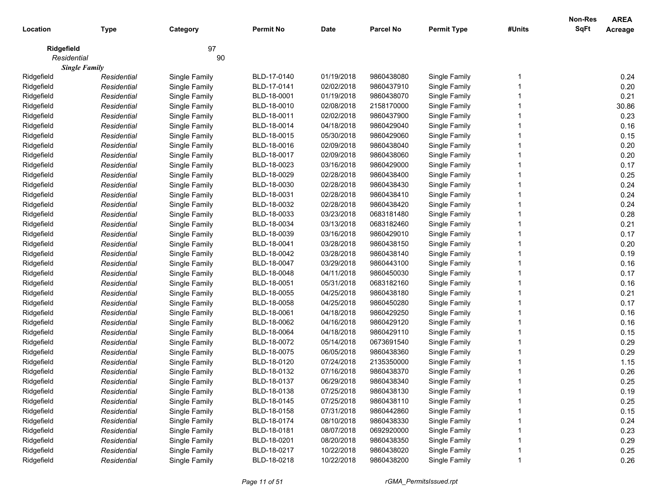| Location    | <b>Type</b>          | Category      | <b>Permit No</b> | <b>Date</b> | <b>Parcel No</b> | <b>Permit Type</b> | #Units | Non-Res<br><b>SqFt</b> | <b>AREA</b><br><b>Acreage</b> |
|-------------|----------------------|---------------|------------------|-------------|------------------|--------------------|--------|------------------------|-------------------------------|
|             |                      |               |                  |             |                  |                    |        |                        |                               |
| Ridgefield  |                      | 97            |                  |             |                  |                    |        |                        |                               |
| Residential |                      | 90            |                  |             |                  |                    |        |                        |                               |
|             | <b>Single Family</b> |               |                  |             |                  |                    |        |                        |                               |
| Ridgefield  | Residential          | Single Family | BLD-17-0140      | 01/19/2018  | 9860438080       | Single Family      |        |                        | 0.24                          |
| Ridgefield  | Residential          | Single Family | BLD-17-0141      | 02/02/2018  | 9860437910       | Single Family      |        |                        | 0.20                          |
| Ridgefield  | Residential          | Single Family | BLD-18-0001      | 01/19/2018  | 9860438070       | Single Family      |        |                        | 0.21                          |
| Ridgefield  | Residential          | Single Family | BLD-18-0010      | 02/08/2018  | 2158170000       | Single Family      |        |                        | 30.86                         |
| Ridgefield  | Residential          | Single Family | BLD-18-0011      | 02/02/2018  | 9860437900       | Single Family      |        |                        | 0.23                          |
| Ridgefield  | Residential          | Single Family | BLD-18-0014      | 04/18/2018  | 9860429040       | Single Family      |        |                        | 0.16                          |
| Ridgefield  | Residential          | Single Family | BLD-18-0015      | 05/30/2018  | 9860429060       | Single Family      |        |                        | 0.15                          |
| Ridgefield  | Residential          | Single Family | BLD-18-0016      | 02/09/2018  | 9860438040       | Single Family      |        |                        | 0.20                          |
| Ridgefield  | Residential          | Single Family | BLD-18-0017      | 02/09/2018  | 9860438060       | Single Family      |        |                        | 0.20                          |
| Ridgefield  | Residential          | Single Family | BLD-18-0023      | 03/16/2018  | 9860429000       | Single Family      |        |                        | 0.17                          |
| Ridgefield  | Residential          | Single Family | BLD-18-0029      | 02/28/2018  | 9860438400       | Single Family      |        |                        | 0.25                          |
| Ridgefield  | Residential          | Single Family | BLD-18-0030      | 02/28/2018  | 9860438430       | Single Family      |        |                        | 0.24                          |
| Ridgefield  | Residential          | Single Family | BLD-18-0031      | 02/28/2018  | 9860438410       | Single Family      |        |                        | 0.24                          |
| Ridgefield  | Residential          | Single Family | BLD-18-0032      | 02/28/2018  | 9860438420       | Single Family      |        |                        | 0.24                          |
| Ridgefield  | Residential          | Single Family | BLD-18-0033      | 03/23/2018  | 0683181480       | Single Family      |        |                        | 0.28                          |
| Ridgefield  | Residential          | Single Family | BLD-18-0034      | 03/13/2018  | 0683182460       | Single Family      |        |                        | 0.21                          |
| Ridgefield  | Residential          | Single Family | BLD-18-0039      | 03/16/2018  | 9860429010       | Single Family      |        |                        | 0.17                          |
| Ridgefield  | Residential          | Single Family | BLD-18-0041      | 03/28/2018  | 9860438150       | Single Family      |        |                        | 0.20                          |
| Ridgefield  | Residential          | Single Family | BLD-18-0042      | 03/28/2018  | 9860438140       | Single Family      |        |                        | 0.19                          |
| Ridgefield  | Residential          | Single Family | BLD-18-0047      | 03/29/2018  | 9860443100       | Single Family      |        |                        | 0.16                          |
| Ridgefield  | Residential          | Single Family | BLD-18-0048      | 04/11/2018  | 9860450030       | Single Family      |        |                        | 0.17                          |
| Ridgefield  | Residential          | Single Family | BLD-18-0051      | 05/31/2018  | 0683182160       | Single Family      |        |                        | 0.16                          |
| Ridgefield  | Residential          | Single Family | BLD-18-0055      | 04/25/2018  | 9860438180       | Single Family      |        |                        | 0.21                          |
| Ridgefield  | Residential          | Single Family | BLD-18-0058      | 04/25/2018  | 9860450280       | Single Family      |        |                        | 0.17                          |
| Ridgefield  | Residential          | Single Family | BLD-18-0061      | 04/18/2018  | 9860429250       | Single Family      |        |                        | 0.16                          |
| Ridgefield  | Residential          | Single Family | BLD-18-0062      | 04/16/2018  | 9860429120       | Single Family      |        |                        | 0.16                          |
| Ridgefield  | Residential          | Single Family | BLD-18-0064      | 04/18/2018  | 9860429110       | Single Family      |        |                        | 0.15                          |
| Ridgefield  | Residential          | Single Family | BLD-18-0072      | 05/14/2018  | 0673691540       | Single Family      |        |                        | 0.29                          |
| Ridgefield  | Residential          | Single Family | BLD-18-0075      | 06/05/2018  | 9860438360       | Single Family      |        |                        | 0.29                          |
| Ridgefield  | Residential          | Single Family | BLD-18-0120      | 07/24/2018  | 2135350000       | Single Family      |        |                        | 1.15                          |
| Ridgefield  | Residential          | Single Family | BLD-18-0132      | 07/16/2018  | 9860438370       | Single Family      |        |                        | 0.26                          |
| Ridgefield  | Residential          | Single Family | BLD-18-0137      | 06/29/2018  | 9860438340       | Single Family      |        |                        | 0.25                          |
| Ridgefield  | Residential          | Single Family | BLD-18-0138      | 07/25/2018  | 9860438130       | Single Family      |        |                        | 0.19                          |
| Ridgefield  | Residential          | Single Family | BLD-18-0145      | 07/25/2018  | 9860438110       | Single Family      |        |                        | 0.25                          |
| Ridgefield  | Residential          | Single Family | BLD-18-0158      | 07/31/2018  | 9860442860       | Single Family      |        |                        | 0.15                          |
| Ridgefield  | Residential          | Single Family | BLD-18-0174      | 08/10/2018  | 9860438330       | Single Family      |        |                        | 0.24                          |
| Ridgefield  | Residential          | Single Family | BLD-18-0181      | 08/07/2018  | 0692920000       | Single Family      |        |                        | 0.23                          |
| Ridgefield  | Residential          | Single Family | BLD-18-0201      | 08/20/2018  | 9860438350       | Single Family      |        |                        | 0.29                          |
| Ridgefield  | Residential          | Single Family | BLD-18-0217      | 10/22/2018  | 9860438020       | Single Family      |        |                        | 0.25                          |
| Ridgefield  | Residential          | Single Family | BLD-18-0218      | 10/22/2018  | 9860438200       | Single Family      |        |                        | 0.26                          |
|             |                      |               |                  |             |                  |                    |        |                        |                               |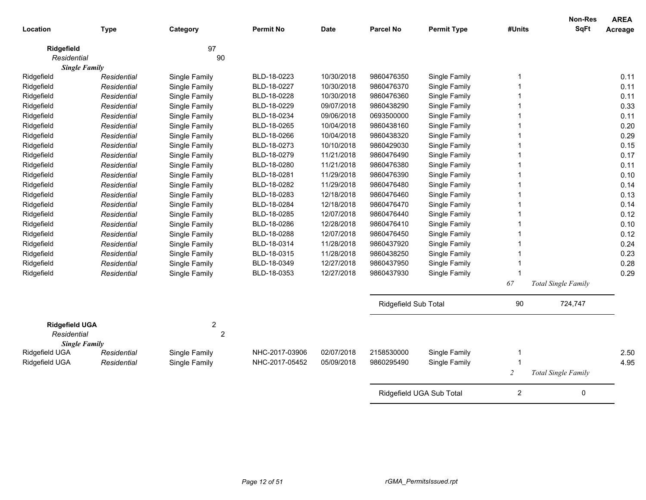| Location                             | <b>Type</b>                         | Category                           | <b>Permit No</b> | <b>Date</b> | <b>Parcel No</b>     | <b>Permit Type</b>       | #Units         | <b>Non-Res</b><br><b>SqFt</b> | <b>AREA</b><br>Acreage |
|--------------------------------------|-------------------------------------|------------------------------------|------------------|-------------|----------------------|--------------------------|----------------|-------------------------------|------------------------|
| Ridgefield                           |                                     | 97                                 |                  |             |                      |                          |                |                               |                        |
| Residential                          |                                     | 90                                 |                  |             |                      |                          |                |                               |                        |
| Ridgefield                           | <b>Single Family</b><br>Residential | Single Family                      | BLD-18-0223      | 10/30/2018  | 9860476350           | Single Family            | 1              |                               | 0.11                   |
| Ridgefield                           | Residential                         | Single Family                      | BLD-18-0227      | 10/30/2018  | 9860476370           | Single Family            |                |                               | 0.11                   |
| Ridgefield                           | Residential                         | Single Family                      | BLD-18-0228      | 10/30/2018  | 9860476360           | Single Family            |                |                               | 0.11                   |
| Ridgefield                           | Residential                         | Single Family                      | BLD-18-0229      | 09/07/2018  | 9860438290           | Single Family            |                |                               | 0.33                   |
| Ridgefield                           | Residential                         | Single Family                      | BLD-18-0234      | 09/06/2018  | 0693500000           | Single Family            |                |                               | 0.11                   |
| Ridgefield                           | Residential                         | Single Family                      | BLD-18-0265      | 10/04/2018  | 9860438160           | Single Family            |                |                               | 0.20                   |
| Ridgefield                           | Residential                         | Single Family                      | BLD-18-0266      | 10/04/2018  | 9860438320           | Single Family            |                |                               | 0.29                   |
| Ridgefield                           | Residential                         | Single Family                      | BLD-18-0273      | 10/10/2018  | 9860429030           | Single Family            |                |                               | 0.15                   |
| Ridgefield                           | Residential                         | Single Family                      | BLD-18-0279      | 11/21/2018  | 9860476490           | Single Family            |                |                               | 0.17                   |
| Ridgefield                           | Residential                         | Single Family                      | BLD-18-0280      | 11/21/2018  | 9860476380           | Single Family            |                |                               | 0.11                   |
| Ridgefield                           | Residential                         | Single Family                      | BLD-18-0281      | 11/29/2018  | 9860476390           | Single Family            |                |                               | 0.10                   |
| Ridgefield                           | Residential                         | Single Family                      | BLD-18-0282      | 11/29/2018  | 9860476480           | Single Family            |                |                               | 0.14                   |
| Ridgefield                           | Residential                         | Single Family                      | BLD-18-0283      | 12/18/2018  | 9860476460           | Single Family            | 1              |                               | 0.13                   |
| Ridgefield                           | Residential                         | Single Family                      | BLD-18-0284      | 12/18/2018  | 9860476470           | Single Family            | 1              |                               | 0.14                   |
| Ridgefield                           | Residential                         | Single Family                      | BLD-18-0285      | 12/07/2018  | 9860476440           | Single Family            | -1             |                               | 0.12                   |
| Ridgefield                           | Residential                         | Single Family                      | BLD-18-0286      | 12/28/2018  | 9860476410           | Single Family            |                |                               | 0.10                   |
| Ridgefield                           | Residential                         | Single Family                      | BLD-18-0288      | 12/07/2018  | 9860476450           | Single Family            |                |                               | 0.12                   |
| Ridgefield                           | Residential                         | Single Family                      | BLD-18-0314      | 11/28/2018  | 9860437920           | Single Family            |                |                               | 0.24                   |
| Ridgefield                           | Residential                         | Single Family                      | BLD-18-0315      | 11/28/2018  | 9860438250           | Single Family            |                |                               | 0.23                   |
| Ridgefield                           | Residential                         | Single Family                      | BLD-18-0349      | 12/27/2018  | 9860437950           | Single Family            | -1             |                               | 0.28                   |
| Ridgefield                           | Residential                         | Single Family                      | BLD-18-0353      | 12/27/2018  | 9860437930           | Single Family            | -1             |                               | 0.29                   |
|                                      |                                     |                                    |                  |             |                      |                          | 67             | Total Single Family           |                        |
|                                      |                                     |                                    |                  |             | Ridgefield Sub Total |                          | 90             | 724,747                       |                        |
| <b>Ridgefield UGA</b><br>Residential |                                     | $\boldsymbol{2}$<br>$\overline{2}$ |                  |             |                      |                          |                |                               |                        |
|                                      | <b>Single Family</b>                |                                    |                  |             |                      |                          |                |                               |                        |
| Ridgefield UGA                       | Residential                         | Single Family                      | NHC-2017-03906   | 02/07/2018  | 2158530000           | Single Family            | -1             |                               | 2.50                   |
| Ridgefield UGA                       | Residential                         | Single Family                      | NHC-2017-05452   | 05/09/2018  | 9860295490           | Single Family            | $\overline{1}$ |                               | 4.95                   |
|                                      |                                     |                                    |                  |             |                      |                          | $\overline{c}$ | Total Single Family           |                        |
|                                      |                                     |                                    |                  |             |                      | Ridgefield UGA Sub Total | $\overline{2}$ | 0                             |                        |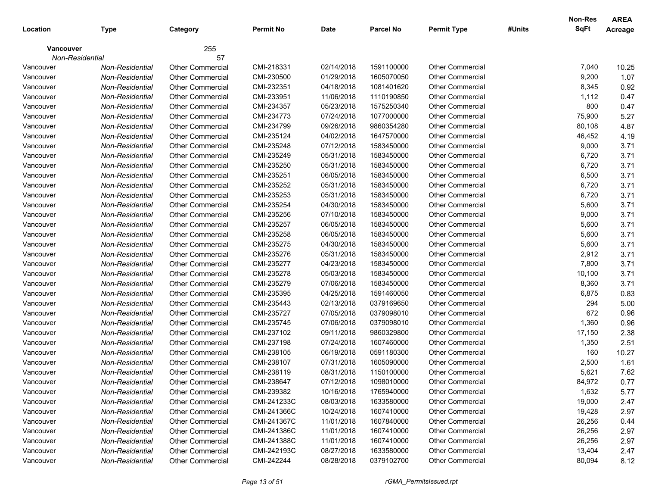|                  |                 |                         |                  |            |                  |                         |        | Non-Res     | <b>AREA</b>    |
|------------------|-----------------|-------------------------|------------------|------------|------------------|-------------------------|--------|-------------|----------------|
| Location         | <b>Type</b>     | Category                | <b>Permit No</b> | Date       | <b>Parcel No</b> | <b>Permit Type</b>      | #Units | <b>SqFt</b> | <b>Acreage</b> |
| <b>Vancouver</b> |                 | 255                     |                  |            |                  |                         |        |             |                |
|                  | Non-Residential | 57                      |                  |            |                  |                         |        |             |                |
| Vancouver        | Non-Residential | Other Commercial        | CMI-218331       | 02/14/2018 | 1591100000       | <b>Other Commercial</b> |        | 7,040       | 10.25          |
| Vancouver        | Non-Residential | <b>Other Commercial</b> | CMI-230500       | 01/29/2018 | 1605070050       | <b>Other Commercial</b> |        | 9,200       | 1.07           |
| Vancouver        | Non-Residential | <b>Other Commercial</b> | CMI-232351       | 04/18/2018 | 1081401620       | <b>Other Commercial</b> |        | 8,345       | 0.92           |
| Vancouver        | Non-Residential | <b>Other Commercial</b> | CMI-233951       | 11/06/2018 | 1110190850       | <b>Other Commercial</b> |        | 1,112       | 0.47           |
| Vancouver        | Non-Residential | <b>Other Commercial</b> | CMI-234357       | 05/23/2018 | 1575250340       | <b>Other Commercial</b> |        | 800         | 0.47           |
| Vancouver        | Non-Residential | <b>Other Commercial</b> | CMI-234773       | 07/24/2018 | 1077000000       | <b>Other Commercial</b> |        | 75,900      | 5.27           |
| Vancouver        | Non-Residential | Other Commercial        | CMI-234799       | 09/26/2018 | 9860354280       | <b>Other Commercial</b> |        | 80,108      | 4.87           |
| Vancouver        | Non-Residential | <b>Other Commercial</b> | CMI-235124       | 04/02/2018 | 1647570000       | <b>Other Commercial</b> |        | 46,452      | 4.19           |
| Vancouver        | Non-Residential | <b>Other Commercial</b> | CMI-235248       | 07/12/2018 | 1583450000       | Other Commercial        |        | 9,000       | 3.71           |
| Vancouver        | Non-Residential | <b>Other Commercial</b> | CMI-235249       | 05/31/2018 | 1583450000       | <b>Other Commercial</b> |        | 6,720       | 3.71           |
| Vancouver        | Non-Residential | <b>Other Commercial</b> | CMI-235250       | 05/31/2018 | 1583450000       | <b>Other Commercial</b> |        | 6,720       | 3.71           |
| Vancouver        | Non-Residential | <b>Other Commercial</b> | CMI-235251       | 06/05/2018 | 1583450000       | <b>Other Commercial</b> |        | 6,500       | 3.71           |
| Vancouver        | Non-Residential | <b>Other Commercial</b> | CMI-235252       | 05/31/2018 | 1583450000       | <b>Other Commercial</b> |        | 6,720       | 3.71           |
| Vancouver        | Non-Residential | <b>Other Commercial</b> | CMI-235253       | 05/31/2018 | 1583450000       | <b>Other Commercial</b> |        | 6,720       | 3.71           |
| Vancouver        | Non-Residential | <b>Other Commercial</b> | CMI-235254       | 04/30/2018 | 1583450000       | <b>Other Commercial</b> |        | 5,600       | 3.71           |
| Vancouver        | Non-Residential | <b>Other Commercial</b> | CMI-235256       | 07/10/2018 | 1583450000       | <b>Other Commercial</b> |        | 9,000       | 3.71           |
| Vancouver        | Non-Residential | <b>Other Commercial</b> | CMI-235257       | 06/05/2018 | 1583450000       | <b>Other Commercial</b> |        | 5,600       | 3.71           |
| Vancouver        | Non-Residential | <b>Other Commercial</b> | CMI-235258       | 06/05/2018 | 1583450000       | Other Commercial        |        | 5,600       | 3.71           |
| Vancouver        | Non-Residential | <b>Other Commercial</b> | CMI-235275       | 04/30/2018 | 1583450000       | <b>Other Commercial</b> |        | 5,600       | 3.71           |
| Vancouver        | Non-Residential | <b>Other Commercial</b> | CMI-235276       | 05/31/2018 | 1583450000       | <b>Other Commercial</b> |        | 2,912       | 3.71           |
| Vancouver        | Non-Residential | <b>Other Commercial</b> | CMI-235277       | 04/23/2018 | 1583450000       | <b>Other Commercial</b> |        | 7,800       | 3.71           |
| Vancouver        | Non-Residential | <b>Other Commercial</b> | CMI-235278       | 05/03/2018 | 1583450000       | <b>Other Commercial</b> |        | 10,100      | 3.71           |
| Vancouver        | Non-Residential | <b>Other Commercial</b> | CMI-235279       | 07/06/2018 | 1583450000       | <b>Other Commercial</b> |        | 8,360       | 3.71           |
| Vancouver        | Non-Residential | <b>Other Commercial</b> | CMI-235395       | 04/25/2018 | 1591460050       | <b>Other Commercial</b> |        | 6,875       | 0.83           |
| Vancouver        | Non-Residential | <b>Other Commercial</b> | CMI-235443       | 02/13/2018 | 0379169650       | <b>Other Commercial</b> |        | 294         | 5.00           |
| Vancouver        | Non-Residential | <b>Other Commercial</b> | CMI-235727       | 07/05/2018 | 0379098010       | <b>Other Commercial</b> |        | 672         | 0.96           |
| Vancouver        | Non-Residential | <b>Other Commercial</b> | CMI-235745       | 07/06/2018 | 0379098010       | Other Commercial        |        | 1,360       | 0.96           |
| Vancouver        | Non-Residential | <b>Other Commercial</b> | CMI-237102       | 09/11/2018 | 9860329800       | Other Commercial        |        | 17,150      | 2.38           |
| Vancouver        | Non-Residential | <b>Other Commercial</b> | CMI-237198       | 07/24/2018 | 1607460000       | Other Commercial        |        | 1,350       | 2.51           |
| Vancouver        | Non-Residential | <b>Other Commercial</b> | CMI-238105       | 06/19/2018 | 0591180300       | <b>Other Commercial</b> |        | 160         | 10.27          |
| Vancouver        | Non-Residential | <b>Other Commercial</b> | CMI-238107       | 07/31/2018 | 1605090000       | <b>Other Commercial</b> |        | 2,500       | 1.61           |
| Vancouver        | Non-Residential | <b>Other Commercial</b> | CMI-238119       | 08/31/2018 | 1150100000       | <b>Other Commercial</b> |        | 5,621       | 7.62           |
| Vancouver        | Non-Residential | <b>Other Commercial</b> | CMI-238647       | 07/12/2018 | 1098010000       | Other Commercial        |        | 84,972      | 0.77           |
| Vancouver        | Non-Residential | <b>Other Commercial</b> | CMI-239382       | 10/16/2018 | 1765940000       | <b>Other Commercial</b> |        | 1,632       | 5.77           |
| Vancouver        | Non-Residential | Other Commercial        | CMI-241233C      | 08/03/2018 | 1633580000       | <b>Other Commercial</b> |        | 19,000      | 2.47           |
| Vancouver        | Non-Residential | Other Commercial        | CMI-241366C      | 10/24/2018 | 1607410000       | <b>Other Commercial</b> |        | 19,428      | 2.97           |
| Vancouver        | Non-Residential | <b>Other Commercial</b> | CMI-241367C      | 11/01/2018 | 1607840000       | Other Commercial        |        | 26,256      | 0.44           |
| Vancouver        | Non-Residential | <b>Other Commercial</b> | CMI-241386C      | 11/01/2018 | 1607410000       | Other Commercial        |        | 26,256      | 2.97           |
| Vancouver        | Non-Residential | <b>Other Commercial</b> | CMI-241388C      | 11/01/2018 | 1607410000       | <b>Other Commercial</b> |        | 26,256      | 2.97           |
| Vancouver        | Non-Residential | <b>Other Commercial</b> | CMI-242193C      | 08/27/2018 | 1633580000       | <b>Other Commercial</b> |        | 13,404      | 2.47           |
| Vancouver        | Non-Residential | Other Commercial        | CMI-242244       | 08/28/2018 | 0379102700       | <b>Other Commercial</b> |        | 80,094      | 8.12           |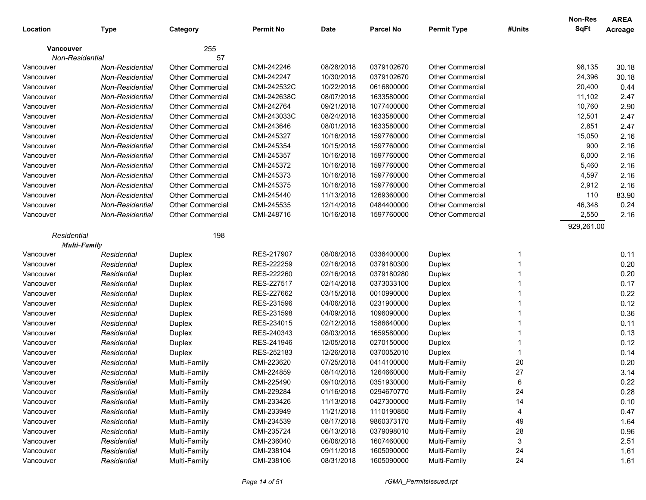|             |                        |                         |                  |             |                  |                         |        | Non-Res     | <b>AREA</b> |
|-------------|------------------------|-------------------------|------------------|-------------|------------------|-------------------------|--------|-------------|-------------|
| Location    | <b>Type</b>            | Category                | <b>Permit No</b> | <b>Date</b> | <b>Parcel No</b> | <b>Permit Type</b>      | #Units | <b>SqFt</b> | Acreage     |
| Vancouver   |                        | 255                     |                  |             |                  |                         |        |             |             |
|             | Non-Residential        | 57                      |                  |             |                  |                         |        |             |             |
| Vancouver   | <b>Non-Residential</b> | <b>Other Commercial</b> | CMI-242246       | 08/28/2018  | 0379102670       | <b>Other Commercial</b> |        | 98,135      | 30.18       |
| Vancouver   | Non-Residential        | <b>Other Commercial</b> | CMI-242247       | 10/30/2018  | 0379102670       | <b>Other Commercial</b> |        | 24,396      | 30.18       |
| Vancouver   | <b>Non-Residential</b> | <b>Other Commercial</b> | CMI-242532C      | 10/22/2018  | 0616800000       | <b>Other Commercial</b> |        | 20,400      | 0.44        |
| Vancouver   | <b>Non-Residential</b> | <b>Other Commercial</b> | CMI-242638C      | 08/07/2018  | 1633580000       | <b>Other Commercial</b> |        | 11,102      | 2.47        |
| Vancouver   | <b>Non-Residential</b> | <b>Other Commercial</b> | CMI-242764       | 09/21/2018  | 1077400000       | <b>Other Commercial</b> |        | 10,760      | 2.90        |
| Vancouver   | <b>Non-Residential</b> | <b>Other Commercial</b> | CMI-243033C      | 08/24/2018  | 1633580000       | <b>Other Commercial</b> |        | 12,501      | 2.47        |
| Vancouver   | <b>Non-Residential</b> | <b>Other Commercial</b> | CMI-243646       | 08/01/2018  | 1633580000       | <b>Other Commercial</b> |        | 2,851       | 2.47        |
| Vancouver   | Non-Residential        | <b>Other Commercial</b> | CMI-245327       | 10/16/2018  | 1597760000       | <b>Other Commercial</b> |        | 15,050      | 2.16        |
| Vancouver   | Non-Residential        | <b>Other Commercial</b> | CMI-245354       | 10/15/2018  | 1597760000       | <b>Other Commercial</b> |        | 900         | 2.16        |
| Vancouver   | Non-Residential        | <b>Other Commercial</b> | CMI-245357       | 10/16/2018  | 1597760000       | <b>Other Commercial</b> |        | 6,000       | 2.16        |
| Vancouver   | Non-Residential        | <b>Other Commercial</b> | CMI-245372       | 10/16/2018  | 1597760000       | <b>Other Commercial</b> |        | 5,460       | 2.16        |
| Vancouver   | Non-Residential        | <b>Other Commercial</b> | CMI-245373       | 10/16/2018  | 1597760000       | <b>Other Commercial</b> |        | 4,597       | 2.16        |
| Vancouver   | Non-Residential        | <b>Other Commercial</b> | CMI-245375       | 10/16/2018  | 1597760000       | <b>Other Commercial</b> |        | 2,912       | 2.16        |
| Vancouver   | Non-Residential        | <b>Other Commercial</b> | CMI-245440       | 11/13/2018  | 1269360000       | <b>Other Commercial</b> |        | 110         | 83.90       |
| Vancouver   | <b>Non-Residential</b> | <b>Other Commercial</b> | CMI-245535       | 12/14/2018  | 0484400000       | <b>Other Commercial</b> |        | 46,348      | 0.24        |
| Vancouver   | <b>Non-Residential</b> | <b>Other Commercial</b> | CMI-248716       | 10/16/2018  | 1597760000       | Other Commercial        |        | 2,550       | 2.16        |
|             |                        |                         |                  |             |                  |                         |        | 929,261.00  |             |
| Residential |                        | 198                     |                  |             |                  |                         |        |             |             |
|             | Multi-Family           |                         |                  |             |                  |                         |        |             |             |
| Vancouver   | Residential            | Duplex                  | RES-217907       | 08/06/2018  | 0336400000       | Duplex                  | -1     |             | 0.11        |
| Vancouver   | Residential            | Duplex                  | RES-222259       | 02/16/2018  | 0379180300       | Duplex                  |        |             | 0.20        |
| Vancouver   | Residential            | Duplex                  | RES-222260       | 02/16/2018  | 0379180280       | Duplex                  |        |             | 0.20        |
| Vancouver   | Residential            | Duplex                  | RES-227517       | 02/14/2018  | 0373033100       | Duplex                  |        |             | 0.17        |
| Vancouver   | Residential            | Duplex                  | RES-227662       | 03/15/2018  | 0010990000       | Duplex                  |        |             | 0.22        |
| Vancouver   | Residential            | Duplex                  | RES-231596       | 04/06/2018  | 0231900000       | Duplex                  |        |             | 0.12        |
| Vancouver   | Residential            | Duplex                  | RES-231598       | 04/09/2018  | 1096090000       | Duplex                  |        |             | 0.36        |
| Vancouver   | Residential            | Duplex                  | RES-234015       | 02/12/2018  | 1586640000       | Duplex                  |        |             | 0.11        |
| Vancouver   | Residential            | Duplex                  | RES-240343       | 08/03/2018  | 1659580000       | Duplex                  |        |             | 0.13        |
| Vancouver   | Residential            | Duplex                  | RES-241946       | 12/05/2018  | 0270150000       | Duplex                  |        |             | 0.12        |
| Vancouver   | Residential            | Duplex                  | RES-252183       | 12/26/2018  | 0370052010       | Duplex                  | -1     |             | 0.14        |
| Vancouver   | Residential            | Multi-Family            | CMI-223620       | 07/25/2018  | 0414100000       | Multi-Family            | 20     |             | 0.20        |
| Vancouver   | Residential            | Multi-Family            | CMI-224859       | 08/14/2018  | 1264660000       | Multi-Family            | 27     |             | 3.14        |
| Vancouver   | Residential            | Multi-Family            | CMI-225490       | 09/10/2018  | 0351930000       | Multi-Family            | 6      |             | 0.22        |
| Vancouver   | Residential            | Multi-Family            | CMI-229284       | 01/16/2018  | 0294670770       | Multi-Family            | 24     |             | 0.28        |
| Vancouver   | Residential            | Multi-Family            | CMI-233426       | 11/13/2018  | 0427300000       | Multi-Family            | 14     |             | 0.10        |
| Vancouver   | Residential            | Multi-Family            | CMI-233949       | 11/21/2018  | 1110190850       | Multi-Family            |        |             | 0.47        |
| Vancouver   | Residential            | Multi-Family            | CMI-234539       | 08/17/2018  | 9860373170       | Multi-Family            | 49     |             | 1.64        |
| Vancouver   | Residential            | Multi-Family            | CMI-235724       | 06/13/2018  | 0379098010       | Multi-Family            | 28     |             | 0.96        |
| Vancouver   | Residential            | Multi-Family            | CMI-236040       | 06/06/2018  | 1607460000       | Multi-Family            | 3      |             | 2.51        |
| Vancouver   | Residential            | Multi-Family            | CMI-238104       | 09/11/2018  | 1605090000       | Multi-Family            | 24     |             | 1.61        |
| Vancouver   | Residential            | Multi-Family            | CMI-238106       | 08/31/2018  | 1605090000       | Multi-Family            | 24     |             | 1.61        |
|             |                        |                         |                  |             |                  |                         |        |             |             |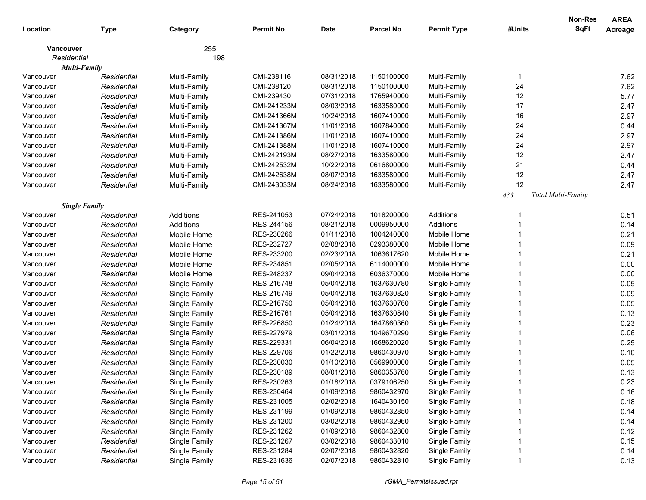|             |                      |               |                  |             |                  |                    |        | Non-Res            | <b>AREA</b>    |
|-------------|----------------------|---------------|------------------|-------------|------------------|--------------------|--------|--------------------|----------------|
| Location    | <b>Type</b>          | Category      | <b>Permit No</b> | <b>Date</b> | <b>Parcel No</b> | <b>Permit Type</b> | #Units | <b>SqFt</b>        | <b>Acreage</b> |
| Vancouver   |                      | 255           |                  |             |                  |                    |        |                    |                |
| Residential |                      | 198           |                  |             |                  |                    |        |                    |                |
|             | Multi-Family         |               |                  |             |                  |                    |        |                    |                |
| Vancouver   | Residential          | Multi-Family  | CMI-238116       | 08/31/2018  | 1150100000       | Multi-Family       | -1     |                    | 7.62           |
| Vancouver   | Residential          | Multi-Family  | CMI-238120       | 08/31/2018  | 1150100000       | Multi-Family       | 24     |                    | 7.62           |
| Vancouver   | Residential          | Multi-Family  | CMI-239430       | 07/31/2018  | 1765940000       | Multi-Family       | 12     |                    | 5.77           |
| Vancouver   | Residential          | Multi-Family  | CMI-241233M      | 08/03/2018  | 1633580000       | Multi-Family       | 17     |                    | 2.47           |
| Vancouver   | Residential          | Multi-Family  | CMI-241366M      | 10/24/2018  | 1607410000       | Multi-Family       | 16     |                    | 2.97           |
| Vancouver   | Residential          | Multi-Family  | CMI-241367M      | 11/01/2018  | 1607840000       | Multi-Family       | 24     |                    | 0.44           |
| Vancouver   | Residential          | Multi-Family  | CMI-241386M      | 11/01/2018  | 1607410000       | Multi-Family       | 24     |                    | 2.97           |
| Vancouver   | Residential          | Multi-Family  | CMI-241388M      | 11/01/2018  | 1607410000       | Multi-Family       | 24     |                    | 2.97           |
| Vancouver   | Residential          | Multi-Family  | CMI-242193M      | 08/27/2018  | 1633580000       | Multi-Family       | 12     |                    | 2.47           |
| Vancouver   | Residential          | Multi-Family  | CMI-242532M      | 10/22/2018  | 0616800000       | Multi-Family       | 21     |                    | 0.44           |
| Vancouver   | Residential          | Multi-Family  | CMI-242638M      | 08/07/2018  | 1633580000       | Multi-Family       | 12     |                    | 2.47           |
| Vancouver   | Residential          | Multi-Family  | CMI-243033M      | 08/24/2018  | 1633580000       | Multi-Family       | 12     |                    | 2.47           |
|             |                      |               |                  |             |                  |                    | 433    | Total Multi-Family |                |
|             | <b>Single Family</b> |               |                  |             |                  |                    |        |                    |                |
| Vancouver   | Residential          | Additions     | RES-241053       | 07/24/2018  | 1018200000       | Additions          |        |                    | 0.51           |
| Vancouver   | Residential          | Additions     | RES-244156       | 08/21/2018  | 0009950000       | Additions          |        |                    | 0.14           |
| Vancouver   | Residential          | Mobile Home   | RES-230266       | 01/11/2018  | 1004240000       | Mobile Home        |        |                    | 0.21           |
| Vancouver   | Residential          | Mobile Home   | RES-232727       | 02/08/2018  | 0293380000       | Mobile Home        |        |                    | 0.09           |
| Vancouver   | Residential          | Mobile Home   | RES-233200       | 02/23/2018  | 1063617620       | Mobile Home        |        |                    | 0.21           |
| Vancouver   | Residential          | Mobile Home   | RES-234851       | 02/05/2018  | 6114000000       | Mobile Home        |        |                    | 0.00           |
| Vancouver   | Residential          | Mobile Home   | RES-248237       | 09/04/2018  | 6036370000       | Mobile Home        |        |                    | 0.00           |
| Vancouver   | Residential          | Single Family | RES-216748       | 05/04/2018  | 1637630780       | Single Family      |        |                    | 0.05           |
| Vancouver   | Residential          | Single Family | RES-216749       | 05/04/2018  | 1637630820       | Single Family      |        |                    | 0.09           |
| Vancouver   | Residential          | Single Family | RES-216750       | 05/04/2018  | 1637630760       | Single Family      |        |                    | 0.05           |
| Vancouver   | Residential          | Single Family | RES-216761       | 05/04/2018  | 1637630840       | Single Family      |        |                    | 0.13           |
| Vancouver   | Residential          | Single Family | RES-226850       | 01/24/2018  | 1647860360       | Single Family      |        |                    | 0.23           |
| Vancouver   | Residential          | Single Family | RES-227979       | 03/01/2018  | 1049670290       | Single Family      |        |                    | 0.06           |
| Vancouver   | Residential          | Single Family | RES-229331       | 06/04/2018  | 1668620020       | Single Family      |        |                    | 0.25           |
| Vancouver   | Residential          | Single Family | RES-229706       | 01/22/2018  | 9860430970       | Single Family      |        |                    | 0.10           |
| Vancouver   | Residential          | Single Family | RES-230030       | 01/10/2018  | 0569900000       | Single Family      |        |                    | 0.05           |
| Vancouver   | Residential          | Single Family | RES-230189       | 08/01/2018  | 9860353760       | Single Family      |        |                    | 0.13           |
| Vancouver   | Residential          | Single Family | RES-230263       | 01/18/2018  | 0379106250       | Single Family      |        |                    | 0.23           |
| Vancouver   | Residential          | Single Family | RES-230464       | 01/09/2018  | 9860432970       | Single Family      |        |                    | 0.16           |
| Vancouver   | Residential          | Single Family | RES-231005       | 02/02/2018  | 1640430150       | Single Family      |        |                    | 0.18           |
| Vancouver   | Residential          | Single Family | RES-231199       | 01/09/2018  | 9860432850       | Single Family      |        |                    | 0.14           |
| Vancouver   | Residential          | Single Family | RES-231200       | 03/02/2018  | 9860432960       | Single Family      |        |                    | 0.14           |
| Vancouver   | Residential          | Single Family | RES-231262       | 01/09/2018  | 9860432800       | Single Family      |        |                    | 0.12           |
| Vancouver   | Residential          | Single Family | RES-231267       | 03/02/2018  | 9860433010       | Single Family      |        |                    | 0.15           |
| Vancouver   | Residential          | Single Family | RES-231284       | 02/07/2018  | 9860432820       | Single Family      |        |                    | 0.14           |
| Vancouver   | Residential          | Single Family | RES-231636       | 02/07/2018  | 9860432810       | Single Family      |        |                    | 0.13           |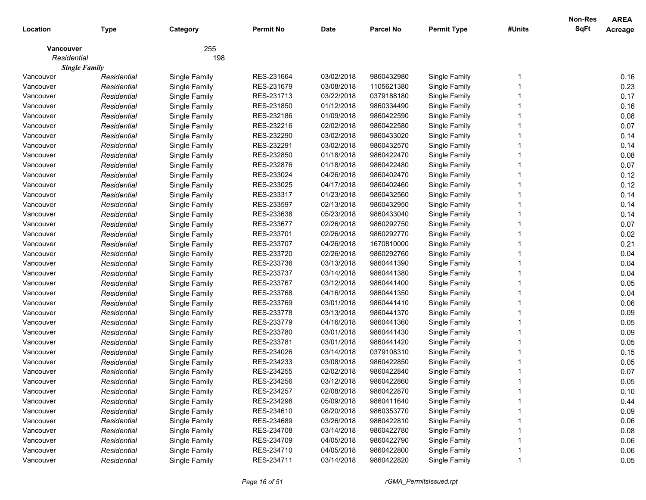|             |                      |               |                  |             |                  |                    |        | <b>Non-Res</b><br><b>SqFt</b> | <b>AREA</b>    |
|-------------|----------------------|---------------|------------------|-------------|------------------|--------------------|--------|-------------------------------|----------------|
| Location    | <b>Type</b>          | Category      | <b>Permit No</b> | <b>Date</b> | <b>Parcel No</b> | <b>Permit Type</b> | #Units |                               | <b>Acreage</b> |
| Vancouver   |                      | 255           |                  |             |                  |                    |        |                               |                |
| Residential |                      | 198           |                  |             |                  |                    |        |                               |                |
|             | <b>Single Family</b> |               |                  |             |                  |                    |        |                               |                |
| Vancouver   | Residential          | Single Family | RES-231664       | 03/02/2018  | 9860432980       | Single Family      |        |                               | 0.16           |
| Vancouver   | Residential          | Single Family | RES-231679       | 03/08/2018  | 1105621380       | Single Family      |        |                               | 0.23           |
| Vancouver   | Residential          | Single Family | RES-231713       | 03/22/2018  | 0379188180       | Single Family      |        |                               | 0.17           |
| Vancouver   | Residential          | Single Family | RES-231850       | 01/12/2018  | 9860334490       | Single Family      |        |                               | 0.16           |
| Vancouver   | Residential          | Single Family | RES-232186       | 01/09/2018  | 9860422590       | Single Family      |        |                               | 0.08           |
| Vancouver   | Residential          | Single Family | RES-232216       | 02/02/2018  | 9860422580       | Single Family      |        |                               | 0.07           |
| Vancouver   | Residential          | Single Family | RES-232290       | 03/02/2018  | 9860433020       | Single Family      |        |                               | 0.14           |
| Vancouver   | Residential          | Single Family | RES-232291       | 03/02/2018  | 9860432570       | Single Family      |        |                               | 0.14           |
| Vancouver   | Residential          | Single Family | RES-232850       | 01/18/2018  | 9860422470       | Single Family      |        |                               | 0.08           |
| Vancouver   | Residential          | Single Family | RES-232876       | 01/18/2018  | 9860422480       | Single Family      |        |                               | 0.07           |
| Vancouver   | Residential          | Single Family | RES-233024       | 04/26/2018  | 9860402470       | Single Family      |        |                               | 0.12           |
| Vancouver   | Residential          | Single Family | RES-233025       | 04/17/2018  | 9860402460       | Single Family      |        |                               | 0.12           |
| Vancouver   | Residential          | Single Family | RES-233317       | 01/23/2018  | 9860432560       | Single Family      |        |                               | 0.14           |
| Vancouver   | Residential          | Single Family | RES-233597       | 02/13/2018  | 9860432950       | Single Family      |        |                               | 0.14           |
| Vancouver   | Residential          | Single Family | RES-233638       | 05/23/2018  | 9860433040       | Single Family      |        |                               | 0.14           |
| Vancouver   | Residential          | Single Family | RES-233677       | 02/26/2018  | 9860292750       | Single Family      |        |                               | 0.07           |
| Vancouver   | Residential          | Single Family | RES-233701       | 02/26/2018  | 9860292770       | Single Family      |        |                               | 0.02           |
| Vancouver   | Residential          | Single Family | RES-233707       | 04/26/2018  | 1670810000       | Single Family      |        |                               | 0.21           |
| Vancouver   | Residential          | Single Family | RES-233720       | 02/26/2018  | 9860292760       | Single Family      |        |                               | 0.04           |
| Vancouver   | Residential          | Single Family | RES-233736       | 03/13/2018  | 9860441390       | Single Family      |        |                               | 0.04           |
| Vancouver   | Residential          | Single Family | RES-233737       | 03/14/2018  | 9860441380       | Single Family      |        |                               | 0.04           |
| Vancouver   | Residential          | Single Family | RES-233767       | 03/12/2018  | 9860441400       | Single Family      |        |                               | 0.05           |
| Vancouver   | Residential          | Single Family | RES-233768       | 04/16/2018  | 9860441350       | Single Family      |        |                               | 0.04           |
| Vancouver   | Residential          | Single Family | RES-233769       | 03/01/2018  | 9860441410       | Single Family      |        |                               | 0.06           |
| Vancouver   | Residential          | Single Family | RES-233778       | 03/13/2018  | 9860441370       | Single Family      |        |                               | 0.09           |
| Vancouver   | Residential          | Single Family | RES-233779       | 04/16/2018  | 9860441360       | Single Family      |        |                               | 0.05           |
| Vancouver   | Residential          | Single Family | RES-233780       | 03/01/2018  | 9860441430       | Single Family      |        |                               | 0.09           |
| Vancouver   | Residential          | Single Family | RES-233781       | 03/01/2018  | 9860441420       | Single Family      |        |                               | 0.05           |
| Vancouver   | Residential          | Single Family | RES-234026       | 03/14/2018  | 0379108310       | Single Family      |        |                               | 0.15           |
| Vancouver   | Residential          | Single Family | RES-234233       | 03/08/2018  | 9860422850       | Single Family      |        |                               | 0.05           |
| Vancouver   | Residential          | Single Family | RES-234255       | 02/02/2018  | 9860422840       | Single Family      |        |                               | 0.07           |
| Vancouver   | Residential          | Single Family | RES-234256       | 03/12/2018  | 9860422860       | Single Family      |        |                               | 0.05           |
| Vancouver   | Residential          | Single Family | RES-234257       | 02/08/2018  | 9860422870       | Single Family      |        |                               | 0.10           |
| Vancouver   | Residential          | Single Family | RES-234298       | 05/09/2018  | 9860411640       | Single Family      |        |                               | 0.44           |
| Vancouver   | Residential          | Single Family | RES-234610       | 08/20/2018  | 9860353770       | Single Family      |        |                               | 0.09           |
| Vancouver   | Residential          | Single Family | RES-234689       | 03/26/2018  | 9860422810       | Single Family      |        |                               | 0.06           |
| Vancouver   | Residential          | Single Family | RES-234708       | 03/14/2018  | 9860422780       | Single Family      |        |                               | 0.08           |
| Vancouver   | Residential          | Single Family | RES-234709       | 04/05/2018  | 9860422790       | Single Family      |        |                               | 0.06           |
| Vancouver   | Residential          | Single Family | RES-234710       | 04/05/2018  | 9860422800       | Single Family      |        |                               | 0.06           |
| Vancouver   | Residential          | Single Family | RES-234711       | 03/14/2018  | 9860422820       | Single Family      |        |                               | 0.05           |
|             |                      |               |                  |             |                  |                    |        |                               |                |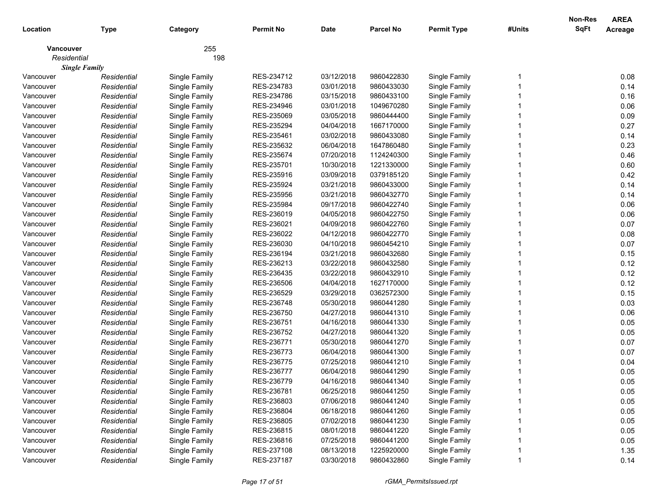|             |                      |               |                  |             |                  |                    |        | Non-Res     | <b>AREA</b> |
|-------------|----------------------|---------------|------------------|-------------|------------------|--------------------|--------|-------------|-------------|
| Location    | <b>Type</b>          | Category      | <b>Permit No</b> | <b>Date</b> | <b>Parcel No</b> | <b>Permit Type</b> | #Units | <b>SqFt</b> | Acreage     |
| Vancouver   |                      | 255           |                  |             |                  |                    |        |             |             |
| Residential |                      | 198           |                  |             |                  |                    |        |             |             |
|             | <b>Single Family</b> |               |                  |             |                  |                    |        |             |             |
| Vancouver   | Residential          | Single Family | RES-234712       | 03/12/2018  | 9860422830       | Single Family      |        |             | 0.08        |
| Vancouver   | Residential          | Single Family | RES-234783       | 03/01/2018  | 9860433030       | Single Family      |        |             | 0.14        |
| Vancouver   | Residential          | Single Family | RES-234786       | 03/15/2018  | 9860433100       | Single Family      |        |             | 0.16        |
| Vancouver   | Residential          | Single Family | RES-234946       | 03/01/2018  | 1049670280       | Single Family      |        |             | 0.06        |
| Vancouver   | Residential          | Single Family | RES-235069       | 03/05/2018  | 9860444400       | Single Family      |        |             | 0.09        |
| Vancouver   | Residential          | Single Family | RES-235294       | 04/04/2018  | 1667170000       | Single Family      |        |             | 0.27        |
| Vancouver   | Residential          | Single Family | RES-235461       | 03/02/2018  | 9860433080       | Single Family      |        |             | 0.14        |
| Vancouver   | Residential          | Single Family | RES-235632       | 06/04/2018  | 1647860480       | Single Family      |        |             | 0.23        |
| Vancouver   | Residential          | Single Family | RES-235674       | 07/20/2018  | 1124240300       | Single Family      |        |             | 0.46        |
| Vancouver   | Residential          | Single Family | RES-235701       | 10/30/2018  | 1221330000       | Single Family      |        |             | 0.60        |
| Vancouver   | Residential          | Single Family | RES-235916       | 03/09/2018  | 0379185120       | Single Family      |        |             | 0.42        |
| Vancouver   | Residential          | Single Family | RES-235924       | 03/21/2018  | 9860433000       | Single Family      |        |             | 0.14        |
| Vancouver   | Residential          | Single Family | RES-235956       | 03/21/2018  | 9860432770       | Single Family      |        |             | 0.14        |
| Vancouver   | Residential          | Single Family | RES-235984       | 09/17/2018  | 9860422740       | Single Family      |        |             | 0.06        |
| Vancouver   | Residential          | Single Family | RES-236019       | 04/05/2018  | 9860422750       | Single Family      |        |             | 0.06        |
| Vancouver   | Residential          | Single Family | RES-236021       | 04/09/2018  | 9860422760       | Single Family      |        |             | 0.07        |
| Vancouver   | Residential          | Single Family | RES-236022       | 04/12/2018  | 9860422770       | Single Family      |        |             | 0.08        |
| Vancouver   | Residential          | Single Family | RES-236030       | 04/10/2018  | 9860454210       | Single Family      |        |             | 0.07        |
| Vancouver   | Residential          | Single Family | RES-236194       | 03/21/2018  | 9860432680       | Single Family      |        |             | 0.15        |
| Vancouver   | Residential          | Single Family | RES-236213       | 03/22/2018  | 9860432580       | Single Family      |        |             | 0.12        |
| Vancouver   | Residential          | Single Family | RES-236435       | 03/22/2018  | 9860432910       | Single Family      |        |             | 0.12        |
| Vancouver   | Residential          | Single Family | RES-236506       | 04/04/2018  | 1627170000       | Single Family      |        |             | 0.12        |
| Vancouver   | Residential          | Single Family | RES-236529       | 03/29/2018  | 0362572300       | Single Family      |        |             | 0.15        |
| Vancouver   | Residential          | Single Family | RES-236748       | 05/30/2018  | 9860441280       | Single Family      |        |             | 0.03        |
| Vancouver   | Residential          | Single Family | RES-236750       | 04/27/2018  | 9860441310       | Single Family      |        |             | 0.06        |
| Vancouver   | Residential          | Single Family | RES-236751       | 04/16/2018  | 9860441330       | Single Family      |        |             | 0.05        |
| Vancouver   | Residential          | Single Family | RES-236752       | 04/27/2018  | 9860441320       | Single Family      |        |             | 0.05        |
| Vancouver   | Residential          | Single Family | RES-236771       | 05/30/2018  | 9860441270       | Single Family      |        |             | 0.07        |
| Vancouver   | Residential          | Single Family | RES-236773       | 06/04/2018  | 9860441300       | Single Family      |        |             | 0.07        |
| Vancouver   | Residential          | Single Family | RES-236775       | 07/25/2018  | 9860441210       | Single Family      |        |             | 0.04        |
| Vancouver   | Residential          | Single Family | RES-236777       | 06/04/2018  | 9860441290       | Single Family      |        |             | 0.05        |
| Vancouver   | Residential          | Single Family | RES-236779       | 04/16/2018  | 9860441340       | Single Family      |        |             | 0.05        |
| Vancouver   | Residential          | Single Family | RES-236781       | 06/25/2018  | 9860441250       | Single Family      |        |             | 0.05        |
| Vancouver   | Residential          | Single Family | RES-236803       | 07/06/2018  | 9860441240       | Single Family      |        |             | 0.05        |
| Vancouver   | Residential          | Single Family | RES-236804       | 06/18/2018  | 9860441260       | Single Family      |        |             | 0.05        |
| Vancouver   | Residential          | Single Family | RES-236805       | 07/02/2018  | 9860441230       | Single Family      |        |             | 0.05        |
| Vancouver   | Residential          | Single Family | RES-236815       | 08/01/2018  | 9860441220       | Single Family      |        |             | 0.05        |
| Vancouver   | Residential          | Single Family | RES-236816       | 07/25/2018  | 9860441200       | Single Family      |        |             | 0.05        |
| Vancouver   | Residential          | Single Family | RES-237108       | 08/13/2018  | 1225920000       | Single Family      |        |             | 1.35        |
| Vancouver   | Residential          | Single Family | RES-237187       | 03/30/2018  | 9860432860       | Single Family      |        |             | 0.14        |
|             |                      |               |                  |             |                  |                    |        |             |             |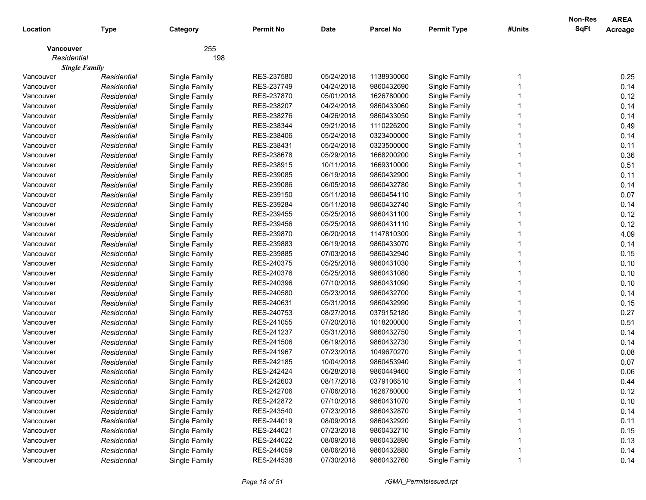|                  |                      |               |                  |             |                  |                    |        | Non-Res<br><b>SqFt</b> | <b>AREA</b> |
|------------------|----------------------|---------------|------------------|-------------|------------------|--------------------|--------|------------------------|-------------|
| Location         | <b>Type</b>          | Category      | <b>Permit No</b> | <b>Date</b> | <b>Parcel No</b> | <b>Permit Type</b> | #Units |                        | Acreage     |
| <b>Vancouver</b> |                      | 255           |                  |             |                  |                    |        |                        |             |
| Residential      |                      | 198           |                  |             |                  |                    |        |                        |             |
|                  | <b>Single Family</b> |               |                  |             |                  |                    |        |                        |             |
| Vancouver        | Residential          | Single Family | RES-237580       | 05/24/2018  | 1138930060       | Single Family      |        |                        | 0.25        |
| Vancouver        | Residential          | Single Family | RES-237749       | 04/24/2018  | 9860432690       | Single Family      |        |                        | 0.14        |
| Vancouver        | Residential          | Single Family | RES-237870       | 05/01/2018  | 1626780000       | Single Family      |        |                        | 0.12        |
| Vancouver        | Residential          | Single Family | RES-238207       | 04/24/2018  | 9860433060       | Single Family      |        |                        | 0.14        |
| Vancouver        | Residential          | Single Family | RES-238276       | 04/26/2018  | 9860433050       | Single Family      |        |                        | 0.14        |
| Vancouver        | Residential          | Single Family | RES-238344       | 09/21/2018  | 1110226200       | Single Family      |        |                        | 0.49        |
| Vancouver        | Residential          | Single Family | RES-238406       | 05/24/2018  | 0323400000       | Single Family      |        |                        | 0.14        |
| Vancouver        | Residential          | Single Family | RES-238431       | 05/24/2018  | 0323500000       | Single Family      |        |                        | 0.11        |
| Vancouver        | Residential          | Single Family | RES-238678       | 05/29/2018  | 1668200200       | Single Family      |        |                        | 0.36        |
| Vancouver        | Residential          | Single Family | RES-238915       | 10/11/2018  | 1669310000       | Single Family      |        |                        | 0.51        |
| Vancouver        | Residential          | Single Family | RES-239085       | 06/19/2018  | 9860432900       | Single Family      |        |                        | 0.11        |
| Vancouver        | Residential          | Single Family | RES-239086       | 06/05/2018  | 9860432780       | Single Family      |        |                        | 0.14        |
| Vancouver        | Residential          | Single Family | RES-239150       | 05/11/2018  | 9860454110       | Single Family      |        |                        | 0.07        |
| Vancouver        | Residential          | Single Family | RES-239284       | 05/11/2018  | 9860432740       | Single Family      |        |                        | 0.14        |
| Vancouver        | Residential          | Single Family | RES-239455       | 05/25/2018  | 9860431100       | Single Family      |        |                        | 0.12        |
| Vancouver        | Residential          | Single Family | RES-239456       | 05/25/2018  | 9860431110       | Single Family      |        |                        | 0.12        |
| Vancouver        | Residential          | Single Family | RES-239870       | 06/20/2018  | 1147810300       | Single Family      |        |                        | 4.09        |
| Vancouver        | Residential          | Single Family | RES-239883       | 06/19/2018  | 9860433070       | Single Family      |        |                        | 0.14        |
| Vancouver        | Residential          | Single Family | RES-239885       | 07/03/2018  | 9860432940       | Single Family      |        |                        | 0.15        |
| Vancouver        | Residential          | Single Family | RES-240375       | 05/25/2018  | 9860431030       | Single Family      |        |                        | 0.10        |
| Vancouver        | Residential          | Single Family | RES-240376       | 05/25/2018  | 9860431080       | Single Family      |        |                        | 0.10        |
| Vancouver        | Residential          | Single Family | RES-240396       | 07/10/2018  | 9860431090       | Single Family      |        |                        | 0.10        |
| Vancouver        | Residential          | Single Family | RES-240580       | 05/23/2018  | 9860432700       | Single Family      |        |                        | 0.14        |
| Vancouver        | Residential          | Single Family | RES-240631       | 05/31/2018  | 9860432990       | Single Family      |        |                        | 0.15        |
| Vancouver        | Residential          | Single Family | RES-240753       | 08/27/2018  | 0379152180       | Single Family      |        |                        | 0.27        |
| Vancouver        | Residential          | Single Family | RES-241055       | 07/20/2018  | 1018200000       | Single Family      |        |                        | 0.51        |
| Vancouver        | Residential          | Single Family | RES-241237       | 05/31/2018  | 9860432750       | Single Family      |        |                        | 0.14        |
| Vancouver        | Residential          | Single Family | RES-241506       | 06/19/2018  | 9860432730       | Single Family      |        |                        | 0.14        |
| Vancouver        | Residential          | Single Family | RES-241967       | 07/23/2018  | 1049670270       | Single Family      |        |                        | 0.08        |
| Vancouver        | Residential          | Single Family | RES-242185       | 10/04/2018  | 9860453940       | Single Family      |        |                        | 0.07        |
| Vancouver        | Residential          | Single Family | RES-242424       | 06/28/2018  | 9860449460       | Single Family      |        |                        | 0.06        |
| Vancouver        | Residential          | Single Family | RES-242603       | 08/17/2018  | 0379106510       | Single Family      |        |                        | 0.44        |
| Vancouver        | Residential          | Single Family | RES-242706       | 07/06/2018  | 1626780000       | Single Family      |        |                        | 0.12        |
| Vancouver        | Residential          | Single Family | RES-242872       | 07/10/2018  | 9860431070       | Single Family      |        |                        | 0.10        |
| Vancouver        | Residential          | Single Family | RES-243540       | 07/23/2018  | 9860432870       | Single Family      |        |                        | 0.14        |
| Vancouver        | Residential          | Single Family | RES-244019       | 08/09/2018  | 9860432920       | Single Family      |        |                        | 0.11        |
| Vancouver        | Residential          | Single Family | RES-244021       | 07/23/2018  | 9860432710       | Single Family      |        |                        | 0.15        |
| Vancouver        | Residential          | Single Family | RES-244022       | 08/09/2018  | 9860432890       | Single Family      |        |                        | 0.13        |
| Vancouver        | Residential          | Single Family | RES-244059       | 08/06/2018  | 9860432880       | Single Family      |        |                        | 0.14        |
| Vancouver        | Residential          | Single Family | RES-244538       | 07/30/2018  | 9860432760       | Single Family      |        |                        | 0.14        |
|                  |                      |               |                  |             |                  |                    |        |                        |             |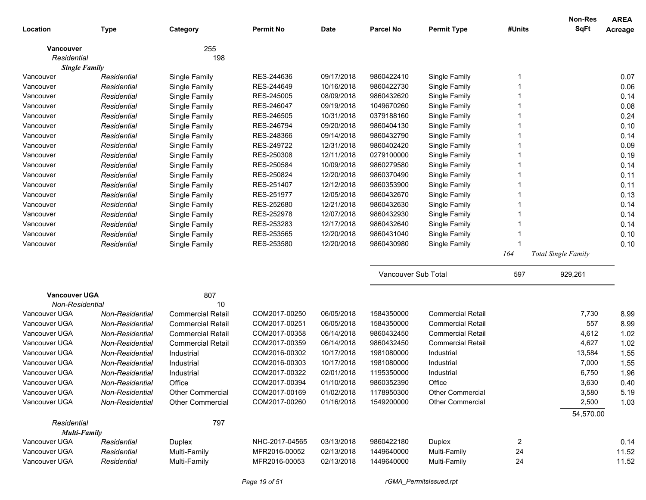|                      |                 |                          |                  |             |                     |                          |        | <b>Non-Res</b>             | <b>AREA</b> |
|----------------------|-----------------|--------------------------|------------------|-------------|---------------------|--------------------------|--------|----------------------------|-------------|
| Location             | <b>Type</b>     | Category                 | <b>Permit No</b> | <b>Date</b> | <b>Parcel No</b>    | <b>Permit Type</b>       | #Units | <b>SqFt</b>                | Acreage     |
| <b>Vancouver</b>     |                 | 255                      |                  |             |                     |                          |        |                            |             |
| Residential          |                 | 198                      |                  |             |                     |                          |        |                            |             |
| <b>Single Family</b> |                 |                          |                  |             |                     |                          |        |                            |             |
| Vancouver            | Residential     | Single Family            | RES-244636       | 09/17/2018  | 9860422410          | Single Family            |        |                            | 0.07        |
| Vancouver            | Residential     | Single Family            | RES-244649       | 10/16/2018  | 9860422730          | Single Family            |        |                            | 0.06        |
| Vancouver            | Residential     | Single Family            | RES-245005       | 08/09/2018  | 9860432620          | Single Family            |        |                            | 0.14        |
| Vancouver            | Residential     | Single Family            | RES-246047       | 09/19/2018  | 1049670260          | Single Family            |        |                            | 0.08        |
| Vancouver            | Residential     | Single Family            | RES-246505       | 10/31/2018  | 0379188160          | Single Family            |        |                            | 0.24        |
| Vancouver            | Residential     | Single Family            | RES-246794       | 09/20/2018  | 9860404130          | Single Family            |        |                            | 0.10        |
| Vancouver            | Residential     | Single Family            | RES-248366       | 09/14/2018  | 9860432790          | Single Family            |        |                            | 0.14        |
| Vancouver            | Residential     | Single Family            | RES-249722       | 12/31/2018  | 9860402420          | Single Family            |        |                            | 0.09        |
| Vancouver            | Residential     | Single Family            | RES-250308       | 12/11/2018  | 0279100000          | Single Family            |        |                            | 0.19        |
| Vancouver            | Residential     | Single Family            | RES-250584       | 10/09/2018  | 9860279580          | Single Family            |        |                            | 0.14        |
| Vancouver            | Residential     | Single Family            | RES-250824       | 12/20/2018  | 9860370490          | Single Family            |        |                            | 0.11        |
| Vancouver            | Residential     | Single Family            | RES-251407       | 12/12/2018  | 9860353900          | Single Family            |        |                            | 0.11        |
| Vancouver            | Residential     | Single Family            | RES-251977       | 12/05/2018  | 9860432670          | Single Family            |        |                            | 0.13        |
| Vancouver            | Residential     | Single Family            | RES-252680       | 12/21/2018  | 9860432630          | Single Family            |        |                            | 0.14        |
| Vancouver            | Residential     | Single Family            | RES-252978       | 12/07/2018  | 9860432930          | Single Family            |        |                            | 0.14        |
| Vancouver            | Residential     | Single Family            | RES-253283       | 12/17/2018  | 9860432640          | Single Family            |        |                            | 0.14        |
| Vancouver            | Residential     | Single Family            | RES-253565       | 12/20/2018  | 9860431040          | Single Family            |        |                            | 0.10        |
| Vancouver            | Residential     | Single Family            | RES-253580       | 12/20/2018  | 9860430980          | Single Family            |        |                            | 0.10        |
|                      |                 |                          |                  |             |                     |                          | 164    | <b>Total Single Family</b> |             |
|                      |                 |                          |                  |             | Vancouver Sub Total |                          | 597    | 929,261                    |             |
| <b>Vancouver UGA</b> |                 | 807                      |                  |             |                     |                          |        |                            |             |
| Non-Residential      |                 | 10                       |                  |             |                     |                          |        |                            |             |
| Vancouver UGA        | Non-Residential | <b>Commercial Retail</b> | COM2017-00250    | 06/05/2018  | 1584350000          | <b>Commercial Retail</b> |        | 7,730                      | 8.99        |
| Vancouver UGA        | Non-Residential | <b>Commercial Retail</b> | COM2017-00251    | 06/05/2018  | 1584350000          | <b>Commercial Retail</b> |        | 557                        | 8.99        |
| Vancouver UGA        | Non-Residential | <b>Commercial Retail</b> | COM2017-00358    | 06/14/2018  | 9860432450          | <b>Commercial Retail</b> |        | 4,612                      | 1.02        |
| Vancouver UGA        | Non-Residential | <b>Commercial Retail</b> | COM2017-00359    | 06/14/2018  | 9860432450          | <b>Commercial Retail</b> |        | 4,627                      | 1.02        |
| Vancouver UGA        | Non-Residential | Industrial               | COM2016-00302    | 10/17/2018  | 1981080000          | Industrial               |        | 13,584                     | 1.55        |
| Vancouver UGA        | Non-Residential | Industrial               | COM2016-00303    | 10/17/2018  | 1981080000          | Industrial               |        | 7,000                      | 1.55        |
| Vancouver UGA        | Non-Residential | Industrial               | COM2017-00322    | 02/01/2018  | 1195350000          | Industrial               |        | 6,750                      | 1.96        |
| Vancouver UGA        | Non-Residential | Office                   | COM2017-00394    | 01/10/2018  | 9860352390          | Office                   |        | 3,630                      | 0.40        |
| Vancouver UGA        | Non-Residential | Other Commercial         | COM2017-00169    | 01/02/2018  | 1178950300          | <b>Other Commercial</b>  |        | 3,580                      | 5.19        |
| Vancouver UGA        | Non-Residential | <b>Other Commercial</b>  | COM2017-00260    | 01/16/2018  | 1549200000          | <b>Other Commercial</b>  |        | 2,500                      | 1.03        |
|                      |                 |                          |                  |             |                     |                          |        | 54,570.00                  |             |
| Residential          |                 | 797                      |                  |             |                     |                          |        |                            |             |
| <b>Multi-Family</b>  |                 |                          |                  |             |                     |                          |        |                            |             |
| Vancouver UGA        | Residential     | Duplex                   | NHC-2017-04565   | 03/13/2018  | 9860422180          | Duplex                   | 2      |                            | 0.14        |
| Vancouver UGA        | Residential     | Multi-Family             | MFR2016-00052    | 02/13/2018  | 1449640000          | Multi-Family             | 24     |                            | 11.52       |
| Vancouver UGA        | Residential     | Multi-Family             | MFR2016-00053    | 02/13/2018  | 1449640000          | Multi-Family             | 24     |                            | 11.52       |
|                      |                 |                          |                  |             |                     |                          |        |                            |             |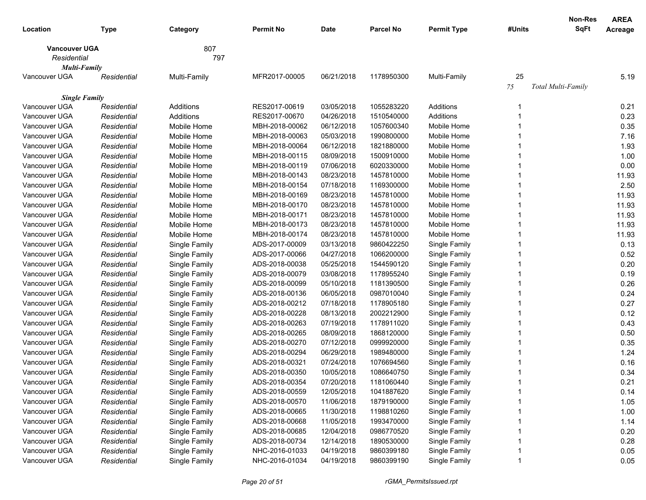|                      |             |               |                  |             |                  |                    |        | Non-Res            | <b>AREA</b> |
|----------------------|-------------|---------------|------------------|-------------|------------------|--------------------|--------|--------------------|-------------|
| Location             | Type        | Category      | <b>Permit No</b> | <b>Date</b> | <b>Parcel No</b> | <b>Permit Type</b> | #Units | <b>SqFt</b>        | Acreage     |
| <b>Vancouver UGA</b> |             | 807           |                  |             |                  |                    |        |                    |             |
| Residential          |             | 797           |                  |             |                  |                    |        |                    |             |
| <b>Multi-Family</b>  |             |               |                  |             |                  |                    |        |                    |             |
| Vancouver UGA        | Residential | Multi-Family  | MFR2017-00005    | 06/21/2018  | 1178950300       | Multi-Family       | 25     |                    | 5.19        |
|                      |             |               |                  |             |                  |                    | 75     | Total Multi-Family |             |
| <b>Single Family</b> |             |               |                  |             |                  |                    |        |                    |             |
| Vancouver UGA        | Residential | Additions     | RES2017-00619    | 03/05/2018  | 1055283220       | Additions          |        |                    | 0.21        |
| Vancouver UGA        | Residential | Additions     | RES2017-00670    | 04/26/2018  | 1510540000       | Additions          |        |                    | 0.23        |
| Vancouver UGA        | Residential | Mobile Home   | MBH-2018-00062   | 06/12/2018  | 1057600340       | Mobile Home        |        |                    | 0.35        |
| Vancouver UGA        | Residential | Mobile Home   | MBH-2018-00063   | 05/03/2018  | 1990800000       | Mobile Home        |        |                    | 7.16        |
| Vancouver UGA        | Residential | Mobile Home   | MBH-2018-00064   | 06/12/2018  | 1821880000       | Mobile Home        |        |                    | 1.93        |
| Vancouver UGA        | Residential | Mobile Home   | MBH-2018-00115   | 08/09/2018  | 1500910000       | Mobile Home        |        |                    | 1.00        |
| Vancouver UGA        | Residential | Mobile Home   | MBH-2018-00119   | 07/06/2018  | 6020330000       | Mobile Home        |        |                    | 0.00        |
| Vancouver UGA        | Residential | Mobile Home   | MBH-2018-00143   | 08/23/2018  | 1457810000       | Mobile Home        |        |                    | 11.93       |
| Vancouver UGA        | Residential | Mobile Home   | MBH-2018-00154   | 07/18/2018  | 1169300000       | Mobile Home        |        |                    | 2.50        |
| Vancouver UGA        | Residential | Mobile Home   | MBH-2018-00169   | 08/23/2018  | 1457810000       | Mobile Home        |        |                    | 11.93       |
| Vancouver UGA        | Residential | Mobile Home   | MBH-2018-00170   | 08/23/2018  | 1457810000       | Mobile Home        |        |                    | 11.93       |
| Vancouver UGA        | Residential | Mobile Home   | MBH-2018-00171   | 08/23/2018  | 1457810000       | Mobile Home        |        |                    | 11.93       |
| Vancouver UGA        | Residential | Mobile Home   | MBH-2018-00173   | 08/23/2018  | 1457810000       | Mobile Home        |        |                    | 11.93       |
| Vancouver UGA        | Residential | Mobile Home   | MBH-2018-00174   | 08/23/2018  | 1457810000       | Mobile Home        |        |                    | 11.93       |
| Vancouver UGA        | Residential | Single Family | ADS-2017-00009   | 03/13/2018  | 9860422250       | Single Family      |        |                    | 0.13        |
| Vancouver UGA        | Residential | Single Family | ADS-2017-00066   | 04/27/2018  | 1066200000       | Single Family      |        |                    | 0.52        |
| Vancouver UGA        | Residential | Single Family | ADS-2018-00038   | 05/25/2018  | 1544590120       | Single Family      |        |                    | 0.20        |
| Vancouver UGA        | Residential | Single Family | ADS-2018-00079   | 03/08/2018  | 1178955240       | Single Family      |        |                    | 0.19        |
| Vancouver UGA        | Residential | Single Family | ADS-2018-00099   | 05/10/2018  | 1181390500       | Single Family      |        |                    | 0.26        |
| Vancouver UGA        | Residential | Single Family | ADS-2018-00136   | 06/05/2018  | 0987010040       | Single Family      |        |                    | 0.24        |
| Vancouver UGA        | Residential | Single Family | ADS-2018-00212   | 07/18/2018  | 1178905180       | Single Family      |        |                    | 0.27        |
| Vancouver UGA        | Residential | Single Family | ADS-2018-00228   | 08/13/2018  | 2002212900       | Single Family      |        |                    | 0.12        |
| Vancouver UGA        | Residential | Single Family | ADS-2018-00263   | 07/19/2018  | 1178911020       | Single Family      |        |                    | 0.43        |
| Vancouver UGA        | Residential | Single Family | ADS-2018-00265   | 08/09/2018  | 1868120000       | Single Family      |        |                    | 0.50        |
| Vancouver UGA        | Residential | Single Family | ADS-2018-00270   | 07/12/2018  | 0999920000       | Single Family      |        |                    | 0.35        |
| Vancouver UGA        | Residential | Single Family | ADS-2018-00294   | 06/29/2018  | 1989480000       | Single Family      |        |                    | 1.24        |
| Vancouver UGA        | Residential | Single Family | ADS-2018-00321   | 07/24/2018  | 1076694560       | Single Family      |        |                    | 0.16        |
| Vancouver UGA        | Residential | Single Family | ADS-2018-00350   | 10/05/2018  | 1086640750       | Single Family      |        |                    | 0.34        |
| Vancouver UGA        | Residential | Single Family | ADS-2018-00354   | 07/20/2018  | 1181060440       | Single Family      |        |                    | 0.21        |
| Vancouver UGA        | Residential | Single Family | ADS-2018-00559   | 12/05/2018  | 1041887620       | Single Family      |        |                    | 0.14        |
| Vancouver UGA        | Residential | Single Family | ADS-2018-00570   | 11/06/2018  | 1879190000       | Single Family      |        |                    | 1.05        |
| Vancouver UGA        | Residential | Single Family | ADS-2018-00665   | 11/30/2018  | 1198810260       | Single Family      |        |                    | 1.00        |
| Vancouver UGA        | Residential | Single Family | ADS-2018-00668   | 11/05/2018  | 1993470000       | Single Family      |        |                    | 1.14        |
| Vancouver UGA        | Residential | Single Family | ADS-2018-00685   | 12/04/2018  | 0986770520       | Single Family      |        |                    | 0.20        |
| Vancouver UGA        | Residential | Single Family | ADS-2018-00734   | 12/14/2018  | 1890530000       | Single Family      |        |                    | 0.28        |
| Vancouver UGA        | Residential | Single Family | NHC-2016-01033   | 04/19/2018  | 9860399180       | Single Family      |        |                    | 0.05        |
| Vancouver UGA        | Residential | Single Family | NHC-2016-01034   | 04/19/2018  | 9860399190       | Single Family      |        |                    | 0.05        |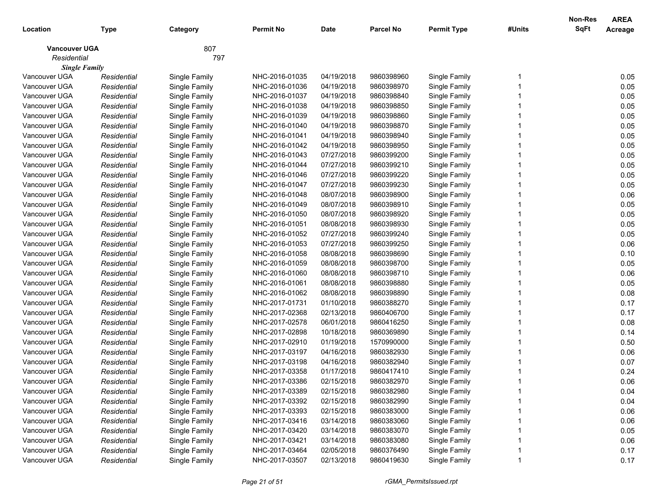|                      |             |               |                  |             |                  |                    |        | Non-Res     | <b>AREA</b> |
|----------------------|-------------|---------------|------------------|-------------|------------------|--------------------|--------|-------------|-------------|
| Location             | Type        | Category      | <b>Permit No</b> | <b>Date</b> | <b>Parcel No</b> | <b>Permit Type</b> | #Units | <b>SqFt</b> | Acreage     |
| <b>Vancouver UGA</b> |             | 807           |                  |             |                  |                    |        |             |             |
| Residential          |             | 797           |                  |             |                  |                    |        |             |             |
| <b>Single Family</b> |             |               |                  |             |                  |                    |        |             |             |
| Vancouver UGA        | Residential | Single Family | NHC-2016-01035   | 04/19/2018  | 9860398960       | Single Family      |        |             | 0.05        |
| Vancouver UGA        | Residential | Single Family | NHC-2016-01036   | 04/19/2018  | 9860398970       | Single Family      |        |             | 0.05        |
| Vancouver UGA        | Residential | Single Family | NHC-2016-01037   | 04/19/2018  | 9860398840       | Single Family      |        |             | 0.05        |
| Vancouver UGA        | Residential | Single Family | NHC-2016-01038   | 04/19/2018  | 9860398850       | Single Family      |        |             | 0.05        |
| Vancouver UGA        | Residential | Single Family | NHC-2016-01039   | 04/19/2018  | 9860398860       | Single Family      |        |             | 0.05        |
| Vancouver UGA        | Residential | Single Family | NHC-2016-01040   | 04/19/2018  | 9860398870       | Single Family      |        |             | 0.05        |
| Vancouver UGA        | Residential | Single Family | NHC-2016-01041   | 04/19/2018  | 9860398940       | Single Family      |        |             | 0.05        |
| Vancouver UGA        | Residential | Single Family | NHC-2016-01042   | 04/19/2018  | 9860398950       | Single Family      |        |             | 0.05        |
| Vancouver UGA        | Residential | Single Family | NHC-2016-01043   | 07/27/2018  | 9860399200       | Single Family      |        |             | 0.05        |
| Vancouver UGA        | Residential | Single Family | NHC-2016-01044   | 07/27/2018  | 9860399210       | Single Family      |        |             | 0.05        |
| Vancouver UGA        | Residential | Single Family | NHC-2016-01046   | 07/27/2018  | 9860399220       | Single Family      |        |             | 0.05        |
| Vancouver UGA        | Residential | Single Family | NHC-2016-01047   | 07/27/2018  | 9860399230       | Single Family      |        |             | 0.05        |
| Vancouver UGA        | Residential | Single Family | NHC-2016-01048   | 08/07/2018  | 9860398900       | Single Family      |        |             | 0.06        |
| Vancouver UGA        | Residential | Single Family | NHC-2016-01049   | 08/07/2018  | 9860398910       | Single Family      |        |             | 0.05        |
| Vancouver UGA        | Residential | Single Family | NHC-2016-01050   | 08/07/2018  | 9860398920       | Single Family      |        |             | 0.05        |
| Vancouver UGA        | Residential | Single Family | NHC-2016-01051   | 08/08/2018  | 9860398930       | Single Family      |        |             | 0.05        |
| Vancouver UGA        | Residential | Single Family | NHC-2016-01052   | 07/27/2018  | 9860399240       | Single Family      |        |             | 0.05        |
| Vancouver UGA        | Residential | Single Family | NHC-2016-01053   | 07/27/2018  | 9860399250       | Single Family      |        |             | 0.06        |
| Vancouver UGA        | Residential | Single Family | NHC-2016-01058   | 08/08/2018  | 9860398690       | Single Family      |        |             | 0.10        |
| Vancouver UGA        | Residential | Single Family | NHC-2016-01059   | 08/08/2018  | 9860398700       | Single Family      |        |             | 0.05        |
| Vancouver UGA        | Residential | Single Family | NHC-2016-01060   | 08/08/2018  | 9860398710       | Single Family      |        |             | 0.06        |
| Vancouver UGA        | Residential | Single Family | NHC-2016-01061   | 08/08/2018  | 9860398880       | Single Family      |        |             | 0.05        |
| Vancouver UGA        | Residential | Single Family | NHC-2016-01062   | 08/08/2018  | 9860398890       | Single Family      |        |             | 0.08        |
| Vancouver UGA        | Residential | Single Family | NHC-2017-01731   | 01/10/2018  | 9860388270       | Single Family      |        |             | 0.17        |
| Vancouver UGA        | Residential | Single Family | NHC-2017-02368   | 02/13/2018  | 9860406700       | Single Family      |        |             | 0.17        |
| Vancouver UGA        | Residential | Single Family | NHC-2017-02578   | 06/01/2018  | 9860416250       | Single Family      |        |             | 0.08        |
| Vancouver UGA        | Residential | Single Family | NHC-2017-02898   | 10/18/2018  | 9860369890       | Single Family      |        |             | 0.14        |
| Vancouver UGA        | Residential | Single Family | NHC-2017-02910   | 01/19/2018  | 1570990000       | Single Family      |        |             | 0.50        |
| Vancouver UGA        | Residential | Single Family | NHC-2017-03197   | 04/16/2018  | 9860382930       | Single Family      |        |             | 0.06        |
| Vancouver UGA        | Residential | Single Family | NHC-2017-03198   | 04/16/2018  | 9860382940       | Single Family      |        |             | 0.07        |
| Vancouver UGA        | Residential | Single Family | NHC-2017-03358   | 01/17/2018  | 9860417410       | Single Family      |        |             | 0.24        |
| Vancouver UGA        | Residential | Single Family | NHC-2017-03386   | 02/15/2018  | 9860382970       | Single Family      |        |             | 0.06        |
| Vancouver UGA        | Residential | Single Family | NHC-2017-03389   | 02/15/2018  | 9860382980       | Single Family      |        |             | 0.04        |
| Vancouver UGA        | Residential | Single Family | NHC-2017-03392   | 02/15/2018  | 9860382990       | Single Family      |        |             | 0.04        |
| Vancouver UGA        | Residential | Single Family | NHC-2017-03393   | 02/15/2018  | 9860383000       | Single Family      |        |             | 0.06        |
| Vancouver UGA        | Residential | Single Family | NHC-2017-03416   | 03/14/2018  | 9860383060       | Single Family      |        |             | 0.06        |
| Vancouver UGA        | Residential | Single Family | NHC-2017-03420   | 03/14/2018  | 9860383070       | Single Family      |        |             | 0.05        |
| Vancouver UGA        | Residential | Single Family | NHC-2017-03421   | 03/14/2018  | 9860383080       | Single Family      |        |             | 0.06        |
| Vancouver UGA        | Residential | Single Family | NHC-2017-03464   | 02/05/2018  | 9860376490       | Single Family      |        |             | 0.17        |
| Vancouver UGA        | Residential | Single Family | NHC-2017-03507   | 02/13/2018  | 9860419630       | Single Family      |        |             | 0.17        |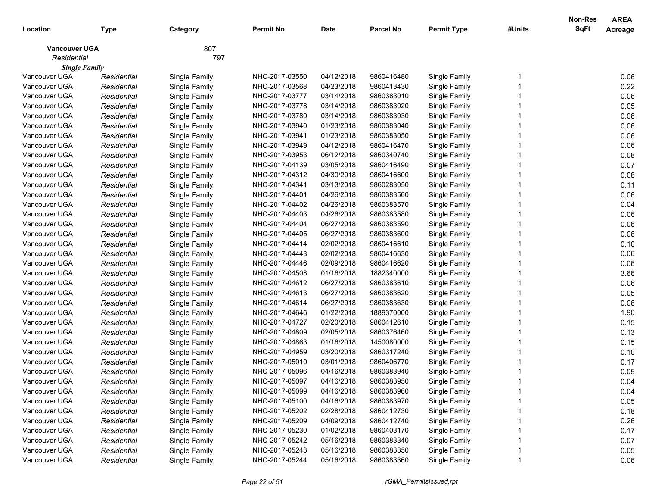|                      |             |               |                  |             |                  |                    |        | Non-Res     | <b>AREA</b> |
|----------------------|-------------|---------------|------------------|-------------|------------------|--------------------|--------|-------------|-------------|
| Location             | Type        | Category      | <b>Permit No</b> | <b>Date</b> | <b>Parcel No</b> | <b>Permit Type</b> | #Units | <b>SqFt</b> | Acreage     |
| <b>Vancouver UGA</b> |             | 807           |                  |             |                  |                    |        |             |             |
| Residential          |             | 797           |                  |             |                  |                    |        |             |             |
| <b>Single Family</b> |             |               |                  |             |                  |                    |        |             |             |
| Vancouver UGA        | Residential | Single Family | NHC-2017-03550   | 04/12/2018  | 9860416480       | Single Family      |        |             | 0.06        |
| Vancouver UGA        | Residential | Single Family | NHC-2017-03568   | 04/23/2018  | 9860413430       | Single Family      |        |             | 0.22        |
| Vancouver UGA        | Residential | Single Family | NHC-2017-03777   | 03/14/2018  | 9860383010       | Single Family      |        |             | 0.06        |
| Vancouver UGA        | Residential | Single Family | NHC-2017-03778   | 03/14/2018  | 9860383020       | Single Family      |        |             | 0.05        |
| Vancouver UGA        | Residential | Single Family | NHC-2017-03780   | 03/14/2018  | 9860383030       | Single Family      |        |             | 0.06        |
| Vancouver UGA        | Residential | Single Family | NHC-2017-03940   | 01/23/2018  | 9860383040       | Single Family      |        |             | 0.06        |
| Vancouver UGA        | Residential | Single Family | NHC-2017-03941   | 01/23/2018  | 9860383050       | Single Family      |        |             | 0.06        |
| Vancouver UGA        | Residential | Single Family | NHC-2017-03949   | 04/12/2018  | 9860416470       | Single Family      |        |             | 0.06        |
| Vancouver UGA        | Residential | Single Family | NHC-2017-03953   | 06/12/2018  | 9860340740       | Single Family      |        |             | 0.08        |
| Vancouver UGA        | Residential | Single Family | NHC-2017-04139   | 03/05/2018  | 9860416490       | Single Family      |        |             | 0.07        |
| Vancouver UGA        | Residential | Single Family | NHC-2017-04312   | 04/30/2018  | 9860416600       | Single Family      |        |             | 0.08        |
| Vancouver UGA        | Residential | Single Family | NHC-2017-04341   | 03/13/2018  | 9860283050       | Single Family      |        |             | 0.11        |
| Vancouver UGA        | Residential | Single Family | NHC-2017-04401   | 04/26/2018  | 9860383560       | Single Family      |        |             | 0.06        |
| Vancouver UGA        | Residential | Single Family | NHC-2017-04402   | 04/26/2018  | 9860383570       | Single Family      |        |             | 0.04        |
| Vancouver UGA        | Residential | Single Family | NHC-2017-04403   | 04/26/2018  | 9860383580       | Single Family      |        |             | 0.06        |
| Vancouver UGA        | Residential | Single Family | NHC-2017-04404   | 06/27/2018  | 9860383590       | Single Family      |        |             | 0.06        |
| Vancouver UGA        | Residential | Single Family | NHC-2017-04405   | 06/27/2018  | 9860383600       | Single Family      |        |             | 0.06        |
| Vancouver UGA        | Residential | Single Family | NHC-2017-04414   | 02/02/2018  | 9860416610       | Single Family      |        |             | 0.10        |
| Vancouver UGA        | Residential | Single Family | NHC-2017-04443   | 02/02/2018  | 9860416630       | Single Family      |        |             | 0.06        |
| Vancouver UGA        | Residential | Single Family | NHC-2017-04446   | 02/09/2018  | 9860416620       | Single Family      |        |             | 0.06        |
| Vancouver UGA        | Residential | Single Family | NHC-2017-04508   | 01/16/2018  | 1882340000       | Single Family      |        |             | 3.66        |
| Vancouver UGA        | Residential | Single Family | NHC-2017-04612   | 06/27/2018  | 9860383610       | Single Family      |        |             | 0.06        |
| Vancouver UGA        | Residential | Single Family | NHC-2017-04613   | 06/27/2018  | 9860383620       | Single Family      |        |             | 0.05        |
| Vancouver UGA        | Residential | Single Family | NHC-2017-04614   | 06/27/2018  | 9860383630       | Single Family      |        |             | 0.06        |
| Vancouver UGA        | Residential | Single Family | NHC-2017-04646   | 01/22/2018  | 1889370000       | Single Family      |        |             | 1.90        |
| Vancouver UGA        | Residential | Single Family | NHC-2017-04727   | 02/20/2018  | 9860412610       | Single Family      |        |             | 0.15        |
| Vancouver UGA        | Residential | Single Family | NHC-2017-04809   | 02/05/2018  | 9860376460       | Single Family      |        |             | 0.13        |
| Vancouver UGA        | Residential | Single Family | NHC-2017-04863   | 01/16/2018  | 1450080000       | Single Family      |        |             | 0.15        |
| Vancouver UGA        | Residential | Single Family | NHC-2017-04959   | 03/20/2018  | 9860317240       | Single Family      |        |             | 0.10        |
| Vancouver UGA        | Residential | Single Family | NHC-2017-05010   | 03/01/2018  | 9860406770       | Single Family      |        |             | 0.17        |
| Vancouver UGA        | Residential | Single Family | NHC-2017-05096   | 04/16/2018  | 9860383940       | Single Family      |        |             | 0.05        |
| Vancouver UGA        | Residential | Single Family | NHC-2017-05097   | 04/16/2018  | 9860383950       | Single Family      |        |             | 0.04        |
| Vancouver UGA        | Residential | Single Family | NHC-2017-05099   | 04/16/2018  | 9860383960       | Single Family      |        |             | 0.04        |
| Vancouver UGA        | Residential | Single Family | NHC-2017-05100   | 04/16/2018  | 9860383970       | Single Family      |        |             | 0.05        |
| Vancouver UGA        | Residential | Single Family | NHC-2017-05202   | 02/28/2018  | 9860412730       | Single Family      |        |             | 0.18        |
| Vancouver UGA        | Residential | Single Family | NHC-2017-05209   | 04/09/2018  | 9860412740       | Single Family      |        |             | 0.26        |
| Vancouver UGA        | Residential | Single Family | NHC-2017-05230   | 01/02/2018  | 9860403170       | Single Family      |        |             | 0.17        |
| Vancouver UGA        | Residential | Single Family | NHC-2017-05242   | 05/16/2018  | 9860383340       | Single Family      |        |             | 0.07        |
| Vancouver UGA        | Residential | Single Family | NHC-2017-05243   | 05/16/2018  | 9860383350       | Single Family      |        |             | 0.05        |
| Vancouver UGA        | Residential | Single Family | NHC-2017-05244   | 05/16/2018  | 9860383360       | Single Family      |        |             | 0.06        |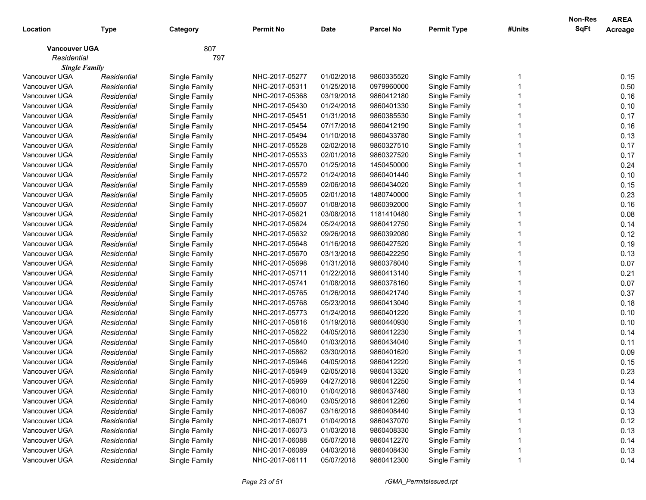| Location                            | <b>Type</b> | Category      | <b>Permit No</b> | <b>Date</b> | <b>Parcel No</b> | <b>Permit Type</b> | #Units | Non-Res<br>SqFt | <b>AREA</b><br>Acreage |
|-------------------------------------|-------------|---------------|------------------|-------------|------------------|--------------------|--------|-----------------|------------------------|
| <b>Vancouver UGA</b><br>Residential |             | 807<br>797    |                  |             |                  |                    |        |                 |                        |
| <b>Single Family</b>                |             |               |                  |             |                  |                    |        |                 |                        |
| Vancouver UGA                       | Residential | Single Family | NHC-2017-05277   | 01/02/2018  | 9860335520       | Single Family      |        |                 | 0.15                   |
| Vancouver UGA                       | Residential | Single Family | NHC-2017-05311   | 01/25/2018  | 0979960000       | Single Family      |        |                 | 0.50                   |
| Vancouver UGA                       | Residential | Single Family | NHC-2017-05368   | 03/19/2018  | 9860412180       | Single Family      |        |                 | 0.16                   |
| Vancouver UGA                       | Residential | Single Family | NHC-2017-05430   | 01/24/2018  | 9860401330       | Single Family      |        |                 | 0.10                   |
| Vancouver UGA                       | Residential | Single Family | NHC-2017-05451   | 01/31/2018  | 9860385530       | Single Family      |        |                 | 0.17                   |
| Vancouver UGA                       | Residential | Single Family | NHC-2017-05454   | 07/17/2018  | 9860412190       | Single Family      |        |                 | 0.16                   |
| Vancouver UGA                       | Residential | Single Family | NHC-2017-05494   | 01/10/2018  | 9860433780       | Single Family      |        |                 | 0.13                   |
| Vancouver UGA                       | Residential | Single Family | NHC-2017-05528   | 02/02/2018  | 9860327510       | Single Family      |        |                 | 0.17                   |
| Vancouver UGA                       | Residential | Single Family | NHC-2017-05533   | 02/01/2018  | 9860327520       | Single Family      |        |                 | 0.17                   |
| Vancouver UGA                       | Residential | Single Family | NHC-2017-05570   | 01/25/2018  | 1450450000       | Single Family      |        |                 | 0.24                   |
| Vancouver UGA                       | Residential | Single Family | NHC-2017-05572   | 01/24/2018  | 9860401440       | Single Family      |        |                 | 0.10                   |
| Vancouver UGA                       | Residential | Single Family | NHC-2017-05589   | 02/06/2018  | 9860434020       | Single Family      |        |                 | 0.15                   |
| Vancouver UGA                       | Residential | Single Family | NHC-2017-05605   | 02/01/2018  | 1480740000       | Single Family      |        |                 | 0.23                   |
| Vancouver UGA                       | Residential | Single Family | NHC-2017-05607   | 01/08/2018  | 9860392000       | Single Family      |        |                 | 0.16                   |
| Vancouver UGA                       | Residential | Single Family | NHC-2017-05621   | 03/08/2018  | 1181410480       | Single Family      |        |                 | 0.08                   |
| Vancouver UGA                       | Residential | Single Family | NHC-2017-05624   | 05/24/2018  | 9860412750       | Single Family      |        |                 | 0.14                   |
| Vancouver UGA                       | Residential | Single Family | NHC-2017-05632   | 09/26/2018  | 9860392080       | Single Family      |        |                 | 0.12                   |
| Vancouver UGA                       | Residential | Single Family | NHC-2017-05648   | 01/16/2018  | 9860427520       | Single Family      |        |                 | 0.19                   |
| Vancouver UGA                       | Residential | Single Family | NHC-2017-05670   | 03/13/2018  | 9860422250       | Single Family      |        |                 | 0.13                   |
| Vancouver UGA                       | Residential | Single Family | NHC-2017-05698   | 01/31/2018  | 9860378040       | Single Family      |        |                 | 0.07                   |
| Vancouver UGA                       | Residential | Single Family | NHC-2017-05711   | 01/22/2018  | 9860413140       | Single Family      |        |                 | 0.21                   |
| Vancouver UGA                       | Residential | Single Family | NHC-2017-05741   | 01/08/2018  | 9860378160       | Single Family      |        |                 | 0.07                   |
| Vancouver UGA                       | Residential | Single Family | NHC-2017-05765   | 01/26/2018  | 9860421740       | Single Family      |        |                 | 0.37                   |
| Vancouver UGA                       | Residential | Single Family | NHC-2017-05768   | 05/23/2018  | 9860413040       | Single Family      |        |                 | 0.18                   |
| Vancouver UGA                       | Residential | Single Family | NHC-2017-05773   | 01/24/2018  | 9860401220       | Single Family      |        |                 | 0.10                   |
| Vancouver UGA                       | Residential | Single Family | NHC-2017-05816   | 01/19/2018  | 9860440930       | Single Family      |        |                 | 0.10                   |
| Vancouver UGA                       | Residential | Single Family | NHC-2017-05822   | 04/05/2018  | 9860412230       | Single Family      |        |                 | 0.14                   |
| Vancouver UGA                       | Residential | Single Family | NHC-2017-05840   | 01/03/2018  | 9860434040       | Single Family      |        |                 | 0.11                   |
| Vancouver UGA                       | Residential | Single Family | NHC-2017-05862   | 03/30/2018  | 9860401620       | Single Family      |        |                 | 0.09                   |
| Vancouver UGA                       | Residential | Single Family | NHC-2017-05946   | 04/05/2018  | 9860412220       | Single Family      |        |                 | 0.15                   |
| Vancouver UGA                       | Residential | Single Family | NHC-2017-05949   | 02/05/2018  | 9860413320       | Single Family      |        |                 | 0.23                   |
| Vancouver UGA                       | Residential | Single Family | NHC-2017-05969   | 04/27/2018  | 9860412250       | Single Family      |        |                 | 0.14                   |
| Vancouver UGA                       | Residential | Single Family | NHC-2017-06010   | 01/04/2018  | 9860437480       | Single Family      |        |                 | 0.13                   |
| Vancouver UGA                       | Residential | Single Family | NHC-2017-06040   | 03/05/2018  | 9860412260       | Single Family      |        |                 | 0.14                   |
| Vancouver UGA                       | Residential | Single Family | NHC-2017-06067   | 03/16/2018  | 9860408440       | Single Family      |        |                 | 0.13                   |
| Vancouver UGA                       | Residential | Single Family | NHC-2017-06071   | 01/04/2018  | 9860437070       | Single Family      |        |                 | 0.12                   |
| Vancouver UGA                       | Residential | Single Family | NHC-2017-06073   | 01/03/2018  | 9860408330       | Single Family      |        |                 | 0.13                   |
| Vancouver UGA                       | Residential | Single Family | NHC-2017-06088   | 05/07/2018  | 9860412270       | Single Family      |        |                 | 0.14                   |
| Vancouver UGA                       | Residential | Single Family | NHC-2017-06089   | 04/03/2018  | 9860408430       | Single Family      |        |                 | 0.13                   |
| Vancouver UGA                       | Residential | Single Family | NHC-2017-06111   | 05/07/2018  | 9860412300       | Single Family      |        |                 | 0.14                   |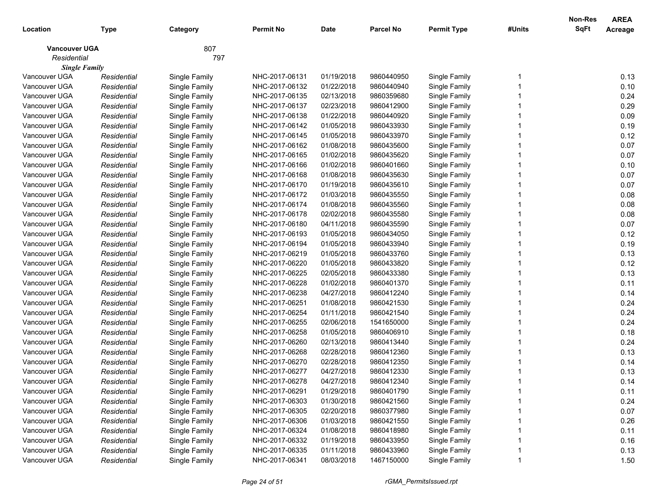|                      |             |               |                  |             |                  |                    |        | Non-Res     | <b>AREA</b> |
|----------------------|-------------|---------------|------------------|-------------|------------------|--------------------|--------|-------------|-------------|
| Location             | Type        | Category      | <b>Permit No</b> | <b>Date</b> | <b>Parcel No</b> | <b>Permit Type</b> | #Units | <b>SqFt</b> | Acreage     |
| <b>Vancouver UGA</b> |             | 807           |                  |             |                  |                    |        |             |             |
| Residential          |             | 797           |                  |             |                  |                    |        |             |             |
| <b>Single Family</b> |             |               |                  |             |                  |                    |        |             |             |
| Vancouver UGA        | Residential | Single Family | NHC-2017-06131   | 01/19/2018  | 9860440950       | Single Family      |        |             | 0.13        |
| Vancouver UGA        | Residential | Single Family | NHC-2017-06132   | 01/22/2018  | 9860440940       | Single Family      |        |             | 0.10        |
| Vancouver UGA        | Residential | Single Family | NHC-2017-06135   | 02/13/2018  | 9860359680       | Single Family      |        |             | 0.24        |
| Vancouver UGA        | Residential | Single Family | NHC-2017-06137   | 02/23/2018  | 9860412900       | Single Family      |        |             | 0.29        |
| Vancouver UGA        | Residential | Single Family | NHC-2017-06138   | 01/22/2018  | 9860440920       | Single Family      |        |             | 0.09        |
| Vancouver UGA        | Residential | Single Family | NHC-2017-06142   | 01/05/2018  | 9860433930       | Single Family      |        |             | 0.19        |
| Vancouver UGA        | Residential | Single Family | NHC-2017-06145   | 01/05/2018  | 9860433970       | Single Family      |        |             | 0.12        |
| Vancouver UGA        | Residential | Single Family | NHC-2017-06162   | 01/08/2018  | 9860435600       | Single Family      |        |             | 0.07        |
| Vancouver UGA        | Residential | Single Family | NHC-2017-06165   | 01/02/2018  | 9860435620       | Single Family      |        |             | 0.07        |
| Vancouver UGA        | Residential | Single Family | NHC-2017-06166   | 01/02/2018  | 9860401660       | Single Family      |        |             | 0.10        |
| Vancouver UGA        | Residential | Single Family | NHC-2017-06168   | 01/08/2018  | 9860435630       | Single Family      |        |             | 0.07        |
| Vancouver UGA        | Residential | Single Family | NHC-2017-06170   | 01/19/2018  | 9860435610       | Single Family      |        |             | 0.07        |
| Vancouver UGA        | Residential | Single Family | NHC-2017-06172   | 01/03/2018  | 9860435550       | Single Family      |        |             | 0.08        |
| Vancouver UGA        | Residential | Single Family | NHC-2017-06174   | 01/08/2018  | 9860435560       | Single Family      |        |             | 0.08        |
| Vancouver UGA        | Residential | Single Family | NHC-2017-06178   | 02/02/2018  | 9860435580       | Single Family      |        |             | 0.08        |
| Vancouver UGA        | Residential | Single Family | NHC-2017-06180   | 04/11/2018  | 9860435590       | Single Family      |        |             | 0.07        |
| Vancouver UGA        | Residential | Single Family | NHC-2017-06193   | 01/05/2018  | 9860434050       | Single Family      |        |             | 0.12        |
| Vancouver UGA        | Residential | Single Family | NHC-2017-06194   | 01/05/2018  | 9860433940       | Single Family      |        |             | 0.19        |
| Vancouver UGA        | Residential | Single Family | NHC-2017-06219   | 01/05/2018  | 9860433760       | Single Family      |        |             | 0.13        |
| Vancouver UGA        | Residential | Single Family | NHC-2017-06220   | 01/05/2018  | 9860433820       | Single Family      |        |             | 0.12        |
| Vancouver UGA        | Residential | Single Family | NHC-2017-06225   | 02/05/2018  | 9860433380       | Single Family      |        |             | 0.13        |
| Vancouver UGA        | Residential | Single Family | NHC-2017-06228   | 01/02/2018  | 9860401370       | Single Family      |        |             | 0.11        |
| Vancouver UGA        | Residential | Single Family | NHC-2017-06238   | 04/27/2018  | 9860412240       | Single Family      |        |             | 0.14        |
| Vancouver UGA        | Residential | Single Family | NHC-2017-06251   | 01/08/2018  | 9860421530       | Single Family      |        |             | 0.24        |
| Vancouver UGA        | Residential | Single Family | NHC-2017-06254   | 01/11/2018  | 9860421540       | Single Family      |        |             | 0.24        |
| Vancouver UGA        | Residential | Single Family | NHC-2017-06255   | 02/06/2018  | 1541650000       | Single Family      |        |             | 0.24        |
| Vancouver UGA        | Residential | Single Family | NHC-2017-06258   | 01/05/2018  | 9860406910       | Single Family      |        |             | 0.18        |
| Vancouver UGA        | Residential | Single Family | NHC-2017-06260   | 02/13/2018  | 9860413440       | Single Family      |        |             | 0.24        |
| Vancouver UGA        | Residential | Single Family | NHC-2017-06268   | 02/28/2018  | 9860412360       | Single Family      |        |             | 0.13        |
| Vancouver UGA        | Residential | Single Family | NHC-2017-06270   | 02/28/2018  | 9860412350       | Single Family      |        |             | 0.14        |
| Vancouver UGA        | Residential | Single Family | NHC-2017-06277   | 04/27/2018  | 9860412330       | Single Family      |        |             | 0.13        |
| Vancouver UGA        | Residential | Single Family | NHC-2017-06278   | 04/27/2018  | 9860412340       | Single Family      |        |             | 0.14        |
| Vancouver UGA        | Residential | Single Family | NHC-2017-06291   | 01/29/2018  | 9860401790       | Single Family      |        |             | 0.11        |
| Vancouver UGA        | Residential | Single Family | NHC-2017-06303   | 01/30/2018  | 9860421560       | Single Family      |        |             | 0.24        |
| Vancouver UGA        | Residential | Single Family | NHC-2017-06305   | 02/20/2018  | 9860377980       | Single Family      |        |             | 0.07        |
| Vancouver UGA        | Residential | Single Family | NHC-2017-06306   | 01/03/2018  | 9860421550       | Single Family      |        |             | 0.26        |
| Vancouver UGA        | Residential | Single Family | NHC-2017-06324   | 01/08/2018  | 9860418980       | Single Family      |        |             | 0.11        |
| Vancouver UGA        | Residential | Single Family | NHC-2017-06332   | 01/19/2018  | 9860433950       | Single Family      |        |             | 0.16        |
| Vancouver UGA        | Residential | Single Family | NHC-2017-06335   | 01/11/2018  | 9860433960       | Single Family      |        |             | 0.13        |
| Vancouver UGA        | Residential | Single Family | NHC-2017-06341   | 08/03/2018  | 1467150000       | Single Family      |        |             | 1.50        |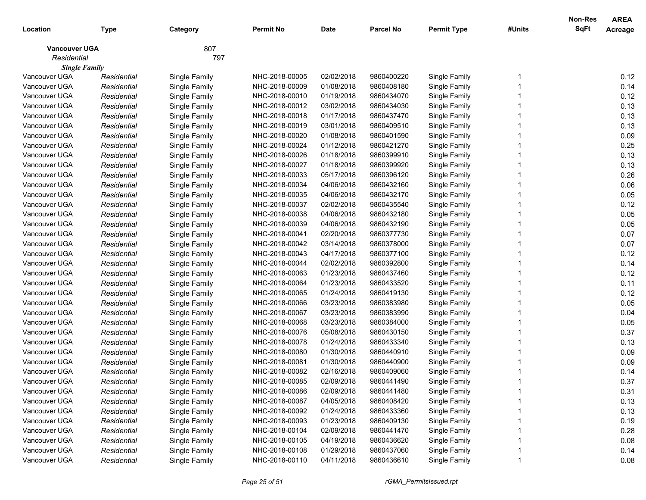|                      |             |               |                |             |                  |                    |        | Non-Res     | <b>AREA</b> |
|----------------------|-------------|---------------|----------------|-------------|------------------|--------------------|--------|-------------|-------------|
| Location             | Type        | Category      | Permit No      | <b>Date</b> | <b>Parcel No</b> | <b>Permit Type</b> | #Units | <b>SqFt</b> | Acreage     |
| <b>Vancouver UGA</b> |             | 807           |                |             |                  |                    |        |             |             |
| Residential          |             | 797           |                |             |                  |                    |        |             |             |
| <b>Single Family</b> |             |               |                |             |                  |                    |        |             |             |
| Vancouver UGA        | Residential | Single Family | NHC-2018-00005 | 02/02/2018  | 9860400220       | Single Family      |        |             | 0.12        |
| Vancouver UGA        | Residential | Single Family | NHC-2018-00009 | 01/08/2018  | 9860408180       | Single Family      |        |             | 0.14        |
| Vancouver UGA        | Residential | Single Family | NHC-2018-00010 | 01/19/2018  | 9860434070       | Single Family      |        |             | 0.12        |
| Vancouver UGA        | Residential | Single Family | NHC-2018-00012 | 03/02/2018  | 9860434030       | Single Family      |        |             | 0.13        |
| Vancouver UGA        | Residential | Single Family | NHC-2018-00018 | 01/17/2018  | 9860437470       | Single Family      |        |             | 0.13        |
| Vancouver UGA        | Residential | Single Family | NHC-2018-00019 | 03/01/2018  | 9860409510       | Single Family      |        |             | 0.13        |
| Vancouver UGA        | Residential | Single Family | NHC-2018-00020 | 01/08/2018  | 9860401590       | Single Family      |        |             | 0.09        |
| Vancouver UGA        | Residential | Single Family | NHC-2018-00024 | 01/12/2018  | 9860421270       | Single Family      |        |             | 0.25        |
| Vancouver UGA        | Residential | Single Family | NHC-2018-00026 | 01/18/2018  | 9860399910       | Single Family      |        |             | 0.13        |
| Vancouver UGA        | Residential | Single Family | NHC-2018-00027 | 01/18/2018  | 9860399920       | Single Family      |        |             | 0.13        |
| Vancouver UGA        | Residential | Single Family | NHC-2018-00033 | 05/17/2018  | 9860396120       | Single Family      |        |             | 0.26        |
| Vancouver UGA        | Residential | Single Family | NHC-2018-00034 | 04/06/2018  | 9860432160       | Single Family      |        |             | 0.06        |
| Vancouver UGA        | Residential | Single Family | NHC-2018-00035 | 04/06/2018  | 9860432170       | Single Family      |        |             | 0.05        |
| Vancouver UGA        | Residential | Single Family | NHC-2018-00037 | 02/02/2018  | 9860435540       | Single Family      |        |             | 0.12        |
| Vancouver UGA        | Residential | Single Family | NHC-2018-00038 | 04/06/2018  | 9860432180       | Single Family      |        |             | 0.05        |
| Vancouver UGA        | Residential | Single Family | NHC-2018-00039 | 04/06/2018  | 9860432190       | Single Family      |        |             | 0.05        |
| Vancouver UGA        | Residential | Single Family | NHC-2018-00041 | 02/20/2018  | 9860377730       | Single Family      |        |             | 0.07        |
| Vancouver UGA        | Residential | Single Family | NHC-2018-00042 | 03/14/2018  | 9860378000       | Single Family      |        |             | 0.07        |
| Vancouver UGA        | Residential | Single Family | NHC-2018-00043 | 04/17/2018  | 9860377100       | Single Family      |        |             | 0.12        |
| Vancouver UGA        | Residential | Single Family | NHC-2018-00044 | 02/02/2018  | 9860392800       | Single Family      |        |             | 0.14        |
| Vancouver UGA        | Residential | Single Family | NHC-2018-00063 | 01/23/2018  | 9860437460       | Single Family      |        |             | 0.12        |
| Vancouver UGA        | Residential | Single Family | NHC-2018-00064 | 01/23/2018  | 9860433520       | Single Family      |        |             | 0.11        |
| Vancouver UGA        | Residential | Single Family | NHC-2018-00065 | 01/24/2018  | 9860419130       | Single Family      |        |             | 0.12        |
| Vancouver UGA        | Residential | Single Family | NHC-2018-00066 | 03/23/2018  | 9860383980       | Single Family      |        |             | 0.05        |
| Vancouver UGA        | Residential | Single Family | NHC-2018-00067 | 03/23/2018  | 9860383990       | Single Family      |        |             | 0.04        |
| Vancouver UGA        | Residential | Single Family | NHC-2018-00068 | 03/23/2018  | 9860384000       | Single Family      |        |             | 0.05        |
| Vancouver UGA        | Residential | Single Family | NHC-2018-00076 | 05/08/2018  | 9860430150       | Single Family      |        |             | 0.37        |
| Vancouver UGA        | Residential | Single Family | NHC-2018-00078 | 01/24/2018  | 9860433340       | Single Family      |        |             | 0.13        |
| Vancouver UGA        | Residential | Single Family | NHC-2018-00080 | 01/30/2018  | 9860440910       | Single Family      |        |             | 0.09        |
| Vancouver UGA        | Residential | Single Family | NHC-2018-00081 | 01/30/2018  | 9860440900       | Single Family      |        |             | 0.09        |
| Vancouver UGA        | Residential | Single Family | NHC-2018-00082 | 02/16/2018  | 9860409060       | Single Family      |        |             | 0.14        |
| Vancouver UGA        | Residential | Single Family | NHC-2018-00085 | 02/09/2018  | 9860441490       | Single Family      |        |             | 0.37        |
| Vancouver UGA        | Residential | Single Family | NHC-2018-00086 | 02/09/2018  | 9860441480       | Single Family      |        |             | 0.31        |
| Vancouver UGA        | Residential | Single Family | NHC-2018-00087 | 04/05/2018  | 9860408420       | Single Family      |        |             | 0.13        |
| Vancouver UGA        | Residential | Single Family | NHC-2018-00092 | 01/24/2018  | 9860433360       | Single Family      |        |             | 0.13        |
| Vancouver UGA        | Residential | Single Family | NHC-2018-00093 | 01/23/2018  | 9860409130       | Single Family      |        |             | 0.19        |
| Vancouver UGA        | Residential | Single Family | NHC-2018-00104 | 02/09/2018  | 9860441470       | Single Family      |        |             | 0.28        |
| Vancouver UGA        | Residential | Single Family | NHC-2018-00105 | 04/19/2018  | 9860436620       | Single Family      |        |             | 0.08        |
| Vancouver UGA        | Residential | Single Family | NHC-2018-00108 | 01/29/2018  | 9860437060       | Single Family      |        |             | 0.14        |
| Vancouver UGA        | Residential | Single Family | NHC-2018-00110 | 04/11/2018  | 9860436610       | Single Family      |        |             | 0.08        |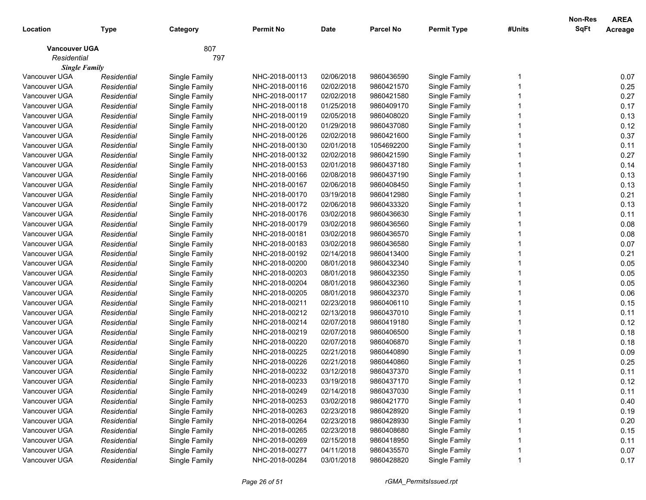| Location                            | <b>Type</b> | Category      | <b>Permit No</b> | <b>Date</b> | <b>Parcel No</b> | <b>Permit Type</b> | #Units | <b>Non-Res</b><br>SqFt | <b>AREA</b><br>Acreage |
|-------------------------------------|-------------|---------------|------------------|-------------|------------------|--------------------|--------|------------------------|------------------------|
| <b>Vancouver UGA</b><br>Residential |             | 807<br>797    |                  |             |                  |                    |        |                        |                        |
| <b>Single Family</b>                |             |               |                  |             |                  |                    |        |                        |                        |
| Vancouver UGA                       | Residential | Single Family | NHC-2018-00113   | 02/06/2018  | 9860436590       | Single Family      |        |                        | 0.07                   |
| Vancouver UGA                       | Residential | Single Family | NHC-2018-00116   | 02/02/2018  | 9860421570       | Single Family      |        |                        | 0.25                   |
| Vancouver UGA                       | Residential | Single Family | NHC-2018-00117   | 02/02/2018  | 9860421580       | Single Family      |        |                        | 0.27                   |
| Vancouver UGA                       | Residential | Single Family | NHC-2018-00118   | 01/25/2018  | 9860409170       | Single Family      |        |                        | 0.17                   |
| Vancouver UGA                       | Residential | Single Family | NHC-2018-00119   | 02/05/2018  | 9860408020       | Single Family      |        |                        | 0.13                   |
| Vancouver UGA                       | Residential | Single Family | NHC-2018-00120   | 01/29/2018  | 9860437080       | Single Family      |        |                        | 0.12                   |
| Vancouver UGA                       | Residential | Single Family | NHC-2018-00126   | 02/02/2018  | 9860421600       | Single Family      |        |                        | 0.37                   |
| Vancouver UGA                       | Residential | Single Family | NHC-2018-00130   | 02/01/2018  | 1054692200       | Single Family      |        |                        | 0.11                   |
| Vancouver UGA                       | Residential | Single Family | NHC-2018-00132   | 02/02/2018  | 9860421590       | Single Family      |        |                        | 0.27                   |
| Vancouver UGA                       | Residential | Single Family | NHC-2018-00153   | 02/01/2018  | 9860437180       | Single Family      |        |                        | 0.14                   |
| Vancouver UGA                       | Residential | Single Family | NHC-2018-00166   | 02/08/2018  | 9860437190       | Single Family      |        |                        | 0.13                   |
| Vancouver UGA                       | Residential | Single Family | NHC-2018-00167   | 02/06/2018  | 9860408450       | Single Family      |        |                        | 0.13                   |
| Vancouver UGA                       | Residential | Single Family | NHC-2018-00170   | 03/19/2018  | 9860412980       | Single Family      |        |                        | 0.21                   |
| Vancouver UGA                       | Residential | Single Family | NHC-2018-00172   | 02/06/2018  | 9860433320       | Single Family      |        |                        | 0.13                   |
| Vancouver UGA                       | Residential | Single Family | NHC-2018-00176   | 03/02/2018  | 9860436630       | Single Family      |        |                        | 0.11                   |
| Vancouver UGA                       | Residential | Single Family | NHC-2018-00179   | 03/02/2018  | 9860436560       | Single Family      |        |                        | 0.08                   |
| Vancouver UGA                       | Residential | Single Family | NHC-2018-00181   | 03/02/2018  | 9860436570       | Single Family      |        |                        | 0.08                   |
| Vancouver UGA                       | Residential | Single Family | NHC-2018-00183   | 03/02/2018  | 9860436580       | Single Family      |        |                        | 0.07                   |
| Vancouver UGA                       | Residential | Single Family | NHC-2018-00192   | 02/14/2018  | 9860413400       | Single Family      |        |                        | 0.21                   |
| Vancouver UGA                       | Residential | Single Family | NHC-2018-00200   | 08/01/2018  | 9860432340       | Single Family      |        |                        | 0.05                   |
| Vancouver UGA                       | Residential | Single Family | NHC-2018-00203   | 08/01/2018  | 9860432350       | Single Family      |        |                        | 0.05                   |
| Vancouver UGA                       | Residential | Single Family | NHC-2018-00204   | 08/01/2018  | 9860432360       | Single Family      |        |                        | 0.05                   |
| Vancouver UGA                       | Residential | Single Family | NHC-2018-00205   | 08/01/2018  | 9860432370       | Single Family      |        |                        | 0.06                   |
| Vancouver UGA                       | Residential | Single Family | NHC-2018-00211   | 02/23/2018  | 9860406110       | Single Family      |        |                        | 0.15                   |
| Vancouver UGA                       | Residential | Single Family | NHC-2018-00212   | 02/13/2018  | 9860437010       | Single Family      |        |                        | 0.11                   |
| Vancouver UGA                       | Residential | Single Family | NHC-2018-00214   | 02/07/2018  | 9860419180       | Single Family      |        |                        | 0.12                   |
| Vancouver UGA                       | Residential | Single Family | NHC-2018-00219   | 02/07/2018  | 9860406500       | Single Family      |        |                        | 0.18                   |
| Vancouver UGA                       | Residential | Single Family | NHC-2018-00220   | 02/07/2018  | 9860406870       | Single Family      |        |                        | 0.18                   |
| Vancouver UGA                       | Residential | Single Family | NHC-2018-00225   | 02/21/2018  | 9860440890       | Single Family      |        |                        | 0.09                   |
| Vancouver UGA                       | Residential | Single Family | NHC-2018-00226   | 02/21/2018  | 9860440860       | Single Family      |        |                        | 0.25                   |
| Vancouver UGA                       | Residential | Single Family | NHC-2018-00232   | 03/12/2018  | 9860437370       | Single Family      |        |                        | 0.11                   |
| Vancouver UGA                       | Residential | Single Family | NHC-2018-00233   | 03/19/2018  | 9860437170       | Single Family      |        |                        | 0.12                   |
| Vancouver UGA                       | Residential | Single Family | NHC-2018-00249   | 02/14/2018  | 9860437030       | Single Family      |        |                        | 0.11                   |
| Vancouver UGA                       | Residential | Single Family | NHC-2018-00253   | 03/02/2018  | 9860421770       | Single Family      |        |                        | 0.40                   |
| Vancouver UGA                       | Residential | Single Family | NHC-2018-00263   | 02/23/2018  | 9860428920       | Single Family      |        |                        | 0.19                   |
| Vancouver UGA                       | Residential | Single Family | NHC-2018-00264   | 02/23/2018  | 9860428930       | Single Family      |        |                        | 0.20                   |
| Vancouver UGA                       | Residential | Single Family | NHC-2018-00265   | 02/23/2018  | 9860408680       | Single Family      |        |                        | 0.15                   |
| Vancouver UGA                       | Residential | Single Family | NHC-2018-00269   | 02/15/2018  | 9860418950       | Single Family      |        |                        | 0.11                   |
| Vancouver UGA                       | Residential | Single Family | NHC-2018-00277   | 04/11/2018  | 9860435570       | Single Family      |        |                        | 0.07                   |
| Vancouver UGA                       | Residential | Single Family | NHC-2018-00284   | 03/01/2018  | 9860428820       | Single Family      |        |                        | 0.17                   |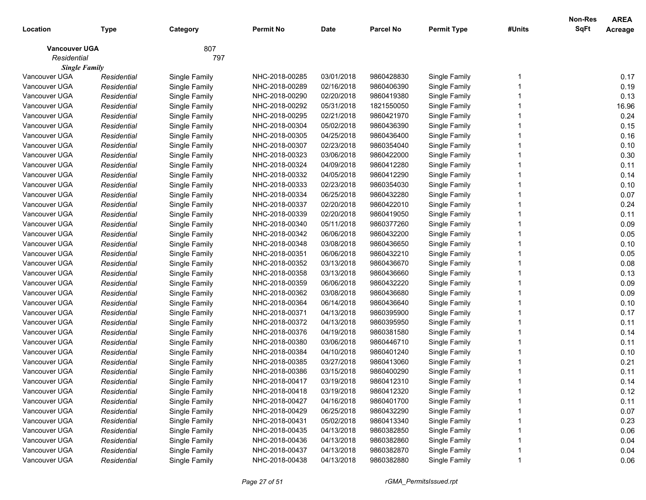|                      |             |               |                  |             |                  |                    |        | Non-Res     | <b>AREA</b> |
|----------------------|-------------|---------------|------------------|-------------|------------------|--------------------|--------|-------------|-------------|
| Location             | Type        | Category      | <b>Permit No</b> | <b>Date</b> | <b>Parcel No</b> | <b>Permit Type</b> | #Units | <b>SqFt</b> | Acreage     |
| <b>Vancouver UGA</b> |             | 807           |                  |             |                  |                    |        |             |             |
| Residential          |             | 797           |                  |             |                  |                    |        |             |             |
| <b>Single Family</b> |             |               |                  |             |                  |                    |        |             |             |
| Vancouver UGA        | Residential | Single Family | NHC-2018-00285   | 03/01/2018  | 9860428830       | Single Family      |        |             | 0.17        |
| Vancouver UGA        | Residential | Single Family | NHC-2018-00289   | 02/16/2018  | 9860406390       | Single Family      |        |             | 0.19        |
| Vancouver UGA        | Residential | Single Family | NHC-2018-00290   | 02/20/2018  | 9860419380       | Single Family      |        |             | 0.13        |
| Vancouver UGA        | Residential | Single Family | NHC-2018-00292   | 05/31/2018  | 1821550050       | Single Family      |        |             | 16.96       |
| Vancouver UGA        | Residential | Single Family | NHC-2018-00295   | 02/21/2018  | 9860421970       | Single Family      |        |             | 0.24        |
| Vancouver UGA        | Residential | Single Family | NHC-2018-00304   | 05/02/2018  | 9860436390       | Single Family      |        |             | 0.15        |
| Vancouver UGA        | Residential | Single Family | NHC-2018-00305   | 04/25/2018  | 9860436400       | Single Family      |        |             | 0.16        |
| Vancouver UGA        | Residential | Single Family | NHC-2018-00307   | 02/23/2018  | 9860354040       | Single Family      |        |             | 0.10        |
| Vancouver UGA        | Residential | Single Family | NHC-2018-00323   | 03/06/2018  | 9860422000       | Single Family      |        |             | 0.30        |
| Vancouver UGA        | Residential | Single Family | NHC-2018-00324   | 04/09/2018  | 9860412280       | Single Family      |        |             | 0.11        |
| Vancouver UGA        | Residential | Single Family | NHC-2018-00332   | 04/05/2018  | 9860412290       | Single Family      |        |             | 0.14        |
| Vancouver UGA        | Residential | Single Family | NHC-2018-00333   | 02/23/2018  | 9860354030       | Single Family      |        |             | 0.10        |
| Vancouver UGA        | Residential | Single Family | NHC-2018-00334   | 06/25/2018  | 9860432280       | Single Family      |        |             | 0.07        |
| Vancouver UGA        | Residential | Single Family | NHC-2018-00337   | 02/20/2018  | 9860422010       | Single Family      |        |             | 0.24        |
| Vancouver UGA        | Residential | Single Family | NHC-2018-00339   | 02/20/2018  | 9860419050       | Single Family      |        |             | 0.11        |
| Vancouver UGA        | Residential | Single Family | NHC-2018-00340   | 05/11/2018  | 9860377260       | Single Family      |        |             | 0.09        |
| Vancouver UGA        | Residential | Single Family | NHC-2018-00342   | 06/06/2018  | 9860432200       | Single Family      |        |             | 0.05        |
| Vancouver UGA        | Residential | Single Family | NHC-2018-00348   | 03/08/2018  | 9860436650       | Single Family      |        |             | 0.10        |
| Vancouver UGA        | Residential | Single Family | NHC-2018-00351   | 06/06/2018  | 9860432210       | Single Family      |        |             | 0.05        |
| Vancouver UGA        | Residential | Single Family | NHC-2018-00352   | 03/13/2018  | 9860436670       | Single Family      |        |             | 0.08        |
| Vancouver UGA        | Residential | Single Family | NHC-2018-00358   | 03/13/2018  | 9860436660       | Single Family      |        |             | 0.13        |
| Vancouver UGA        | Residential | Single Family | NHC-2018-00359   | 06/06/2018  | 9860432220       | Single Family      |        |             | 0.09        |
| Vancouver UGA        | Residential | Single Family | NHC-2018-00362   | 03/08/2018  | 9860436680       | Single Family      |        |             | 0.09        |
| Vancouver UGA        | Residential | Single Family | NHC-2018-00364   | 06/14/2018  | 9860436640       | Single Family      |        |             | 0.10        |
| Vancouver UGA        | Residential | Single Family | NHC-2018-00371   | 04/13/2018  | 9860395900       | Single Family      |        |             | 0.17        |
| Vancouver UGA        | Residential | Single Family | NHC-2018-00372   | 04/13/2018  | 9860395950       | Single Family      |        |             | 0.11        |
| Vancouver UGA        | Residential | Single Family | NHC-2018-00376   | 04/19/2018  | 9860381580       | Single Family      |        |             | 0.14        |
| Vancouver UGA        | Residential | Single Family | NHC-2018-00380   | 03/06/2018  | 9860446710       | Single Family      |        |             | 0.11        |
| Vancouver UGA        | Residential | Single Family | NHC-2018-00384   | 04/10/2018  | 9860401240       | Single Family      |        |             | 0.10        |
| Vancouver UGA        | Residential | Single Family | NHC-2018-00385   | 03/27/2018  | 9860413060       | Single Family      |        |             | 0.21        |
| Vancouver UGA        | Residential | Single Family | NHC-2018-00386   | 03/15/2018  | 9860400290       | Single Family      |        |             | 0.11        |
| Vancouver UGA        | Residential | Single Family | NHC-2018-00417   | 03/19/2018  | 9860412310       | Single Family      |        |             | 0.14        |
| Vancouver UGA        | Residential | Single Family | NHC-2018-00418   | 03/19/2018  | 9860412320       | Single Family      |        |             | 0.12        |
| Vancouver UGA        | Residential | Single Family | NHC-2018-00427   | 04/16/2018  | 9860401700       | Single Family      |        |             | 0.11        |
| Vancouver UGA        | Residential | Single Family | NHC-2018-00429   | 06/25/2018  | 9860432290       | Single Family      |        |             | 0.07        |
| Vancouver UGA        | Residential | Single Family | NHC-2018-00431   | 05/02/2018  | 9860413340       | Single Family      |        |             | 0.23        |
| Vancouver UGA        | Residential | Single Family | NHC-2018-00435   | 04/13/2018  | 9860382850       | Single Family      |        |             | 0.06        |
| Vancouver UGA        | Residential | Single Family | NHC-2018-00436   | 04/13/2018  | 9860382860       | Single Family      |        |             | 0.04        |
| Vancouver UGA        | Residential | Single Family | NHC-2018-00437   | 04/13/2018  | 9860382870       | Single Family      |        |             | 0.04        |
| Vancouver UGA        | Residential | Single Family | NHC-2018-00438   | 04/13/2018  | 9860382880       | Single Family      |        |             | 0.06        |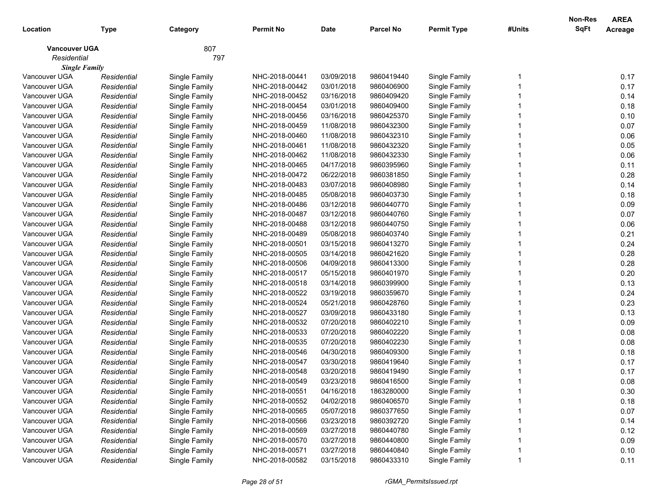|                      |             |               |                  |             |                  |                    |        | Non-Res     | <b>AREA</b> |
|----------------------|-------------|---------------|------------------|-------------|------------------|--------------------|--------|-------------|-------------|
| Location             | Type        | Category      | <b>Permit No</b> | <b>Date</b> | <b>Parcel No</b> | <b>Permit Type</b> | #Units | <b>SqFt</b> | Acreage     |
| <b>Vancouver UGA</b> |             | 807           |                  |             |                  |                    |        |             |             |
| Residential          |             | 797           |                  |             |                  |                    |        |             |             |
| <b>Single Family</b> |             |               |                  |             |                  |                    |        |             |             |
| Vancouver UGA        | Residential | Single Family | NHC-2018-00441   | 03/09/2018  | 9860419440       | Single Family      |        |             | 0.17        |
| Vancouver UGA        | Residential | Single Family | NHC-2018-00442   | 03/01/2018  | 9860406900       | Single Family      |        |             | 0.17        |
| Vancouver UGA        | Residential | Single Family | NHC-2018-00452   | 03/16/2018  | 9860409420       | Single Family      |        |             | 0.14        |
| Vancouver UGA        | Residential | Single Family | NHC-2018-00454   | 03/01/2018  | 9860409400       | Single Family      |        |             | 0.18        |
| Vancouver UGA        | Residential | Single Family | NHC-2018-00456   | 03/16/2018  | 9860425370       | Single Family      |        |             | 0.10        |
| Vancouver UGA        | Residential | Single Family | NHC-2018-00459   | 11/08/2018  | 9860432300       | Single Family      |        |             | 0.07        |
| Vancouver UGA        | Residential | Single Family | NHC-2018-00460   | 11/08/2018  | 9860432310       | Single Family      |        |             | 0.06        |
| Vancouver UGA        | Residential | Single Family | NHC-2018-00461   | 11/08/2018  | 9860432320       | Single Family      |        |             | 0.05        |
| Vancouver UGA        | Residential | Single Family | NHC-2018-00462   | 11/08/2018  | 9860432330       | Single Family      |        |             | 0.06        |
| Vancouver UGA        | Residential | Single Family | NHC-2018-00465   | 04/17/2018  | 9860395960       | Single Family      |        |             | 0.11        |
| Vancouver UGA        | Residential | Single Family | NHC-2018-00472   | 06/22/2018  | 9860381850       | Single Family      |        |             | 0.28        |
| Vancouver UGA        | Residential | Single Family | NHC-2018-00483   | 03/07/2018  | 9860408980       | Single Family      |        |             | 0.14        |
| Vancouver UGA        | Residential | Single Family | NHC-2018-00485   | 05/08/2018  | 9860403730       | Single Family      |        |             | 0.18        |
| Vancouver UGA        | Residential | Single Family | NHC-2018-00486   | 03/12/2018  | 9860440770       | Single Family      |        |             | 0.09        |
| Vancouver UGA        | Residential | Single Family | NHC-2018-00487   | 03/12/2018  | 9860440760       | Single Family      |        |             | 0.07        |
| Vancouver UGA        | Residential | Single Family | NHC-2018-00488   | 03/12/2018  | 9860440750       | Single Family      |        |             | 0.06        |
| Vancouver UGA        | Residential | Single Family | NHC-2018-00489   | 05/08/2018  | 9860403740       | Single Family      |        |             | 0.21        |
| Vancouver UGA        | Residential | Single Family | NHC-2018-00501   | 03/15/2018  | 9860413270       | Single Family      |        |             | 0.24        |
| Vancouver UGA        | Residential | Single Family | NHC-2018-00505   | 03/14/2018  | 9860421620       | Single Family      |        |             | 0.28        |
| Vancouver UGA        | Residential | Single Family | NHC-2018-00506   | 04/09/2018  | 9860413300       | Single Family      |        |             | 0.28        |
| Vancouver UGA        | Residential | Single Family | NHC-2018-00517   | 05/15/2018  | 9860401970       | Single Family      |        |             | 0.20        |
| Vancouver UGA        | Residential | Single Family | NHC-2018-00518   | 03/14/2018  | 9860399900       | Single Family      |        |             | 0.13        |
| Vancouver UGA        | Residential | Single Family | NHC-2018-00522   | 03/19/2018  | 9860359670       | Single Family      |        |             | 0.24        |
| Vancouver UGA        | Residential | Single Family | NHC-2018-00524   | 05/21/2018  | 9860428760       | Single Family      |        |             | 0.23        |
| Vancouver UGA        | Residential | Single Family | NHC-2018-00527   | 03/09/2018  | 9860433180       | Single Family      |        |             | 0.13        |
| Vancouver UGA        | Residential | Single Family | NHC-2018-00532   | 07/20/2018  | 9860402210       | Single Family      |        |             | 0.09        |
| Vancouver UGA        | Residential | Single Family | NHC-2018-00533   | 07/20/2018  | 9860402220       | Single Family      |        |             | 0.08        |
| Vancouver UGA        | Residential | Single Family | NHC-2018-00535   | 07/20/2018  | 9860402230       | Single Family      |        |             | 0.08        |
| Vancouver UGA        | Residential | Single Family | NHC-2018-00546   | 04/30/2018  | 9860409300       | Single Family      |        |             | 0.18        |
| Vancouver UGA        | Residential | Single Family | NHC-2018-00547   | 03/30/2018  | 9860419640       | Single Family      |        |             | 0.17        |
| Vancouver UGA        | Residential | Single Family | NHC-2018-00548   | 03/20/2018  | 9860419490       | Single Family      |        |             | 0.17        |
| Vancouver UGA        | Residential | Single Family | NHC-2018-00549   | 03/23/2018  | 9860416500       | Single Family      |        |             | 0.08        |
| Vancouver UGA        | Residential | Single Family | NHC-2018-00551   | 04/16/2018  | 1863280000       | Single Family      |        |             | 0.30        |
| Vancouver UGA        | Residential | Single Family | NHC-2018-00552   | 04/02/2018  | 9860406570       | Single Family      |        |             | 0.18        |
| Vancouver UGA        | Residential | Single Family | NHC-2018-00565   | 05/07/2018  | 9860377650       | Single Family      |        |             | 0.07        |
| Vancouver UGA        | Residential | Single Family | NHC-2018-00566   | 03/23/2018  | 9860392720       | Single Family      |        |             | 0.14        |
| Vancouver UGA        | Residential | Single Family | NHC-2018-00569   | 03/27/2018  | 9860440780       | Single Family      |        |             | 0.12        |
| Vancouver UGA        | Residential | Single Family | NHC-2018-00570   | 03/27/2018  | 9860440800       | Single Family      |        |             | 0.09        |
| Vancouver UGA        | Residential | Single Family | NHC-2018-00571   | 03/27/2018  | 9860440840       | Single Family      |        |             | 0.10        |
| Vancouver UGA        | Residential | Single Family | NHC-2018-00582   | 03/15/2018  | 9860433310       | Single Family      |        |             | 0.11        |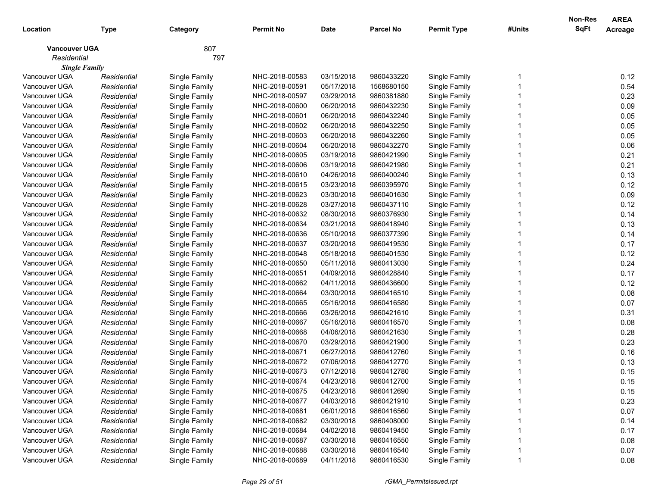|                      |             |               |                  |             |                  |                    |        | Non-Res     | <b>AREA</b> |
|----------------------|-------------|---------------|------------------|-------------|------------------|--------------------|--------|-------------|-------------|
| Location             | Type        | Category      | <b>Permit No</b> | <b>Date</b> | <b>Parcel No</b> | <b>Permit Type</b> | #Units | <b>SqFt</b> | Acreage     |
| <b>Vancouver UGA</b> |             | 807           |                  |             |                  |                    |        |             |             |
| Residential          |             | 797           |                  |             |                  |                    |        |             |             |
| <b>Single Family</b> |             |               |                  |             |                  |                    |        |             |             |
| Vancouver UGA        | Residential | Single Family | NHC-2018-00583   | 03/15/2018  | 9860433220       | Single Family      |        |             | 0.12        |
| Vancouver UGA        | Residential | Single Family | NHC-2018-00591   | 05/17/2018  | 1568680150       | Single Family      |        |             | 0.54        |
| Vancouver UGA        | Residential | Single Family | NHC-2018-00597   | 03/29/2018  | 9860381880       | Single Family      |        |             | 0.23        |
| Vancouver UGA        | Residential | Single Family | NHC-2018-00600   | 06/20/2018  | 9860432230       | Single Family      |        |             | 0.09        |
| Vancouver UGA        | Residential | Single Family | NHC-2018-00601   | 06/20/2018  | 9860432240       | Single Family      |        |             | 0.05        |
| Vancouver UGA        | Residential | Single Family | NHC-2018-00602   | 06/20/2018  | 9860432250       | Single Family      |        |             | 0.05        |
| Vancouver UGA        | Residential | Single Family | NHC-2018-00603   | 06/20/2018  | 9860432260       | Single Family      |        |             | 0.05        |
| Vancouver UGA        | Residential | Single Family | NHC-2018-00604   | 06/20/2018  | 9860432270       | Single Family      |        |             | 0.06        |
| Vancouver UGA        | Residential | Single Family | NHC-2018-00605   | 03/19/2018  | 9860421990       | Single Family      |        |             | 0.21        |
| Vancouver UGA        | Residential | Single Family | NHC-2018-00606   | 03/19/2018  | 9860421980       | Single Family      |        |             | 0.21        |
| Vancouver UGA        | Residential | Single Family | NHC-2018-00610   | 04/26/2018  | 9860400240       | Single Family      |        |             | 0.13        |
| Vancouver UGA        | Residential | Single Family | NHC-2018-00615   | 03/23/2018  | 9860395970       | Single Family      |        |             | 0.12        |
| Vancouver UGA        | Residential | Single Family | NHC-2018-00623   | 03/30/2018  | 9860401630       | Single Family      |        |             | 0.09        |
| Vancouver UGA        | Residential | Single Family | NHC-2018-00628   | 03/27/2018  | 9860437110       | Single Family      |        |             | 0.12        |
| Vancouver UGA        | Residential | Single Family | NHC-2018-00632   | 08/30/2018  | 9860376930       | Single Family      |        |             | 0.14        |
| Vancouver UGA        | Residential | Single Family | NHC-2018-00634   | 03/21/2018  | 9860418940       | Single Family      |        |             | 0.13        |
| Vancouver UGA        | Residential | Single Family | NHC-2018-00636   | 05/10/2018  | 9860377390       | Single Family      |        |             | 0.14        |
| Vancouver UGA        | Residential | Single Family | NHC-2018-00637   | 03/20/2018  | 9860419530       | Single Family      |        |             | 0.17        |
| Vancouver UGA        | Residential | Single Family | NHC-2018-00648   | 05/18/2018  | 9860401530       | Single Family      |        |             | 0.12        |
| Vancouver UGA        | Residential | Single Family | NHC-2018-00650   | 05/11/2018  | 9860413030       | Single Family      |        |             | 0.24        |
| Vancouver UGA        | Residential | Single Family | NHC-2018-00651   | 04/09/2018  | 9860428840       | Single Family      |        |             | 0.17        |
| Vancouver UGA        | Residential | Single Family | NHC-2018-00662   | 04/11/2018  | 9860436600       | Single Family      |        |             | 0.12        |
| Vancouver UGA        | Residential | Single Family | NHC-2018-00664   | 03/30/2018  | 9860416510       | Single Family      |        |             | 0.08        |
| Vancouver UGA        | Residential | Single Family | NHC-2018-00665   | 05/16/2018  | 9860416580       | Single Family      |        |             | 0.07        |
| Vancouver UGA        | Residential | Single Family | NHC-2018-00666   | 03/26/2018  | 9860421610       | Single Family      |        |             | 0.31        |
| Vancouver UGA        | Residential | Single Family | NHC-2018-00667   | 05/16/2018  | 9860416570       | Single Family      |        |             | 0.08        |
| Vancouver UGA        | Residential | Single Family | NHC-2018-00668   | 04/06/2018  | 9860421630       | Single Family      |        |             | 0.28        |
| Vancouver UGA        | Residential | Single Family | NHC-2018-00670   | 03/29/2018  | 9860421900       | Single Family      |        |             | 0.23        |
| Vancouver UGA        | Residential | Single Family | NHC-2018-00671   | 06/27/2018  | 9860412760       | Single Family      |        |             | 0.16        |
| Vancouver UGA        | Residential | Single Family | NHC-2018-00672   | 07/06/2018  | 9860412770       | Single Family      |        |             | 0.13        |
| Vancouver UGA        | Residential | Single Family | NHC-2018-00673   | 07/12/2018  | 9860412780       | Single Family      |        |             | 0.15        |
| Vancouver UGA        | Residential | Single Family | NHC-2018-00674   | 04/23/2018  | 9860412700       | Single Family      |        |             | 0.15        |
| Vancouver UGA        | Residential | Single Family | NHC-2018-00675   | 04/23/2018  | 9860412690       | Single Family      |        |             | 0.15        |
| Vancouver UGA        | Residential | Single Family | NHC-2018-00677   | 04/03/2018  | 9860421910       | Single Family      |        |             | 0.23        |
| Vancouver UGA        | Residential | Single Family | NHC-2018-00681   | 06/01/2018  | 9860416560       | Single Family      |        |             | 0.07        |
| Vancouver UGA        | Residential | Single Family | NHC-2018-00682   | 03/30/2018  | 9860408000       | Single Family      |        |             | 0.14        |
| Vancouver UGA        | Residential | Single Family | NHC-2018-00684   | 04/02/2018  | 9860419450       | Single Family      |        |             | 0.17        |
| Vancouver UGA        | Residential | Single Family | NHC-2018-00687   | 03/30/2018  | 9860416550       | Single Family      |        |             | 0.08        |
| Vancouver UGA        | Residential | Single Family | NHC-2018-00688   | 03/30/2018  | 9860416540       | Single Family      |        |             | 0.07        |
| Vancouver UGA        | Residential | Single Family | NHC-2018-00689   | 04/11/2018  | 9860416530       | Single Family      |        |             | 0.08        |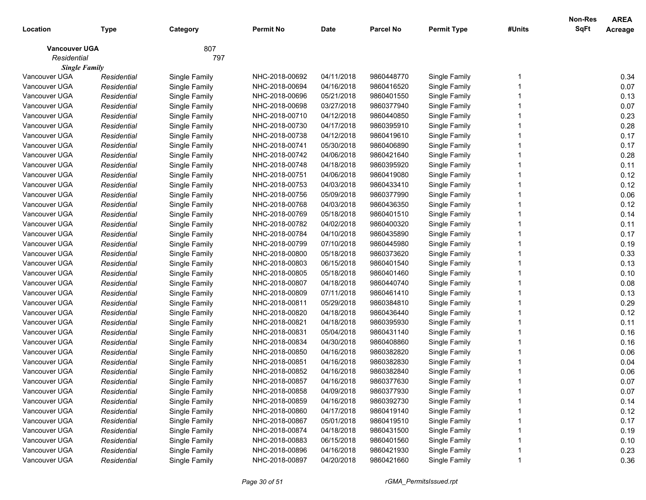| Location                            | <b>Type</b> | Category      | <b>Permit No</b> | <b>Date</b> | <b>Parcel No</b> | <b>Permit Type</b> | #Units | <b>Non-Res</b><br>SqFt | <b>AREA</b><br>Acreage |
|-------------------------------------|-------------|---------------|------------------|-------------|------------------|--------------------|--------|------------------------|------------------------|
| <b>Vancouver UGA</b><br>Residential |             | 807<br>797    |                  |             |                  |                    |        |                        |                        |
| <b>Single Family</b>                |             |               |                  |             |                  |                    |        |                        |                        |
| Vancouver UGA                       | Residential | Single Family | NHC-2018-00692   | 04/11/2018  | 9860448770       | Single Family      |        |                        | 0.34                   |
| Vancouver UGA                       | Residential | Single Family | NHC-2018-00694   | 04/16/2018  | 9860416520       | Single Family      |        |                        | 0.07                   |
| Vancouver UGA                       | Residential | Single Family | NHC-2018-00696   | 05/21/2018  | 9860401550       | Single Family      |        |                        | 0.13                   |
| Vancouver UGA                       | Residential | Single Family | NHC-2018-00698   | 03/27/2018  | 9860377940       | Single Family      |        |                        | 0.07                   |
| Vancouver UGA                       | Residential | Single Family | NHC-2018-00710   | 04/12/2018  | 9860440850       | Single Family      |        |                        | 0.23                   |
| Vancouver UGA                       | Residential | Single Family | NHC-2018-00730   | 04/17/2018  | 9860395910       | Single Family      |        |                        | 0.28                   |
| Vancouver UGA                       | Residential | Single Family | NHC-2018-00738   | 04/12/2018  | 9860419610       | Single Family      |        |                        | 0.17                   |
| Vancouver UGA                       | Residential | Single Family | NHC-2018-00741   | 05/30/2018  | 9860406890       | Single Family      |        |                        | 0.17                   |
| Vancouver UGA                       | Residential | Single Family | NHC-2018-00742   | 04/06/2018  | 9860421640       | Single Family      |        |                        | 0.28                   |
| Vancouver UGA                       | Residential | Single Family | NHC-2018-00748   | 04/18/2018  | 9860395920       | Single Family      |        |                        | 0.11                   |
| Vancouver UGA                       | Residential | Single Family | NHC-2018-00751   | 04/06/2018  | 9860419080       | Single Family      |        |                        | 0.12                   |
| Vancouver UGA                       | Residential | Single Family | NHC-2018-00753   | 04/03/2018  | 9860433410       | Single Family      |        |                        | 0.12                   |
| Vancouver UGA                       | Residential | Single Family | NHC-2018-00756   | 05/09/2018  | 9860377990       | Single Family      |        |                        | 0.06                   |
| Vancouver UGA                       | Residential | Single Family | NHC-2018-00768   | 04/03/2018  | 9860436350       | Single Family      |        |                        | 0.12                   |
| Vancouver UGA                       | Residential | Single Family | NHC-2018-00769   | 05/18/2018  | 9860401510       | Single Family      |        |                        | 0.14                   |
| Vancouver UGA                       | Residential | Single Family | NHC-2018-00782   | 04/02/2018  | 9860400320       | Single Family      |        |                        | 0.11                   |
| Vancouver UGA                       | Residential | Single Family | NHC-2018-00784   | 04/10/2018  | 9860435890       | Single Family      |        |                        | 0.17                   |
| Vancouver UGA                       | Residential | Single Family | NHC-2018-00799   | 07/10/2018  | 9860445980       | Single Family      |        |                        | 0.19                   |
| Vancouver UGA                       | Residential | Single Family | NHC-2018-00800   | 05/18/2018  | 9860373620       | Single Family      |        |                        | 0.33                   |
| Vancouver UGA                       | Residential | Single Family | NHC-2018-00803   | 06/15/2018  | 9860401540       | Single Family      |        |                        | 0.13                   |
| Vancouver UGA                       | Residential | Single Family | NHC-2018-00805   | 05/18/2018  | 9860401460       | Single Family      |        |                        | 0.10                   |
| Vancouver UGA                       | Residential | Single Family | NHC-2018-00807   | 04/18/2018  | 9860440740       | Single Family      |        |                        | 0.08                   |
| Vancouver UGA                       | Residential | Single Family | NHC-2018-00809   | 07/11/2018  | 9860461410       | Single Family      |        |                        | 0.13                   |
| Vancouver UGA                       | Residential | Single Family | NHC-2018-00811   | 05/29/2018  | 9860384810       | Single Family      |        |                        | 0.29                   |
| Vancouver UGA                       | Residential | Single Family | NHC-2018-00820   | 04/18/2018  | 9860436440       | Single Family      |        |                        | 0.12                   |
| Vancouver UGA                       | Residential | Single Family | NHC-2018-00821   | 04/18/2018  | 9860395930       | Single Family      |        |                        | 0.11                   |
| Vancouver UGA                       | Residential | Single Family | NHC-2018-00831   | 05/04/2018  | 9860431140       | Single Family      |        |                        | 0.16                   |
| Vancouver UGA                       | Residential | Single Family | NHC-2018-00834   | 04/30/2018  | 9860408860       | Single Family      |        |                        | 0.16                   |
| Vancouver UGA                       | Residential | Single Family | NHC-2018-00850   | 04/16/2018  | 9860382820       | Single Family      |        |                        | 0.06                   |
| Vancouver UGA                       | Residential | Single Family | NHC-2018-00851   | 04/16/2018  | 9860382830       | Single Family      |        |                        | 0.04                   |
| Vancouver UGA                       | Residential | Single Family | NHC-2018-00852   | 04/16/2018  | 9860382840       | Single Family      |        |                        | 0.06                   |
| Vancouver UGA                       | Residential | Single Family | NHC-2018-00857   | 04/16/2018  | 9860377630       | Single Family      |        |                        | 0.07                   |
| Vancouver UGA                       | Residential | Single Family | NHC-2018-00858   | 04/09/2018  | 9860377930       | Single Family      |        |                        | 0.07                   |
| Vancouver UGA                       | Residential | Single Family | NHC-2018-00859   | 04/16/2018  | 9860392730       | Single Family      |        |                        | 0.14                   |
| Vancouver UGA                       | Residential | Single Family | NHC-2018-00860   | 04/17/2018  | 9860419140       | Single Family      |        |                        | 0.12                   |
| Vancouver UGA                       | Residential | Single Family | NHC-2018-00867   | 05/01/2018  | 9860419510       | Single Family      |        |                        | 0.17                   |
| Vancouver UGA                       | Residential | Single Family | NHC-2018-00874   | 04/18/2018  | 9860431500       | Single Family      |        |                        | 0.19                   |
| Vancouver UGA                       | Residential | Single Family | NHC-2018-00883   | 06/15/2018  | 9860401560       | Single Family      |        |                        | 0.10                   |
| Vancouver UGA                       | Residential | Single Family | NHC-2018-00896   | 04/16/2018  | 9860421930       | Single Family      |        |                        | 0.23                   |
| Vancouver UGA                       | Residential | Single Family | NHC-2018-00897   | 04/20/2018  | 9860421660       | Single Family      |        |                        | 0.36                   |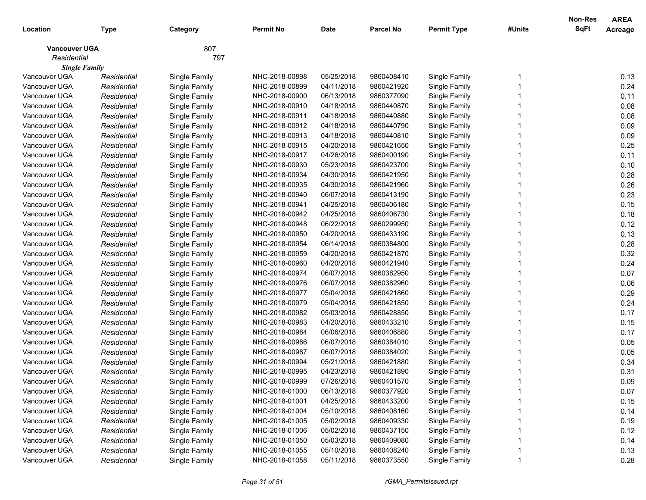|                      |             |               |                  |             |                  |                    |        | Non-Res     | <b>AREA</b> |
|----------------------|-------------|---------------|------------------|-------------|------------------|--------------------|--------|-------------|-------------|
| Location             | Type        | Category      | <b>Permit No</b> | <b>Date</b> | <b>Parcel No</b> | <b>Permit Type</b> | #Units | <b>SqFt</b> | Acreage     |
| <b>Vancouver UGA</b> |             | 807           |                  |             |                  |                    |        |             |             |
| Residential          |             | 797           |                  |             |                  |                    |        |             |             |
| <b>Single Family</b> |             |               |                  |             |                  |                    |        |             |             |
| Vancouver UGA        | Residential | Single Family | NHC-2018-00898   | 05/25/2018  | 9860408410       | Single Family      |        |             | 0.13        |
| Vancouver UGA        | Residential | Single Family | NHC-2018-00899   | 04/11/2018  | 9860421920       | Single Family      |        |             | 0.24        |
| Vancouver UGA        | Residential | Single Family | NHC-2018-00900   | 06/13/2018  | 9860377090       | Single Family      |        |             | 0.11        |
| Vancouver UGA        | Residential | Single Family | NHC-2018-00910   | 04/18/2018  | 9860440870       | Single Family      |        |             | 0.08        |
| Vancouver UGA        | Residential | Single Family | NHC-2018-00911   | 04/18/2018  | 9860440880       | Single Family      |        |             | 0.08        |
| Vancouver UGA        | Residential | Single Family | NHC-2018-00912   | 04/18/2018  | 9860440790       | Single Family      |        |             | 0.09        |
| Vancouver UGA        | Residential | Single Family | NHC-2018-00913   | 04/18/2018  | 9860440810       | Single Family      |        |             | 0.09        |
| Vancouver UGA        | Residential | Single Family | NHC-2018-00915   | 04/20/2018  | 9860421650       | Single Family      |        |             | 0.25        |
| Vancouver UGA        | Residential | Single Family | NHC-2018-00917   | 04/26/2018  | 9860400190       | Single Family      |        |             | 0.11        |
| Vancouver UGA        | Residential | Single Family | NHC-2018-00930   | 05/23/2018  | 9860423700       | Single Family      |        |             | 0.10        |
| Vancouver UGA        | Residential | Single Family | NHC-2018-00934   | 04/30/2018  | 9860421950       | Single Family      |        |             | 0.28        |
| Vancouver UGA        | Residential | Single Family | NHC-2018-00935   | 04/30/2018  | 9860421960       | Single Family      |        |             | 0.26        |
| Vancouver UGA        | Residential | Single Family | NHC-2018-00940   | 06/07/2018  | 9860413190       | Single Family      |        |             | 0.23        |
| Vancouver UGA        | Residential | Single Family | NHC-2018-00941   | 04/25/2018  | 9860406180       | Single Family      |        |             | 0.15        |
| Vancouver UGA        | Residential | Single Family | NHC-2018-00942   | 04/25/2018  | 9860406730       | Single Family      |        |             | 0.18        |
| Vancouver UGA        | Residential | Single Family | NHC-2018-00948   | 06/22/2018  | 9860299950       | Single Family      |        |             | 0.12        |
| Vancouver UGA        | Residential | Single Family | NHC-2018-00950   | 04/20/2018  | 9860433190       | Single Family      |        |             | 0.13        |
| Vancouver UGA        | Residential | Single Family | NHC-2018-00954   | 06/14/2018  | 9860384800       | Single Family      |        |             | 0.28        |
| Vancouver UGA        | Residential | Single Family | NHC-2018-00959   | 04/20/2018  | 9860421870       | Single Family      |        |             | 0.32        |
| Vancouver UGA        | Residential | Single Family | NHC-2018-00960   | 04/20/2018  | 9860421940       | Single Family      |        |             | 0.24        |
| Vancouver UGA        | Residential | Single Family | NHC-2018-00974   | 06/07/2018  | 9860382950       | Single Family      |        |             | 0.07        |
| Vancouver UGA        | Residential | Single Family | NHC-2018-00976   | 06/07/2018  | 9860382960       | Single Family      |        |             | 0.06        |
| Vancouver UGA        | Residential | Single Family | NHC-2018-00977   | 05/04/2018  | 9860421860       | Single Family      |        |             | 0.29        |
| Vancouver UGA        | Residential | Single Family | NHC-2018-00979   | 05/04/2018  | 9860421850       | Single Family      |        |             | 0.24        |
| Vancouver UGA        | Residential | Single Family | NHC-2018-00982   | 05/03/2018  | 9860428850       | Single Family      |        |             | 0.17        |
| Vancouver UGA        | Residential | Single Family | NHC-2018-00983   | 04/20/2018  | 9860433210       | Single Family      |        |             | 0.15        |
| Vancouver UGA        | Residential | Single Family | NHC-2018-00984   | 06/06/2018  | 9860406880       | Single Family      |        |             | 0.17        |
| Vancouver UGA        | Residential | Single Family | NHC-2018-00986   | 06/07/2018  | 9860384010       | Single Family      |        |             | 0.05        |
| Vancouver UGA        | Residential | Single Family | NHC-2018-00987   | 06/07/2018  | 9860384020       | Single Family      |        |             | 0.05        |
| Vancouver UGA        | Residential | Single Family | NHC-2018-00994   | 05/21/2018  | 9860421880       | Single Family      |        |             | 0.34        |
| Vancouver UGA        | Residential | Single Family | NHC-2018-00995   | 04/23/2018  | 9860421890       | Single Family      |        |             | 0.31        |
| Vancouver UGA        | Residential | Single Family | NHC-2018-00999   | 07/26/2018  | 9860401570       | Single Family      |        |             | 0.09        |
| Vancouver UGA        | Residential | Single Family | NHC-2018-01000   | 06/13/2018  | 9860377920       | Single Family      |        |             | 0.07        |
| Vancouver UGA        | Residential | Single Family | NHC-2018-01001   | 04/25/2018  | 9860433200       | Single Family      |        |             | 0.15        |
| Vancouver UGA        | Residential | Single Family | NHC-2018-01004   | 05/10/2018  | 9860408160       | Single Family      |        |             | 0.14        |
| Vancouver UGA        | Residential | Single Family | NHC-2018-01005   | 05/02/2018  | 9860409330       | Single Family      |        |             | 0.19        |
| Vancouver UGA        | Residential | Single Family | NHC-2018-01006   | 05/02/2018  | 9860437150       | Single Family      |        |             | 0.12        |
| Vancouver UGA        | Residential | Single Family | NHC-2018-01050   | 05/03/2018  | 9860409080       | Single Family      |        |             | 0.14        |
| Vancouver UGA        | Residential | Single Family | NHC-2018-01055   | 05/10/2018  | 9860408240       | Single Family      |        |             | 0.13        |
| Vancouver UGA        | Residential | Single Family | NHC-2018-01058   | 05/11/2018  | 9860373550       | Single Family      |        |             | 0.28        |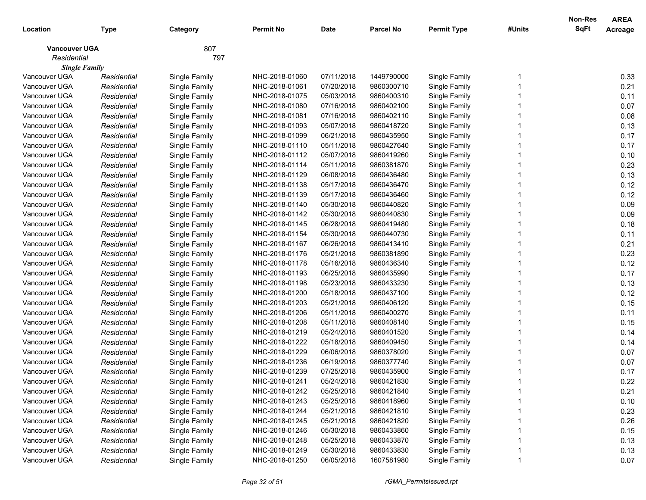|                      |             |               |                  |             |                  |                    |        | Non-Res     | <b>AREA</b> |
|----------------------|-------------|---------------|------------------|-------------|------------------|--------------------|--------|-------------|-------------|
| Location             | Type        | Category      | <b>Permit No</b> | <b>Date</b> | <b>Parcel No</b> | <b>Permit Type</b> | #Units | <b>SqFt</b> | Acreage     |
| <b>Vancouver UGA</b> |             | 807           |                  |             |                  |                    |        |             |             |
| Residential          |             | 797           |                  |             |                  |                    |        |             |             |
| <b>Single Family</b> |             |               |                  |             |                  |                    |        |             |             |
| Vancouver UGA        | Residential | Single Family | NHC-2018-01060   | 07/11/2018  | 1449790000       | Single Family      |        |             | 0.33        |
| Vancouver UGA        | Residential | Single Family | NHC-2018-01061   | 07/20/2018  | 9860300710       | Single Family      |        |             | 0.21        |
| Vancouver UGA        | Residential | Single Family | NHC-2018-01075   | 05/03/2018  | 9860400310       | Single Family      |        |             | 0.11        |
| Vancouver UGA        | Residential | Single Family | NHC-2018-01080   | 07/16/2018  | 9860402100       | Single Family      |        |             | 0.07        |
| Vancouver UGA        | Residential | Single Family | NHC-2018-01081   | 07/16/2018  | 9860402110       | Single Family      |        |             | 0.08        |
| Vancouver UGA        | Residential | Single Family | NHC-2018-01093   | 05/07/2018  | 9860418720       | Single Family      |        |             | 0.13        |
| Vancouver UGA        | Residential | Single Family | NHC-2018-01099   | 06/21/2018  | 9860435950       | Single Family      |        |             | 0.17        |
| Vancouver UGA        | Residential | Single Family | NHC-2018-01110   | 05/11/2018  | 9860427640       | Single Family      |        |             | 0.17        |
| Vancouver UGA        | Residential | Single Family | NHC-2018-01112   | 05/07/2018  | 9860419260       | Single Family      |        |             | 0.10        |
| Vancouver UGA        | Residential | Single Family | NHC-2018-01114   | 05/11/2018  | 9860381870       | Single Family      |        |             | 0.23        |
| Vancouver UGA        | Residential | Single Family | NHC-2018-01129   | 06/08/2018  | 9860436480       | Single Family      |        |             | 0.13        |
| Vancouver UGA        | Residential | Single Family | NHC-2018-01138   | 05/17/2018  | 9860436470       | Single Family      |        |             | 0.12        |
| Vancouver UGA        | Residential | Single Family | NHC-2018-01139   | 05/17/2018  | 9860436460       | Single Family      |        |             | 0.12        |
| Vancouver UGA        | Residential | Single Family | NHC-2018-01140   | 05/30/2018  | 9860440820       | Single Family      |        |             | 0.09        |
| Vancouver UGA        | Residential | Single Family | NHC-2018-01142   | 05/30/2018  | 9860440830       | Single Family      |        |             | 0.09        |
| Vancouver UGA        | Residential | Single Family | NHC-2018-01145   | 06/28/2018  | 9860419480       | Single Family      |        |             | 0.18        |
| Vancouver UGA        | Residential | Single Family | NHC-2018-01154   | 05/30/2018  | 9860440730       | Single Family      |        |             | 0.11        |
| Vancouver UGA        | Residential | Single Family | NHC-2018-01167   | 06/26/2018  | 9860413410       | Single Family      |        |             | 0.21        |
| Vancouver UGA        | Residential | Single Family | NHC-2018-01176   | 05/21/2018  | 9860381890       | Single Family      |        |             | 0.23        |
| Vancouver UGA        | Residential | Single Family | NHC-2018-01178   | 05/16/2018  | 9860436340       | Single Family      |        |             | 0.12        |
| Vancouver UGA        | Residential | Single Family | NHC-2018-01193   | 06/25/2018  | 9860435990       | Single Family      |        |             | 0.17        |
| Vancouver UGA        | Residential | Single Family | NHC-2018-01198   | 05/23/2018  | 9860433230       | Single Family      |        |             | 0.13        |
| Vancouver UGA        | Residential | Single Family | NHC-2018-01200   | 05/18/2018  | 9860437100       | Single Family      |        |             | 0.12        |
| Vancouver UGA        | Residential | Single Family | NHC-2018-01203   | 05/21/2018  | 9860406120       | Single Family      |        |             | 0.15        |
| Vancouver UGA        | Residential | Single Family | NHC-2018-01206   | 05/11/2018  | 9860400270       | Single Family      |        |             | 0.11        |
| Vancouver UGA        | Residential | Single Family | NHC-2018-01208   | 05/11/2018  | 9860408140       | Single Family      |        |             | 0.15        |
| Vancouver UGA        | Residential | Single Family | NHC-2018-01219   | 05/24/2018  | 9860401520       | Single Family      |        |             | 0.14        |
| Vancouver UGA        | Residential | Single Family | NHC-2018-01222   | 05/18/2018  | 9860409450       | Single Family      |        |             | 0.14        |
| Vancouver UGA        | Residential | Single Family | NHC-2018-01229   | 06/06/2018  | 9860378020       | Single Family      |        |             | 0.07        |
| Vancouver UGA        | Residential | Single Family | NHC-2018-01236   | 06/19/2018  | 9860377740       | Single Family      |        |             | 0.07        |
| Vancouver UGA        | Residential | Single Family | NHC-2018-01239   | 07/25/2018  | 9860435900       | Single Family      |        |             | 0.17        |
| Vancouver UGA        | Residential | Single Family | NHC-2018-01241   | 05/24/2018  | 9860421830       | Single Family      |        |             | 0.22        |
| Vancouver UGA        | Residential | Single Family | NHC-2018-01242   | 05/25/2018  | 9860421840       | Single Family      |        |             | 0.21        |
| Vancouver UGA        | Residential | Single Family | NHC-2018-01243   | 05/25/2018  | 9860418960       | Single Family      |        |             | 0.10        |
| Vancouver UGA        | Residential | Single Family | NHC-2018-01244   | 05/21/2018  | 9860421810       | Single Family      |        |             | 0.23        |
| Vancouver UGA        | Residential | Single Family | NHC-2018-01245   | 05/21/2018  | 9860421820       | Single Family      |        |             | 0.26        |
| Vancouver UGA        | Residential | Single Family | NHC-2018-01246   | 05/30/2018  | 9860433860       | Single Family      |        |             | 0.15        |
| Vancouver UGA        | Residential | Single Family | NHC-2018-01248   | 05/25/2018  | 9860433870       | Single Family      |        |             | 0.13        |
| Vancouver UGA        | Residential | Single Family | NHC-2018-01249   | 05/30/2018  | 9860433830       | Single Family      |        |             | 0.13        |
| Vancouver UGA        | Residential | Single Family | NHC-2018-01250   | 06/05/2018  | 1607581980       | Single Family      |        |             | 0.07        |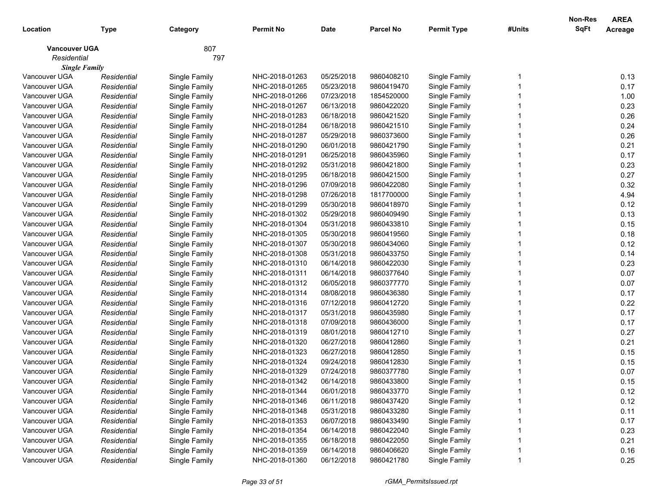|                      |             |               |                |             |                  |                    |        | Non-Res     | <b>AREA</b> |
|----------------------|-------------|---------------|----------------|-------------|------------------|--------------------|--------|-------------|-------------|
| Location             | Type        | Category      | Permit No      | <b>Date</b> | <b>Parcel No</b> | <b>Permit Type</b> | #Units | <b>SqFt</b> | Acreage     |
| <b>Vancouver UGA</b> |             | 807           |                |             |                  |                    |        |             |             |
| Residential          |             | 797           |                |             |                  |                    |        |             |             |
| <b>Single Family</b> |             |               |                |             |                  |                    |        |             |             |
| Vancouver UGA        | Residential | Single Family | NHC-2018-01263 | 05/25/2018  | 9860408210       | Single Family      |        |             | 0.13        |
| Vancouver UGA        | Residential | Single Family | NHC-2018-01265 | 05/23/2018  | 9860419470       | Single Family      |        |             | 0.17        |
| Vancouver UGA        | Residential | Single Family | NHC-2018-01266 | 07/23/2018  | 1854520000       | Single Family      |        |             | 1.00        |
| Vancouver UGA        | Residential | Single Family | NHC-2018-01267 | 06/13/2018  | 9860422020       | Single Family      |        |             | 0.23        |
| Vancouver UGA        | Residential | Single Family | NHC-2018-01283 | 06/18/2018  | 9860421520       | Single Family      |        |             | 0.26        |
| Vancouver UGA        | Residential | Single Family | NHC-2018-01284 | 06/18/2018  | 9860421510       | Single Family      |        |             | 0.24        |
| Vancouver UGA        | Residential | Single Family | NHC-2018-01287 | 05/29/2018  | 9860373600       | Single Family      |        |             | 0.26        |
| Vancouver UGA        | Residential | Single Family | NHC-2018-01290 | 06/01/2018  | 9860421790       | Single Family      |        |             | 0.21        |
| Vancouver UGA        | Residential | Single Family | NHC-2018-01291 | 06/25/2018  | 9860435960       | Single Family      |        |             | 0.17        |
| Vancouver UGA        | Residential | Single Family | NHC-2018-01292 | 05/31/2018  | 9860421800       | Single Family      |        |             | 0.23        |
| Vancouver UGA        | Residential | Single Family | NHC-2018-01295 | 06/18/2018  | 9860421500       | Single Family      |        |             | 0.27        |
| Vancouver UGA        | Residential | Single Family | NHC-2018-01296 | 07/09/2018  | 9860422080       | Single Family      |        |             | 0.32        |
| Vancouver UGA        | Residential | Single Family | NHC-2018-01298 | 07/26/2018  | 1817700000       | Single Family      |        |             | 4.94        |
| Vancouver UGA        | Residential | Single Family | NHC-2018-01299 | 05/30/2018  | 9860418970       | Single Family      |        |             | 0.12        |
| Vancouver UGA        | Residential | Single Family | NHC-2018-01302 | 05/29/2018  | 9860409490       | Single Family      |        |             | 0.13        |
| Vancouver UGA        | Residential | Single Family | NHC-2018-01304 | 05/31/2018  | 9860433810       | Single Family      |        |             | 0.15        |
| Vancouver UGA        | Residential | Single Family | NHC-2018-01305 | 05/30/2018  | 9860419560       | Single Family      |        |             | 0.18        |
| Vancouver UGA        | Residential | Single Family | NHC-2018-01307 | 05/30/2018  | 9860434060       | Single Family      |        |             | 0.12        |
| Vancouver UGA        | Residential | Single Family | NHC-2018-01308 | 05/31/2018  | 9860433750       | Single Family      |        |             | 0.14        |
| Vancouver UGA        | Residential | Single Family | NHC-2018-01310 | 06/14/2018  | 9860422030       | Single Family      |        |             | 0.23        |
| Vancouver UGA        | Residential | Single Family | NHC-2018-01311 | 06/14/2018  | 9860377640       | Single Family      |        |             | 0.07        |
| Vancouver UGA        | Residential | Single Family | NHC-2018-01312 | 06/05/2018  | 9860377770       | Single Family      |        |             | 0.07        |
| Vancouver UGA        | Residential | Single Family | NHC-2018-01314 | 08/08/2018  | 9860436380       | Single Family      |        |             | 0.17        |
| Vancouver UGA        | Residential | Single Family | NHC-2018-01316 | 07/12/2018  | 9860412720       | Single Family      |        |             | 0.22        |
| Vancouver UGA        | Residential | Single Family | NHC-2018-01317 | 05/31/2018  | 9860435980       | Single Family      |        |             | 0.17        |
| Vancouver UGA        | Residential | Single Family | NHC-2018-01318 | 07/09/2018  | 9860436000       | Single Family      |        |             | 0.17        |
| Vancouver UGA        | Residential | Single Family | NHC-2018-01319 | 08/01/2018  | 9860412710       | Single Family      |        |             | 0.27        |
| Vancouver UGA        | Residential | Single Family | NHC-2018-01320 | 06/27/2018  | 9860412860       | Single Family      |        |             | 0.21        |
| Vancouver UGA        | Residential | Single Family | NHC-2018-01323 | 06/27/2018  | 9860412850       | Single Family      |        |             | 0.15        |
| Vancouver UGA        | Residential | Single Family | NHC-2018-01324 | 09/24/2018  | 9860412830       | Single Family      |        |             | 0.15        |
| Vancouver UGA        | Residential | Single Family | NHC-2018-01329 | 07/24/2018  | 9860377780       | Single Family      |        |             | 0.07        |
| Vancouver UGA        | Residential | Single Family | NHC-2018-01342 | 06/14/2018  | 9860433800       | Single Family      |        |             | 0.15        |
| Vancouver UGA        | Residential | Single Family | NHC-2018-01344 | 06/01/2018  | 9860433770       | Single Family      |        |             | 0.12        |
| Vancouver UGA        | Residential | Single Family | NHC-2018-01346 | 06/11/2018  | 9860437420       | Single Family      |        |             | 0.12        |
| Vancouver UGA        | Residential | Single Family | NHC-2018-01348 | 05/31/2018  | 9860433280       | Single Family      |        |             | 0.11        |
| Vancouver UGA        | Residential | Single Family | NHC-2018-01353 | 06/07/2018  | 9860433490       | Single Family      |        |             | 0.17        |
| Vancouver UGA        | Residential | Single Family | NHC-2018-01354 | 06/14/2018  | 9860422040       | Single Family      |        |             | 0.23        |
| Vancouver UGA        | Residential | Single Family | NHC-2018-01355 | 06/18/2018  | 9860422050       | Single Family      |        |             | 0.21        |
| Vancouver UGA        | Residential | Single Family | NHC-2018-01359 | 06/14/2018  | 9860406620       | Single Family      |        |             | 0.16        |
| Vancouver UGA        | Residential | Single Family | NHC-2018-01360 | 06/12/2018  | 9860421780       | Single Family      |        |             | 0.25        |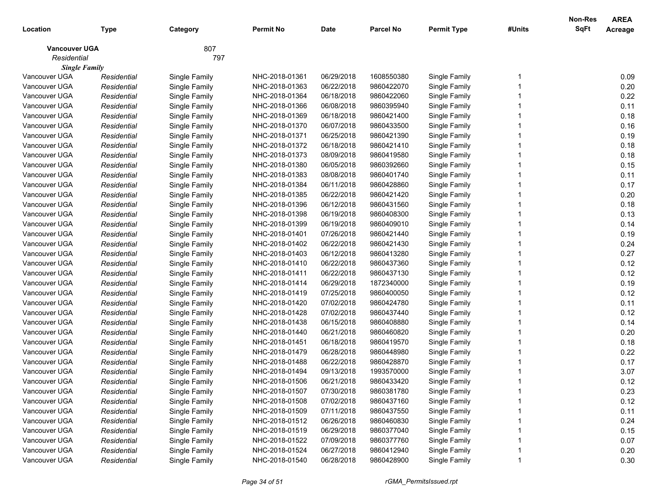| Location                            | <b>Type</b> | Category      | <b>Permit No</b> | <b>Date</b> | <b>Parcel No</b> | <b>Permit Type</b> | #Units | <b>Non-Res</b><br>SqFt | <b>AREA</b><br>Acreage |
|-------------------------------------|-------------|---------------|------------------|-------------|------------------|--------------------|--------|------------------------|------------------------|
| <b>Vancouver UGA</b><br>Residential |             | 807<br>797    |                  |             |                  |                    |        |                        |                        |
| <b>Single Family</b>                |             |               |                  |             |                  |                    |        |                        |                        |
| Vancouver UGA                       | Residential | Single Family | NHC-2018-01361   | 06/29/2018  | 1608550380       | Single Family      |        |                        | 0.09                   |
| Vancouver UGA                       | Residential | Single Family | NHC-2018-01363   | 06/22/2018  | 9860422070       | Single Family      |        |                        | 0.20                   |
| Vancouver UGA                       | Residential | Single Family | NHC-2018-01364   | 06/18/2018  | 9860422060       | Single Family      |        |                        | 0.22                   |
| Vancouver UGA                       | Residential | Single Family | NHC-2018-01366   | 06/08/2018  | 9860395940       | Single Family      |        |                        | 0.11                   |
| Vancouver UGA                       | Residential | Single Family | NHC-2018-01369   | 06/18/2018  | 9860421400       | Single Family      |        |                        | 0.18                   |
| Vancouver UGA                       | Residential | Single Family | NHC-2018-01370   | 06/07/2018  | 9860433500       | Single Family      |        |                        | 0.16                   |
| Vancouver UGA                       | Residential | Single Family | NHC-2018-01371   | 06/25/2018  | 9860421390       | Single Family      |        |                        | 0.19                   |
| Vancouver UGA                       | Residential | Single Family | NHC-2018-01372   | 06/18/2018  | 9860421410       | Single Family      |        |                        | 0.18                   |
| Vancouver UGA                       | Residential | Single Family | NHC-2018-01373   | 08/09/2018  | 9860419580       | Single Family      |        |                        | 0.18                   |
| Vancouver UGA                       | Residential | Single Family | NHC-2018-01380   | 06/05/2018  | 9860392660       | Single Family      |        |                        | 0.15                   |
| Vancouver UGA                       | Residential | Single Family | NHC-2018-01383   | 08/08/2018  | 9860401740       | Single Family      |        |                        | 0.11                   |
| Vancouver UGA                       | Residential | Single Family | NHC-2018-01384   | 06/11/2018  | 9860428860       | Single Family      |        |                        | 0.17                   |
| Vancouver UGA                       | Residential | Single Family | NHC-2018-01385   | 06/22/2018  | 9860421420       | Single Family      |        |                        | 0.20                   |
| Vancouver UGA                       | Residential | Single Family | NHC-2018-01396   | 06/12/2018  | 9860431560       | Single Family      |        |                        | 0.18                   |
| Vancouver UGA                       | Residential | Single Family | NHC-2018-01398   | 06/19/2018  | 9860408300       | Single Family      |        |                        | 0.13                   |
| Vancouver UGA                       | Residential | Single Family | NHC-2018-01399   | 06/19/2018  | 9860409010       | Single Family      |        |                        | 0.14                   |
| Vancouver UGA                       | Residential | Single Family | NHC-2018-01401   | 07/26/2018  | 9860421440       | Single Family      |        |                        | 0.19                   |
| Vancouver UGA                       | Residential | Single Family | NHC-2018-01402   | 06/22/2018  | 9860421430       | Single Family      |        |                        | 0.24                   |
| Vancouver UGA                       | Residential | Single Family | NHC-2018-01403   | 06/12/2018  | 9860413280       | Single Family      |        |                        | 0.27                   |
| Vancouver UGA                       | Residential | Single Family | NHC-2018-01410   | 06/22/2018  | 9860437360       | Single Family      |        |                        | 0.12                   |
| Vancouver UGA                       | Residential | Single Family | NHC-2018-01411   | 06/22/2018  | 9860437130       | Single Family      |        |                        | 0.12                   |
| Vancouver UGA                       | Residential | Single Family | NHC-2018-01414   | 06/29/2018  | 1872340000       | Single Family      |        |                        | 0.19                   |
| Vancouver UGA                       | Residential | Single Family | NHC-2018-01419   | 07/25/2018  | 9860400050       | Single Family      |        |                        | 0.12                   |
| Vancouver UGA                       | Residential | Single Family | NHC-2018-01420   | 07/02/2018  | 9860424780       | Single Family      |        |                        | 0.11                   |
| Vancouver UGA                       | Residential | Single Family | NHC-2018-01428   | 07/02/2018  | 9860437440       | Single Family      |        |                        | 0.12                   |
| Vancouver UGA                       | Residential | Single Family | NHC-2018-01438   | 06/15/2018  | 9860408880       | Single Family      |        |                        | 0.14                   |
| Vancouver UGA                       | Residential | Single Family | NHC-2018-01440   | 06/21/2018  | 9860460820       | Single Family      |        |                        | 0.20                   |
| Vancouver UGA                       | Residential | Single Family | NHC-2018-01451   | 06/18/2018  | 9860419570       | Single Family      |        |                        | 0.18                   |
| Vancouver UGA                       | Residential | Single Family | NHC-2018-01479   | 06/28/2018  | 9860448980       | Single Family      |        |                        | 0.22                   |
| Vancouver UGA                       | Residential | Single Family | NHC-2018-01488   | 06/22/2018  | 9860428870       | Single Family      |        |                        | 0.17                   |
| Vancouver UGA                       | Residential | Single Family | NHC-2018-01494   | 09/13/2018  | 1993570000       | Single Family      |        |                        | 3.07                   |
| Vancouver UGA                       | Residential | Single Family | NHC-2018-01506   | 06/21/2018  | 9860433420       | Single Family      |        |                        | 0.12                   |
| Vancouver UGA                       | Residential | Single Family | NHC-2018-01507   | 07/30/2018  | 9860381780       | Single Family      |        |                        | 0.23                   |
| Vancouver UGA                       | Residential | Single Family | NHC-2018-01508   | 07/02/2018  | 9860437160       | Single Family      |        |                        | 0.12                   |
| Vancouver UGA                       | Residential | Single Family | NHC-2018-01509   | 07/11/2018  | 9860437550       | Single Family      |        |                        | 0.11                   |
| Vancouver UGA                       | Residential | Single Family | NHC-2018-01512   | 06/26/2018  | 9860460830       | Single Family      |        |                        | 0.24                   |
| Vancouver UGA                       | Residential | Single Family | NHC-2018-01519   | 06/29/2018  | 9860377040       | Single Family      |        |                        | 0.15                   |
| Vancouver UGA                       | Residential | Single Family | NHC-2018-01522   | 07/09/2018  | 9860377760       | Single Family      |        |                        | 0.07                   |
| Vancouver UGA                       | Residential | Single Family | NHC-2018-01524   | 06/27/2018  | 9860412940       | Single Family      |        |                        | 0.20                   |
| Vancouver UGA                       | Residential | Single Family | NHC-2018-01540   | 06/28/2018  | 9860428900       | Single Family      |        |                        | 0.30                   |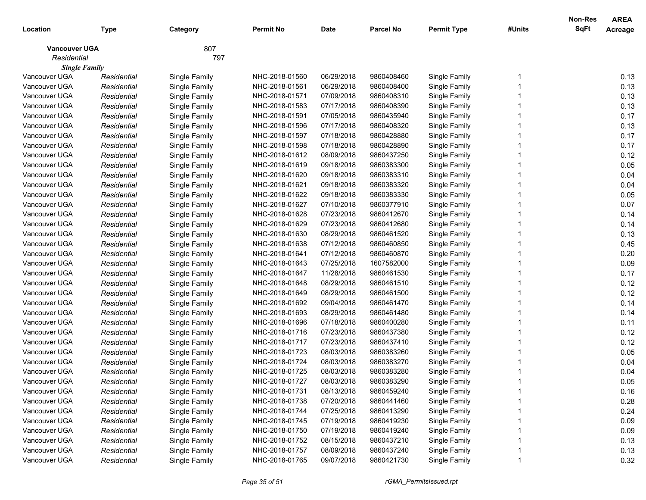|                      |             |               |                |             |                  |                    |        | Non-Res     | <b>AREA</b> |
|----------------------|-------------|---------------|----------------|-------------|------------------|--------------------|--------|-------------|-------------|
| Location             | Type        | Category      | Permit No      | <b>Date</b> | <b>Parcel No</b> | <b>Permit Type</b> | #Units | <b>SqFt</b> | Acreage     |
| <b>Vancouver UGA</b> |             | 807           |                |             |                  |                    |        |             |             |
| Residential          |             | 797           |                |             |                  |                    |        |             |             |
| <b>Single Family</b> |             |               |                |             |                  |                    |        |             |             |
| Vancouver UGA        | Residential | Single Family | NHC-2018-01560 | 06/29/2018  | 9860408460       | Single Family      |        |             | 0.13        |
| Vancouver UGA        | Residential | Single Family | NHC-2018-01561 | 06/29/2018  | 9860408400       | Single Family      |        |             | 0.13        |
| Vancouver UGA        | Residential | Single Family | NHC-2018-01571 | 07/09/2018  | 9860408310       | Single Family      |        |             | 0.13        |
| Vancouver UGA        | Residential | Single Family | NHC-2018-01583 | 07/17/2018  | 9860408390       | Single Family      |        |             | 0.13        |
| Vancouver UGA        | Residential | Single Family | NHC-2018-01591 | 07/05/2018  | 9860435940       | Single Family      |        |             | 0.17        |
| Vancouver UGA        | Residential | Single Family | NHC-2018-01596 | 07/17/2018  | 9860408320       | Single Family      |        |             | 0.13        |
| Vancouver UGA        | Residential | Single Family | NHC-2018-01597 | 07/18/2018  | 9860428880       | Single Family      |        |             | 0.17        |
| Vancouver UGA        | Residential | Single Family | NHC-2018-01598 | 07/18/2018  | 9860428890       | Single Family      |        |             | 0.17        |
| Vancouver UGA        | Residential | Single Family | NHC-2018-01612 | 08/09/2018  | 9860437250       | Single Family      |        |             | 0.12        |
| Vancouver UGA        | Residential | Single Family | NHC-2018-01619 | 09/18/2018  | 9860383300       | Single Family      |        |             | 0.05        |
| Vancouver UGA        | Residential | Single Family | NHC-2018-01620 | 09/18/2018  | 9860383310       | Single Family      |        |             | 0.04        |
| Vancouver UGA        | Residential | Single Family | NHC-2018-01621 | 09/18/2018  | 9860383320       | Single Family      |        |             | 0.04        |
| Vancouver UGA        | Residential | Single Family | NHC-2018-01622 | 09/18/2018  | 9860383330       | Single Family      |        |             | 0.05        |
| Vancouver UGA        | Residential | Single Family | NHC-2018-01627 | 07/10/2018  | 9860377910       | Single Family      |        |             | 0.07        |
| Vancouver UGA        | Residential | Single Family | NHC-2018-01628 | 07/23/2018  | 9860412670       | Single Family      |        |             | 0.14        |
| Vancouver UGA        | Residential | Single Family | NHC-2018-01629 | 07/23/2018  | 9860412680       | Single Family      |        |             | 0.14        |
| Vancouver UGA        | Residential | Single Family | NHC-2018-01630 | 08/29/2018  | 9860461520       | Single Family      |        |             | 0.13        |
| Vancouver UGA        | Residential | Single Family | NHC-2018-01638 | 07/12/2018  | 9860460850       | Single Family      |        |             | 0.45        |
| Vancouver UGA        | Residential | Single Family | NHC-2018-01641 | 07/12/2018  | 9860460870       | Single Family      |        |             | 0.20        |
| Vancouver UGA        | Residential | Single Family | NHC-2018-01643 | 07/25/2018  | 1607582000       | Single Family      |        |             | 0.09        |
| Vancouver UGA        | Residential | Single Family | NHC-2018-01647 | 11/28/2018  | 9860461530       | Single Family      |        |             | 0.17        |
| Vancouver UGA        | Residential | Single Family | NHC-2018-01648 | 08/29/2018  | 9860461510       | Single Family      |        |             | 0.12        |
| Vancouver UGA        | Residential | Single Family | NHC-2018-01649 | 08/29/2018  | 9860461500       | Single Family      |        |             | 0.12        |
| Vancouver UGA        | Residential | Single Family | NHC-2018-01692 | 09/04/2018  | 9860461470       | Single Family      |        |             | 0.14        |
| Vancouver UGA        | Residential | Single Family | NHC-2018-01693 | 08/29/2018  | 9860461480       | Single Family      |        |             | 0.14        |
| Vancouver UGA        | Residential | Single Family | NHC-2018-01696 | 07/18/2018  | 9860400280       | Single Family      |        |             | 0.11        |
| Vancouver UGA        | Residential | Single Family | NHC-2018-01716 | 07/23/2018  | 9860437380       | Single Family      |        |             | 0.12        |
| Vancouver UGA        | Residential | Single Family | NHC-2018-01717 | 07/23/2018  | 9860437410       | Single Family      |        |             | 0.12        |
| Vancouver UGA        | Residential | Single Family | NHC-2018-01723 | 08/03/2018  | 9860383260       | Single Family      |        |             | 0.05        |
| Vancouver UGA        | Residential | Single Family | NHC-2018-01724 | 08/03/2018  | 9860383270       | Single Family      |        |             | 0.04        |
| Vancouver UGA        | Residential | Single Family | NHC-2018-01725 | 08/03/2018  | 9860383280       | Single Family      |        |             | 0.04        |
| Vancouver UGA        | Residential | Single Family | NHC-2018-01727 | 08/03/2018  | 9860383290       | Single Family      |        |             | 0.05        |
| Vancouver UGA        | Residential | Single Family | NHC-2018-01731 | 08/13/2018  | 9860459240       | Single Family      |        |             | 0.16        |
| Vancouver UGA        | Residential | Single Family | NHC-2018-01738 | 07/20/2018  | 9860441460       | Single Family      |        |             | 0.28        |
| Vancouver UGA        | Residential | Single Family | NHC-2018-01744 | 07/25/2018  | 9860413290       | Single Family      |        |             | 0.24        |
| Vancouver UGA        | Residential | Single Family | NHC-2018-01745 | 07/19/2018  | 9860419230       | Single Family      |        |             | 0.09        |
| Vancouver UGA        | Residential | Single Family | NHC-2018-01750 | 07/19/2018  | 9860419240       | Single Family      |        |             | 0.09        |
| Vancouver UGA        | Residential | Single Family | NHC-2018-01752 | 08/15/2018  | 9860437210       | Single Family      |        |             | 0.13        |
| Vancouver UGA        | Residential | Single Family | NHC-2018-01757 | 08/09/2018  | 9860437240       | Single Family      |        |             | 0.13        |
| Vancouver UGA        | Residential | Single Family | NHC-2018-01765 | 09/07/2018  | 9860421730       | Single Family      |        |             | 0.32        |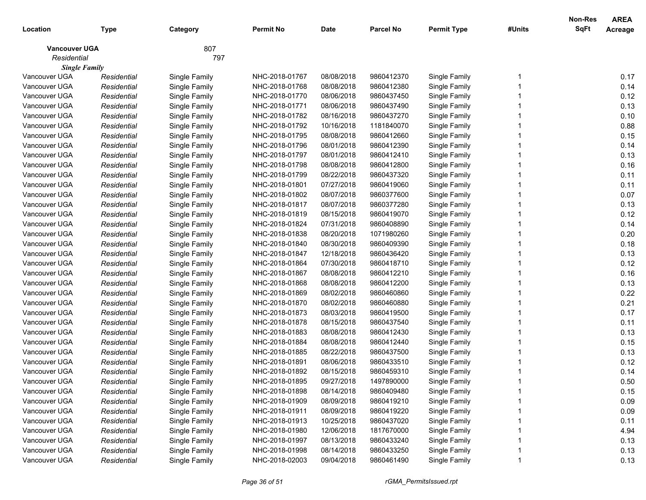|                      |             |               |                  |             |                  |                    |        | <b>Non-Res</b> | <b>AREA</b> |
|----------------------|-------------|---------------|------------------|-------------|------------------|--------------------|--------|----------------|-------------|
| Location             | Type        | Category      | <b>Permit No</b> | <b>Date</b> | <b>Parcel No</b> | <b>Permit Type</b> | #Units | <b>SqFt</b>    | Acreage     |
| <b>Vancouver UGA</b> |             | 807           |                  |             |                  |                    |        |                |             |
| Residential          |             | 797           |                  |             |                  |                    |        |                |             |
| <b>Single Family</b> |             |               |                  |             |                  |                    |        |                |             |
| Vancouver UGA        | Residential | Single Family | NHC-2018-01767   | 08/08/2018  | 9860412370       | Single Family      |        |                | 0.17        |
| Vancouver UGA        | Residential | Single Family | NHC-2018-01768   | 08/08/2018  | 9860412380       | Single Family      |        |                | 0.14        |
| Vancouver UGA        | Residential | Single Family | NHC-2018-01770   | 08/06/2018  | 9860437450       | Single Family      |        |                | 0.12        |
| Vancouver UGA        | Residential | Single Family | NHC-2018-01771   | 08/06/2018  | 9860437490       | Single Family      |        |                | 0.13        |
| Vancouver UGA        | Residential | Single Family | NHC-2018-01782   | 08/16/2018  | 9860437270       | Single Family      |        |                | 0.10        |
| Vancouver UGA        | Residential | Single Family | NHC-2018-01792   | 10/16/2018  | 1181840070       | Single Family      |        |                | 0.88        |
| Vancouver UGA        | Residential | Single Family | NHC-2018-01795   | 08/08/2018  | 9860412660       | Single Family      |        |                | 0.15        |
| Vancouver UGA        | Residential | Single Family | NHC-2018-01796   | 08/01/2018  | 9860412390       | Single Family      |        |                | 0.14        |
| Vancouver UGA        | Residential | Single Family | NHC-2018-01797   | 08/01/2018  | 9860412410       | Single Family      |        |                | 0.13        |
| Vancouver UGA        | Residential | Single Family | NHC-2018-01798   | 08/08/2018  | 9860412800       | Single Family      |        |                | 0.16        |
| Vancouver UGA        | Residential | Single Family | NHC-2018-01799   | 08/22/2018  | 9860437320       | Single Family      |        |                | 0.11        |
| Vancouver UGA        | Residential | Single Family | NHC-2018-01801   | 07/27/2018  | 9860419060       | Single Family      |        |                | 0.11        |
| Vancouver UGA        | Residential | Single Family | NHC-2018-01802   | 08/07/2018  | 9860377600       | Single Family      |        |                | 0.07        |
| Vancouver UGA        | Residential | Single Family | NHC-2018-01817   | 08/07/2018  | 9860377280       | Single Family      |        |                | 0.13        |
| Vancouver UGA        | Residential | Single Family | NHC-2018-01819   | 08/15/2018  | 9860419070       | Single Family      |        |                | 0.12        |
| Vancouver UGA        | Residential | Single Family | NHC-2018-01824   | 07/31/2018  | 9860408890       | Single Family      |        |                | 0.14        |
| Vancouver UGA        | Residential | Single Family | NHC-2018-01838   | 08/20/2018  | 1071980260       | Single Family      |        |                | 0.20        |
| Vancouver UGA        | Residential | Single Family | NHC-2018-01840   | 08/30/2018  | 9860409390       | Single Family      |        |                | 0.18        |
| Vancouver UGA        | Residential | Single Family | NHC-2018-01847   | 12/18/2018  | 9860436420       | Single Family      |        |                | 0.13        |
| Vancouver UGA        | Residential | Single Family | NHC-2018-01864   | 07/30/2018  | 9860418710       | Single Family      |        |                | 0.12        |
| Vancouver UGA        | Residential | Single Family | NHC-2018-01867   | 08/08/2018  | 9860412210       | Single Family      |        |                | 0.16        |
| Vancouver UGA        | Residential | Single Family | NHC-2018-01868   | 08/08/2018  | 9860412200       | Single Family      |        |                | 0.13        |
| Vancouver UGA        | Residential | Single Family | NHC-2018-01869   | 08/02/2018  | 9860460860       | Single Family      |        |                | 0.22        |
| Vancouver UGA        | Residential | Single Family | NHC-2018-01870   | 08/02/2018  | 9860460880       | Single Family      |        |                | 0.21        |
| Vancouver UGA        | Residential | Single Family | NHC-2018-01873   | 08/03/2018  | 9860419500       | Single Family      |        |                | 0.17        |
| Vancouver UGA        | Residential | Single Family | NHC-2018-01878   | 08/15/2018  | 9860437540       | Single Family      |        |                | 0.11        |
| Vancouver UGA        | Residential | Single Family | NHC-2018-01883   | 08/08/2018  | 9860412430       | Single Family      |        |                | 0.13        |
| Vancouver UGA        | Residential | Single Family | NHC-2018-01884   | 08/08/2018  | 9860412440       | Single Family      |        |                | 0.15        |
| Vancouver UGA        | Residential | Single Family | NHC-2018-01885   | 08/22/2018  | 9860437500       | Single Family      |        |                | 0.13        |
| Vancouver UGA        | Residential | Single Family | NHC-2018-01891   | 08/06/2018  | 9860433510       | Single Family      |        |                | 0.12        |
| Vancouver UGA        | Residential | Single Family | NHC-2018-01892   | 08/15/2018  | 9860459310       | Single Family      |        |                | 0.14        |
| Vancouver UGA        | Residential | Single Family | NHC-2018-01895   | 09/27/2018  | 1497890000       | Single Family      |        |                | 0.50        |
| Vancouver UGA        | Residential | Single Family | NHC-2018-01898   | 08/14/2018  | 9860409480       | Single Family      |        |                | 0.15        |
| Vancouver UGA        | Residential | Single Family | NHC-2018-01909   | 08/09/2018  | 9860419210       | Single Family      |        |                | 0.09        |
| Vancouver UGA        | Residential | Single Family | NHC-2018-01911   | 08/09/2018  | 9860419220       | Single Family      |        |                | 0.09        |
| Vancouver UGA        | Residential | Single Family | NHC-2018-01913   | 10/25/2018  | 9860437020       | Single Family      |        |                | 0.11        |
| Vancouver UGA        | Residential | Single Family | NHC-2018-01980   | 12/06/2018  | 1817670000       | Single Family      |        |                | 4.94        |
| Vancouver UGA        | Residential | Single Family | NHC-2018-01997   | 08/13/2018  | 9860433240       | Single Family      |        |                | 0.13        |
| Vancouver UGA        | Residential | Single Family | NHC-2018-01998   | 08/14/2018  | 9860433250       | Single Family      |        |                | 0.13        |
| Vancouver UGA        | Residential | Single Family | NHC-2018-02003   | 09/04/2018  | 9860461490       | Single Family      |        |                | 0.13        |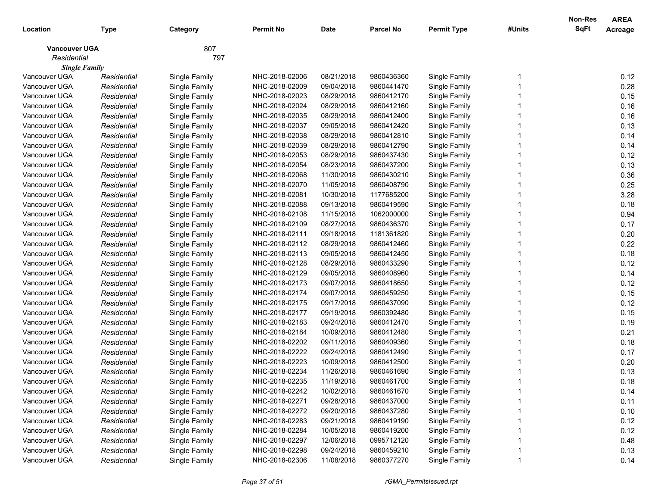| Location                              | <b>Type</b>                | Category                       | <b>Permit No</b>                 | <b>Date</b>              | <b>Parcel No</b>         | <b>Permit Type</b>             | #Units | <b>Non-Res</b><br>SqFt | <b>AREA</b><br>Acreage |
|---------------------------------------|----------------------------|--------------------------------|----------------------------------|--------------------------|--------------------------|--------------------------------|--------|------------------------|------------------------|
| <b>Vancouver UGA</b>                  |                            | 807                            |                                  |                          |                          |                                |        |                        |                        |
| Residential                           |                            | 797                            |                                  |                          |                          |                                |        |                        |                        |
| <b>Single Family</b><br>Vancouver UGA |                            |                                |                                  |                          |                          |                                |        |                        |                        |
| Vancouver UGA                         | Residential                | Single Family                  | NHC-2018-02006<br>NHC-2018-02009 | 08/21/2018<br>09/04/2018 | 9860436360<br>9860441470 | Single Family                  |        |                        | 0.12<br>0.28           |
| Vancouver UGA                         | Residential<br>Residential | Single Family<br>Single Family | NHC-2018-02023                   | 08/29/2018               | 9860412170               | Single Family<br>Single Family |        |                        | 0.15                   |
| Vancouver UGA                         | Residential                |                                | NHC-2018-02024                   | 08/29/2018               | 9860412160               |                                |        |                        | 0.16                   |
| Vancouver UGA                         | Residential                | Single Family                  | NHC-2018-02035                   | 08/29/2018               | 9860412400               | Single Family                  |        |                        | 0.16                   |
| Vancouver UGA                         | Residential                | Single Family<br>Single Family | NHC-2018-02037                   | 09/05/2018               | 9860412420               | Single Family<br>Single Family |        |                        | 0.13                   |
| Vancouver UGA                         | Residential                | Single Family                  | NHC-2018-02038                   | 08/29/2018               | 9860412810               | Single Family                  |        |                        | 0.14                   |
| Vancouver UGA                         | Residential                | Single Family                  | NHC-2018-02039                   | 08/29/2018               | 9860412790               | Single Family                  |        |                        | 0.14                   |
| Vancouver UGA                         | Residential                | Single Family                  | NHC-2018-02053                   | 08/29/2018               | 9860437430               | Single Family                  |        |                        | 0.12                   |
| Vancouver UGA                         | Residential                | Single Family                  | NHC-2018-02054                   | 08/23/2018               | 9860437200               | Single Family                  |        |                        | 0.13                   |
| Vancouver UGA                         | Residential                | Single Family                  | NHC-2018-02068                   | 11/30/2018               | 9860430210               | Single Family                  |        |                        | 0.36                   |
| Vancouver UGA                         | Residential                | Single Family                  | NHC-2018-02070                   | 11/05/2018               | 9860408790               | Single Family                  |        |                        | 0.25                   |
| Vancouver UGA                         | Residential                | Single Family                  | NHC-2018-02081                   | 10/30/2018               | 1177685200               | Single Family                  |        |                        | 3.28                   |
| Vancouver UGA                         | Residential                | Single Family                  | NHC-2018-02088                   | 09/13/2018               | 9860419590               | Single Family                  |        |                        | 0.18                   |
| Vancouver UGA                         | Residential                | Single Family                  | NHC-2018-02108                   | 11/15/2018               | 1062000000               | Single Family                  |        |                        | 0.94                   |
| Vancouver UGA                         | Residential                | Single Family                  | NHC-2018-02109                   | 08/27/2018               | 9860436370               | Single Family                  |        |                        | 0.17                   |
| Vancouver UGA                         | Residential                | Single Family                  | NHC-2018-02111                   | 09/18/2018               | 1181361820               | Single Family                  |        |                        | 0.20                   |
| Vancouver UGA                         | Residential                | Single Family                  | NHC-2018-02112                   | 08/29/2018               | 9860412460               | Single Family                  |        |                        | 0.22                   |
| Vancouver UGA                         | Residential                | Single Family                  | NHC-2018-02113                   | 09/05/2018               | 9860412450               | Single Family                  |        |                        | 0.18                   |
| Vancouver UGA                         | Residential                | Single Family                  | NHC-2018-02128                   | 08/29/2018               | 9860433290               | Single Family                  |        |                        | 0.12                   |
| Vancouver UGA                         | Residential                | Single Family                  | NHC-2018-02129                   | 09/05/2018               | 9860408960               | Single Family                  |        |                        | 0.14                   |
| Vancouver UGA                         | Residential                | Single Family                  | NHC-2018-02173                   | 09/07/2018               | 9860418650               | Single Family                  |        |                        | 0.12                   |
| Vancouver UGA                         | Residential                | Single Family                  | NHC-2018-02174                   | 09/07/2018               | 9860459250               | Single Family                  |        |                        | 0.15                   |
| Vancouver UGA                         | Residential                | Single Family                  | NHC-2018-02175                   | 09/17/2018               | 9860437090               | Single Family                  |        |                        | 0.12                   |
| Vancouver UGA                         | Residential                | Single Family                  | NHC-2018-02177                   | 09/19/2018               | 9860392480               | Single Family                  |        |                        | 0.15                   |
| Vancouver UGA                         | Residential                | Single Family                  | NHC-2018-02183                   | 09/24/2018               | 9860412470               | Single Family                  |        |                        | 0.19                   |
| Vancouver UGA                         | Residential                | Single Family                  | NHC-2018-02184                   | 10/09/2018               | 9860412480               | Single Family                  |        |                        | 0.21                   |
| Vancouver UGA                         | Residential                | Single Family                  | NHC-2018-02202                   | 09/11/2018               | 9860409360               | Single Family                  |        |                        | 0.18                   |
| Vancouver UGA                         | Residential                | Single Family                  | NHC-2018-02222                   | 09/24/2018               | 9860412490               | Single Family                  |        |                        | 0.17                   |
| Vancouver UGA                         | Residential                | Single Family                  | NHC-2018-02223                   | 10/09/2018               | 9860412500               | Single Family                  |        |                        | 0.20                   |
| Vancouver UGA                         | Residential                | Single Family                  | NHC-2018-02234                   | 11/26/2018               | 9860461690               | Single Family                  |        |                        | 0.13                   |
| Vancouver UGA                         | Residential                | Single Family                  | NHC-2018-02235                   | 11/19/2018               | 9860461700               | Single Family                  |        |                        | 0.18                   |
| Vancouver UGA                         | Residential                | Single Family                  | NHC-2018-02242                   | 10/02/2018               | 9860461670               | Single Family                  |        |                        | 0.14                   |
| Vancouver UGA                         | Residential                | Single Family                  | NHC-2018-02271                   | 09/28/2018               | 9860437000               | Single Family                  |        |                        | 0.11                   |
| Vancouver UGA                         | Residential                | Single Family                  | NHC-2018-02272                   | 09/20/2018               | 9860437280               | Single Family                  |        |                        | 0.10                   |
| Vancouver UGA                         | Residential                | Single Family                  | NHC-2018-02283                   | 09/21/2018               | 9860419190               | Single Family                  |        |                        | 0.12                   |
| Vancouver UGA                         | Residential                | Single Family                  | NHC-2018-02284                   | 10/05/2018               | 9860419200               | Single Family                  |        |                        | 0.12                   |
| Vancouver UGA                         | Residential                | Single Family                  | NHC-2018-02297                   | 12/06/2018               | 0995712120               | Single Family                  |        |                        | 0.48                   |
| Vancouver UGA                         | Residential                | Single Family                  | NHC-2018-02298                   | 09/24/2018               | 9860459210               | Single Family                  |        |                        | 0.13                   |
| Vancouver UGA                         | Residential                | Single Family                  | NHC-2018-02306                   | 11/08/2018               | 9860377270               | Single Family                  |        |                        | 0.14                   |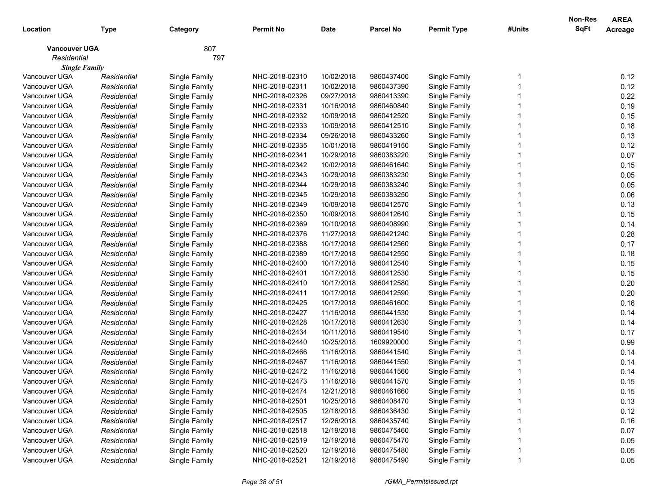| Location                            | <b>Type</b> | Category      | Permit No      | <b>Date</b> | <b>Parcel No</b> | <b>Permit Type</b> | #Units | <b>Non-Res</b><br>SqFt | <b>AREA</b><br>Acreage |
|-------------------------------------|-------------|---------------|----------------|-------------|------------------|--------------------|--------|------------------------|------------------------|
| <b>Vancouver UGA</b><br>Residential |             | 807<br>797    |                |             |                  |                    |        |                        |                        |
| <b>Single Family</b>                |             |               |                |             |                  |                    |        |                        |                        |
| Vancouver UGA                       | Residential | Single Family | NHC-2018-02310 | 10/02/2018  | 9860437400       | Single Family      |        |                        | 0.12                   |
| Vancouver UGA                       | Residential | Single Family | NHC-2018-02311 | 10/02/2018  | 9860437390       | Single Family      |        |                        | 0.12                   |
| Vancouver UGA                       | Residential | Single Family | NHC-2018-02326 | 09/27/2018  | 9860413390       | Single Family      |        |                        | 0.22                   |
| Vancouver UGA                       | Residential | Single Family | NHC-2018-02331 | 10/16/2018  | 9860460840       | Single Family      |        |                        | 0.19                   |
| Vancouver UGA                       | Residential | Single Family | NHC-2018-02332 | 10/09/2018  | 9860412520       | Single Family      |        |                        | 0.15                   |
| Vancouver UGA                       | Residential | Single Family | NHC-2018-02333 | 10/09/2018  | 9860412510       | Single Family      |        |                        | 0.18                   |
| Vancouver UGA                       | Residential | Single Family | NHC-2018-02334 | 09/26/2018  | 9860433260       | Single Family      |        |                        | 0.13                   |
| Vancouver UGA                       | Residential | Single Family | NHC-2018-02335 | 10/01/2018  | 9860419150       | Single Family      |        |                        | 0.12                   |
| Vancouver UGA                       | Residential | Single Family | NHC-2018-02341 | 10/29/2018  | 9860383220       | Single Family      |        |                        | 0.07                   |
| Vancouver UGA                       | Residential | Single Family | NHC-2018-02342 | 10/02/2018  | 9860461640       | Single Family      |        |                        | 0.15                   |
| Vancouver UGA                       | Residential | Single Family | NHC-2018-02343 | 10/29/2018  | 9860383230       | Single Family      |        |                        | 0.05                   |
| Vancouver UGA                       | Residential | Single Family | NHC-2018-02344 | 10/29/2018  | 9860383240       | Single Family      |        |                        | 0.05                   |
| Vancouver UGA                       | Residential | Single Family | NHC-2018-02345 | 10/29/2018  | 9860383250       | Single Family      |        |                        | 0.06                   |
| Vancouver UGA                       | Residential | Single Family | NHC-2018-02349 | 10/09/2018  | 9860412570       | Single Family      |        |                        | 0.13                   |
| Vancouver UGA                       | Residential | Single Family | NHC-2018-02350 | 10/09/2018  | 9860412640       | Single Family      |        |                        | 0.15                   |
| Vancouver UGA                       | Residential | Single Family | NHC-2018-02369 | 10/10/2018  | 9860408990       | Single Family      |        |                        | 0.14                   |
| Vancouver UGA                       | Residential | Single Family | NHC-2018-02376 | 11/27/2018  | 9860421240       | Single Family      |        |                        | 0.28                   |
| Vancouver UGA                       | Residential | Single Family | NHC-2018-02388 | 10/17/2018  | 9860412560       | Single Family      |        |                        | 0.17                   |
| Vancouver UGA                       | Residential | Single Family | NHC-2018-02389 | 10/17/2018  | 9860412550       | Single Family      |        |                        | 0.18                   |
| Vancouver UGA                       | Residential | Single Family | NHC-2018-02400 | 10/17/2018  | 9860412540       | Single Family      |        |                        | 0.15                   |
| Vancouver UGA                       | Residential | Single Family | NHC-2018-02401 | 10/17/2018  | 9860412530       | Single Family      |        |                        | 0.15                   |
| Vancouver UGA                       | Residential | Single Family | NHC-2018-02410 | 10/17/2018  | 9860412580       | Single Family      |        |                        | 0.20                   |
| Vancouver UGA                       | Residential | Single Family | NHC-2018-02411 | 10/17/2018  | 9860412590       | Single Family      |        |                        | 0.20                   |
| Vancouver UGA                       | Residential | Single Family | NHC-2018-02425 | 10/17/2018  | 9860461600       | Single Family      |        |                        | 0.16                   |
| Vancouver UGA                       | Residential | Single Family | NHC-2018-02427 | 11/16/2018  | 9860441530       | Single Family      |        |                        | 0.14                   |
| Vancouver UGA                       | Residential | Single Family | NHC-2018-02428 | 10/17/2018  | 9860412630       | Single Family      |        |                        | 0.14                   |
| Vancouver UGA                       | Residential | Single Family | NHC-2018-02434 | 10/11/2018  | 9860419540       | Single Family      |        |                        | 0.17                   |
| Vancouver UGA                       | Residential | Single Family | NHC-2018-02440 | 10/25/2018  | 1609920000       | Single Family      |        |                        | 0.99                   |
| Vancouver UGA                       | Residential | Single Family | NHC-2018-02466 | 11/16/2018  | 9860441540       | Single Family      |        |                        | 0.14                   |
| Vancouver UGA                       | Residential | Single Family | NHC-2018-02467 | 11/16/2018  | 9860441550       | Single Family      |        |                        | 0.14                   |
| Vancouver UGA                       | Residential | Single Family | NHC-2018-02472 | 11/16/2018  | 9860441560       | Single Family      |        |                        | 0.14                   |
| Vancouver UGA                       | Residential | Single Family | NHC-2018-02473 | 11/16/2018  | 9860441570       | Single Family      |        |                        | 0.15                   |
| Vancouver UGA                       | Residential | Single Family | NHC-2018-02474 | 12/21/2018  | 9860461660       | Single Family      |        |                        | 0.15                   |
| Vancouver UGA                       | Residential | Single Family | NHC-2018-02501 | 10/25/2018  | 9860408470       | Single Family      |        |                        | 0.13                   |
| Vancouver UGA                       | Residential | Single Family | NHC-2018-02505 | 12/18/2018  | 9860436430       | Single Family      |        |                        | 0.12                   |
| Vancouver UGA                       | Residential | Single Family | NHC-2018-02517 | 12/26/2018  | 9860435740       | Single Family      |        |                        | 0.16                   |
| Vancouver UGA                       | Residential | Single Family | NHC-2018-02518 | 12/19/2018  | 9860475460       | Single Family      |        |                        | 0.07                   |
| Vancouver UGA                       | Residential | Single Family | NHC-2018-02519 | 12/19/2018  | 9860475470       | Single Family      |        |                        | 0.05                   |
| Vancouver UGA                       | Residential | Single Family | NHC-2018-02520 | 12/19/2018  | 9860475480       | Single Family      |        |                        | 0.05                   |
| Vancouver UGA                       | Residential | Single Family | NHC-2018-02521 | 12/19/2018  | 9860475490       | Single Family      |        |                        | 0.05                   |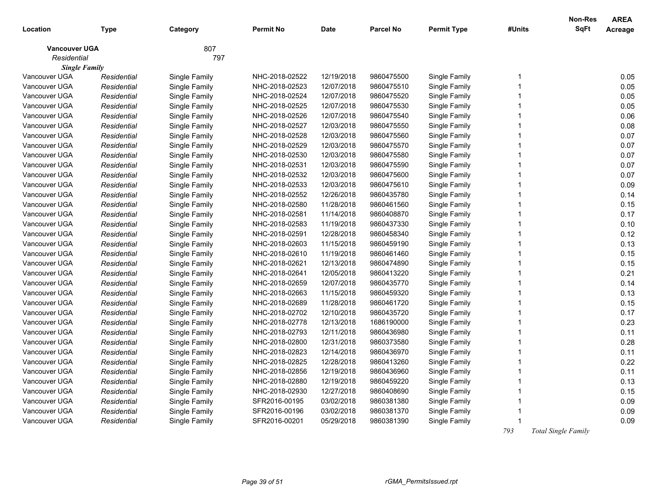| Location                            | Type        | Category      | <b>Permit No</b> | <b>Date</b> | <b>Parcel No</b> | <b>Permit Type</b> | #Units       | <b>Non-Res</b><br><b>SqFt</b> | <b>AREA</b><br>Acreage |
|-------------------------------------|-------------|---------------|------------------|-------------|------------------|--------------------|--------------|-------------------------------|------------------------|
| <b>Vancouver UGA</b><br>Residential |             | 807<br>797    |                  |             |                  |                    |              |                               |                        |
| <b>Single Family</b>                |             |               |                  |             |                  |                    |              |                               |                        |
| Vancouver UGA                       | Residential | Single Family | NHC-2018-02522   | 12/19/2018  | 9860475500       | Single Family      | 1            |                               | 0.05                   |
| Vancouver UGA                       | Residential | Single Family | NHC-2018-02523   | 12/07/2018  | 9860475510       | Single Family      | 1            |                               | 0.05                   |
| Vancouver UGA                       | Residential | Single Family | NHC-2018-02524   | 12/07/2018  | 9860475520       | Single Family      | $\mathbf{1}$ |                               | 0.05                   |
| Vancouver UGA                       | Residential | Single Family | NHC-2018-02525   | 12/07/2018  | 9860475530       | Single Family      | 1            |                               | 0.05                   |
| Vancouver UGA                       | Residential | Single Family | NHC-2018-02526   | 12/07/2018  | 9860475540       | Single Family      | 1            |                               | 0.06                   |
| Vancouver UGA                       | Residential | Single Family | NHC-2018-02527   | 12/03/2018  | 9860475550       | Single Family      | 1            |                               | 0.08                   |
| Vancouver UGA                       | Residential | Single Family | NHC-2018-02528   | 12/03/2018  | 9860475560       | Single Family      | $\mathbf{1}$ |                               | 0.07                   |
| Vancouver UGA                       | Residential | Single Family | NHC-2018-02529   | 12/03/2018  | 9860475570       | Single Family      | 1            |                               | 0.07                   |
| Vancouver UGA                       | Residential | Single Family | NHC-2018-02530   | 12/03/2018  | 9860475580       | Single Family      | 1            |                               | 0.07                   |
| Vancouver UGA                       | Residential | Single Family | NHC-2018-02531   | 12/03/2018  | 9860475590       | Single Family      | 1            |                               | 0.07                   |
| Vancouver UGA                       | Residential | Single Family | NHC-2018-02532   | 12/03/2018  | 9860475600       | Single Family      | $\mathbf{1}$ |                               | 0.07                   |
| Vancouver UGA                       | Residential | Single Family | NHC-2018-02533   | 12/03/2018  | 9860475610       | Single Family      | 1            |                               | 0.09                   |
| Vancouver UGA                       | Residential | Single Family | NHC-2018-02552   | 12/26/2018  | 9860435780       | Single Family      | 1            |                               | 0.14                   |
| Vancouver UGA                       | Residential | Single Family | NHC-2018-02580   | 11/28/2018  | 9860461560       | Single Family      | 1            |                               | 0.15                   |
| Vancouver UGA                       | Residential | Single Family | NHC-2018-02581   | 11/14/2018  | 9860408870       | Single Family      | $\mathbf{1}$ |                               | 0.17                   |
| Vancouver UGA                       | Residential | Single Family | NHC-2018-02583   | 11/19/2018  | 9860437330       | Single Family      | 1            |                               | 0.10                   |
| Vancouver UGA                       | Residential | Single Family | NHC-2018-02591   | 12/28/2018  | 9860458340       | Single Family      | 1            |                               | 0.12                   |
| Vancouver UGA                       | Residential | Single Family | NHC-2018-02603   | 11/15/2018  | 9860459190       | Single Family      | 1            |                               | 0.13                   |
| Vancouver UGA                       | Residential | Single Family | NHC-2018-02610   | 11/19/2018  | 9860461460       | Single Family      | $\mathbf{1}$ |                               | 0.15                   |
| Vancouver UGA                       | Residential | Single Family | NHC-2018-02621   | 12/13/2018  | 9860474890       | Single Family      | 1            |                               | 0.15                   |
| Vancouver UGA                       | Residential | Single Family | NHC-2018-02641   | 12/05/2018  | 9860413220       | Single Family      | 1            |                               | 0.21                   |
| Vancouver UGA                       | Residential | Single Family | NHC-2018-02659   | 12/07/2018  | 9860435770       | Single Family      | 1            |                               | 0.14                   |
| Vancouver UGA                       | Residential | Single Family | NHC-2018-02663   | 11/15/2018  | 9860459320       | Single Family      | $\mathbf{1}$ |                               | 0.13                   |
| Vancouver UGA                       | Residential | Single Family | NHC-2018-02689   | 11/28/2018  | 9860461720       | Single Family      | 1            |                               | 0.15                   |
| Vancouver UGA                       | Residential | Single Family | NHC-2018-02702   | 12/10/2018  | 9860435720       | Single Family      | 1            |                               | 0.17                   |
| Vancouver UGA                       | Residential | Single Family | NHC-2018-02778   | 12/13/2018  | 1686190000       | Single Family      | 1            |                               | 0.23                   |
| Vancouver UGA                       | Residential | Single Family | NHC-2018-02793   | 12/11/2018  | 9860436980       | Single Family      | 1            |                               | 0.11                   |
| Vancouver UGA                       | Residential | Single Family | NHC-2018-02800   | 12/31/2018  | 9860373580       | Single Family      | 1            |                               | 0.28                   |
| Vancouver UGA                       | Residential | Single Family | NHC-2018-02823   | 12/14/2018  | 9860436970       | Single Family      | 1            |                               | 0.11                   |
| Vancouver UGA                       | Residential | Single Family | NHC-2018-02825   | 12/28/2018  | 9860413260       | Single Family      | 1            |                               | 0.22                   |
| Vancouver UGA                       | Residential | Single Family | NHC-2018-02856   | 12/19/2018  | 9860436960       | Single Family      | $\mathbf 1$  |                               | 0.11                   |
| Vancouver UGA                       | Residential | Single Family | NHC-2018-02880   | 12/19/2018  | 9860459220       | Single Family      | 1            |                               | 0.13                   |
| Vancouver UGA                       | Residential | Single Family | NHC-2018-02930   | 12/27/2018  | 9860408690       | Single Family      | 1            |                               | 0.15                   |
| Vancouver UGA                       | Residential | Single Family | SFR2016-00195    | 03/02/2018  | 9860381380       | Single Family      |              |                               | 0.09                   |
| Vancouver UGA                       | Residential | Single Family | SFR2016-00196    | 03/02/2018  | 9860381370       | Single Family      | 1            |                               | 0.09                   |
| Vancouver UGA                       | Residential | Single Family | SFR2016-00201    | 05/29/2018  | 9860381390       | Single Family      |              |                               | 0.09                   |
|                                     |             |               |                  |             |                  |                    | 793          | Total Single Family           |                        |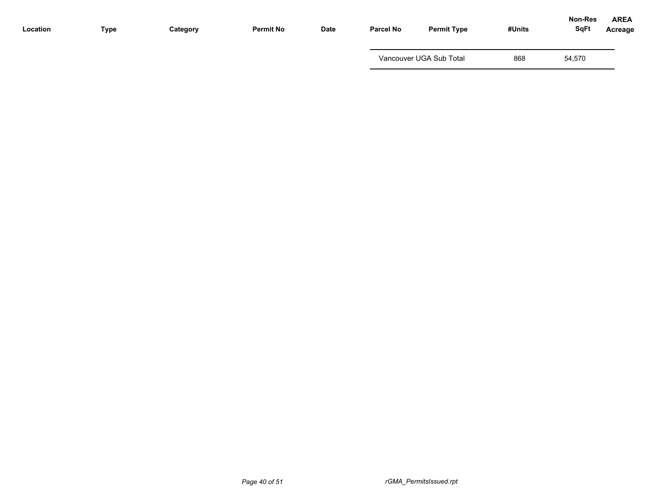| Location | Type | Category | <b>Permit No</b> | Date | <b>Parcel No</b> | <b>Permit Type</b>      | #Units | Non-Res<br><b>SqFt</b> | <b>AREA</b><br>Acreage |
|----------|------|----------|------------------|------|------------------|-------------------------|--------|------------------------|------------------------|
|          |      |          |                  |      |                  | Vancouver UGA Sub Total | 868    | 54,570                 |                        |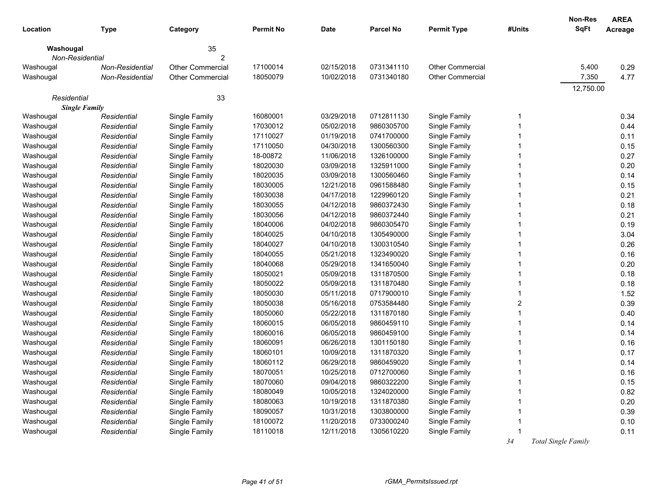| Location        | <b>Type</b>          | Category         | <b>Permit No</b> | <b>Date</b> | <b>Parcel No</b> | <b>Permit Type</b>      | #Units | <b>Non-Res</b><br><b>SqFt</b> | <b>AREA</b><br>Acreage |
|-----------------|----------------------|------------------|------------------|-------------|------------------|-------------------------|--------|-------------------------------|------------------------|
| Washougal       |                      | 35               |                  |             |                  |                         |        |                               |                        |
| Non-Residential |                      | 2                |                  |             |                  |                         |        |                               |                        |
| Washougal       | Non-Residential      | Other Commercial | 17100014         | 02/15/2018  | 0731341110       | <b>Other Commercial</b> |        | 5,400                         | 0.29                   |
| Washougal       | Non-Residential      | Other Commercial | 18050079         | 10/02/2018  | 0731340180       | Other Commercial        |        | 7,350                         | 4.77                   |
| Residential     |                      | 33               |                  |             |                  |                         |        | 12,750.00                     |                        |
|                 | <b>Single Family</b> |                  |                  |             |                  |                         |        |                               |                        |
| Washougal       | Residential          | Single Family    | 16080001         | 03/29/2018  | 0712811130       | Single Family           |        |                               | 0.34                   |
| Washougal       | Residential          | Single Family    | 17030012         | 05/02/2018  | 9860305700       | Single Family           |        |                               | 0.44                   |
| Washougal       | Residential          | Single Family    | 17110027         | 01/19/2018  | 0741700000       | Single Family           |        |                               | 0.11                   |
| Washougal       | Residential          | Single Family    | 17110050         | 04/30/2018  | 1300560300       | Single Family           |        |                               | 0.15                   |
| Washougal       | Residential          | Single Family    | 18-00872         | 11/06/2018  | 1326100000       | Single Family           |        |                               | 0.27                   |
| Washougal       | Residential          | Single Family    | 18020030         | 03/09/2018  | 1325911000       | Single Family           |        |                               | 0.20                   |
| Washougal       | Residential          | Single Family    | 18020035         | 03/09/2018  | 1300560460       | Single Family           |        |                               | 0.14                   |
| Washougal       | Residential          | Single Family    | 18030005         | 12/21/2018  | 0961588480       | Single Family           |        |                               | 0.15                   |
| Washougal       | Residential          | Single Family    | 18030038         | 04/17/2018  | 1229960120       | Single Family           |        |                               | 0.21                   |
| Washougal       | Residential          | Single Family    | 18030055         | 04/12/2018  | 9860372430       | Single Family           |        |                               | 0.18                   |
| Washougal       | Residential          | Single Family    | 18030056         | 04/12/2018  | 9860372440       | Single Family           |        |                               | 0.21                   |
| Washougal       | Residential          | Single Family    | 18040006         | 04/02/2018  | 9860305470       | Single Family           |        |                               | 0.19                   |
| Washougal       | Residential          | Single Family    | 18040025         | 04/10/2018  | 1305490000       | Single Family           |        |                               | 3.04                   |
| Washougal       | Residential          | Single Family    | 18040027         | 04/10/2018  | 1300310540       | Single Family           |        |                               | 0.26                   |
| Washougal       | Residential          | Single Family    | 18040055         | 05/21/2018  | 1323490020       | Single Family           |        |                               | 0.16                   |
| Washougal       | Residential          | Single Family    | 18040068         | 05/29/2018  | 1341650040       | Single Family           |        |                               | 0.20                   |
| Washougal       | Residential          | Single Family    | 18050021         | 05/09/2018  | 1311870500       | Single Family           |        |                               | 0.18                   |
| Washougal       | Residential          | Single Family    | 18050022         | 05/09/2018  | 1311870480       | Single Family           |        |                               | 0.18                   |
| Washougal       | Residential          | Single Family    | 18050030         | 05/11/2018  | 0717900010       | Single Family           |        |                               | 1.52                   |
| Washougal       | Residential          | Single Family    | 18050038         | 05/16/2018  | 0753584480       | Single Family           | 2      |                               | 0.39                   |
| Washougal       | Residential          | Single Family    | 18050060         | 05/22/2018  | 1311870180       | Single Family           |        |                               | 0.40                   |
| Washougal       | Residential          | Single Family    | 18060015         | 06/05/2018  | 9860459110       | Single Family           |        |                               | 0.14                   |
| Washougal       | Residential          | Single Family    | 18060016         | 06/05/2018  | 9860459100       | Single Family           |        |                               | 0.14                   |
| Washougal       | Residential          | Single Family    | 18060091         | 06/26/2018  | 1301150180       | Single Family           |        |                               | 0.16                   |
| Washougal       | Residential          | Single Family    | 18060101         | 10/09/2018  | 1311870320       | Single Family           |        |                               | 0.17                   |
| Washougal       | Residential          | Single Family    | 18060112         | 06/29/2018  | 9860459020       | Single Family           |        |                               | 0.14                   |
| Washougal       | Residential          | Single Family    | 18070051         | 10/25/2018  | 0712700060       | Single Family           |        |                               | 0.16                   |
| Washougal       | Residential          | Single Family    | 18070060         | 09/04/2018  | 9860322200       | Single Family           |        |                               | 0.15                   |
| Washougal       | Residential          | Single Family    | 18080049         | 10/05/2018  | 1324020000       | Single Family           |        |                               | 0.82                   |
| Washougal       | Residential          | Single Family    | 18080063         | 10/19/2018  | 1311870380       | Single Family           |        |                               | 0.20                   |
| Washougal       | Residential          | Single Family    | 18090057         | 10/31/2018  | 1303800000       | Single Family           |        |                               | 0.39                   |
| Washougal       | Residential          | Single Family    | 18100072         | 11/20/2018  | 0733000240       | Single Family           |        |                               | 0.10                   |
| Washougal       | Residential          | Single Family    | 18110018         | 12/11/2018  | 1305610220       | Single Family           |        |                               | 0.11                   |
|                 |                      |                  |                  |             |                  |                         | 34     | Total Single Family           |                        |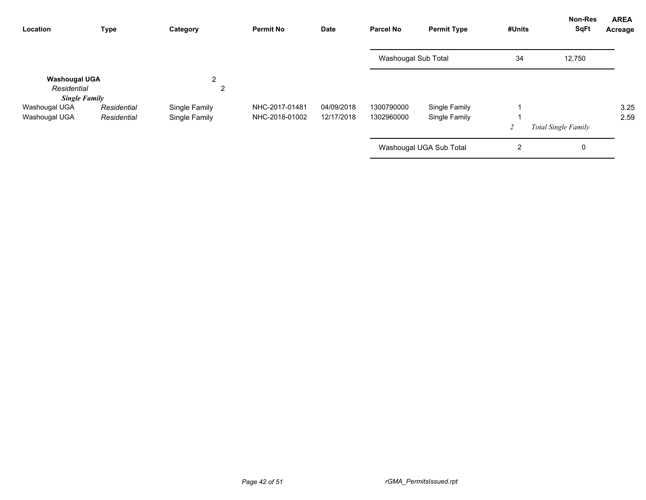| Location                                                    | <b>Type</b> | Category      | <b>Permit No</b> | Date       | <b>Parcel No</b>    | <b>Permit Type</b>      | #Units         | <b>Non-Res</b><br>SqFt     | <b>AREA</b><br>Acreage |
|-------------------------------------------------------------|-------------|---------------|------------------|------------|---------------------|-------------------------|----------------|----------------------------|------------------------|
|                                                             |             |               |                  |            | Washougal Sub Total |                         | 34             | 12,750                     |                        |
| <b>Washougal UGA</b><br>Residential<br><b>Single Family</b> |             | 2<br>2        |                  |            |                     |                         |                |                            |                        |
| Washougal UGA                                               | Residential | Single Family | NHC-2017-01481   | 04/09/2018 | 1300790000          | Single Family           |                |                            | 3.25                   |
| Washougal UGA                                               | Residential | Single Family | NHC-2018-01002   | 12/17/2018 | 1302960000          | Single Family           |                |                            | 2.59                   |
|                                                             |             |               |                  |            |                     |                         | $\overline{c}$ | <b>Total Single Family</b> |                        |
|                                                             |             |               |                  |            |                     | Washougal UGA Sub Total | 2              | 0                          |                        |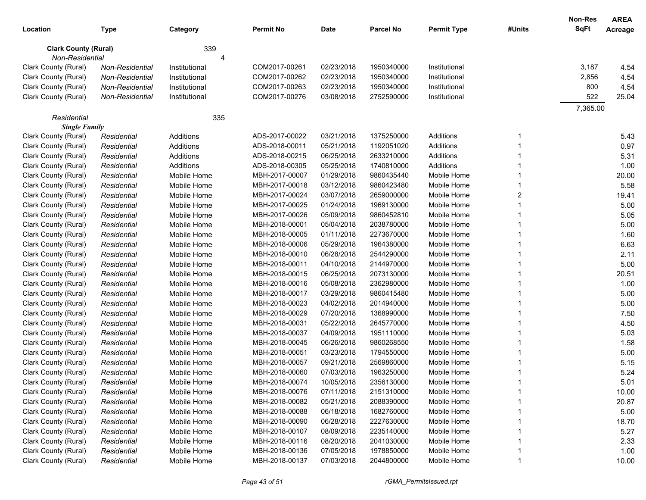|                             |                 |               |                  |             |                  |                    |        | <b>Non-Res</b> | <b>AREA</b> |
|-----------------------------|-----------------|---------------|------------------|-------------|------------------|--------------------|--------|----------------|-------------|
| Location                    | <b>Type</b>     | Category      | <b>Permit No</b> | <b>Date</b> | <b>Parcel No</b> | <b>Permit Type</b> | #Units | SqFt           | Acreage     |
| <b>Clark County (Rural)</b> |                 | 339           |                  |             |                  |                    |        |                |             |
| Non-Residential             |                 | 4             |                  |             |                  |                    |        |                |             |
| Clark County (Rural)        | Non-Residential | Institutional | COM2017-00261    | 02/23/2018  | 1950340000       | Institutional      |        | 3,187          | 4.54        |
| Clark County (Rural)        | Non-Residential | Institutional | COM2017-00262    | 02/23/2018  | 1950340000       | Institutional      |        | 2,856          | 4.54        |
| Clark County (Rural)        | Non-Residential | Institutional | COM2017-00263    | 02/23/2018  | 1950340000       | Institutional      |        | 800            | 4.54        |
| Clark County (Rural)        | Non-Residential | Institutional | COM2017-00276    | 03/08/2018  | 2752590000       | Institutional      |        | 522            | 25.04       |
|                             |                 |               |                  |             |                  |                    |        | 7,365.00       |             |
| Residential                 |                 | 335           |                  |             |                  |                    |        |                |             |
| <b>Single Family</b>        |                 |               |                  |             |                  |                    |        |                |             |
| Clark County (Rural)        | Residential     | Additions     | ADS-2017-00022   | 03/21/2018  | 1375250000       | Additions          |        |                | 5.43        |
| Clark County (Rural)        | Residential     | Additions     | ADS-2018-00011   | 05/21/2018  | 1192051020       | Additions          |        |                | 0.97        |
| Clark County (Rural)        | Residential     | Additions     | ADS-2018-00215   | 06/25/2018  | 2633210000       | Additions          |        |                | 5.31        |
| Clark County (Rural)        | Residential     | Additions     | ADS-2018-00305   | 05/25/2018  | 1740810000       | Additions          |        |                | 1.00        |
| Clark County (Rural)        | Residential     | Mobile Home   | MBH-2017-00007   | 01/29/2018  | 9860435440       | Mobile Home        |        |                | 20.00       |
| Clark County (Rural)        | Residential     | Mobile Home   | MBH-2017-00018   | 03/12/2018  | 9860423480       | Mobile Home        |        |                | 5.58        |
| Clark County (Rural)        | Residential     | Mobile Home   | MBH-2017-00024   | 03/07/2018  | 2659000000       | Mobile Home        | 2      |                | 19.41       |
| Clark County (Rural)        | Residential     | Mobile Home   | MBH-2017-00025   | 01/24/2018  | 1969130000       | Mobile Home        |        |                | 5.00        |
| Clark County (Rural)        | Residential     | Mobile Home   | MBH-2017-00026   | 05/09/2018  | 9860452810       | Mobile Home        |        |                | 5.05        |
| Clark County (Rural)        | Residential     | Mobile Home   | MBH-2018-00001   | 05/04/2018  | 2038780000       | Mobile Home        |        |                | 5.00        |
| Clark County (Rural)        | Residential     | Mobile Home   | MBH-2018-00005   | 01/11/2018  | 2273670000       | Mobile Home        |        |                | 1.60        |
| Clark County (Rural)        | Residential     | Mobile Home   | MBH-2018-00006   | 05/29/2018  | 1964380000       | Mobile Home        |        |                | 6.63        |
| Clark County (Rural)        | Residential     | Mobile Home   | MBH-2018-00010   | 06/28/2018  | 2544290000       | Mobile Home        |        |                | 2.11        |
| Clark County (Rural)        | Residential     | Mobile Home   | MBH-2018-00011   | 04/10/2018  | 2144970000       | Mobile Home        |        |                | 5.00        |
| Clark County (Rural)        | Residential     | Mobile Home   | MBH-2018-00015   | 06/25/2018  | 2073130000       | Mobile Home        |        |                | 20.51       |
| Clark County (Rural)        | Residential     | Mobile Home   | MBH-2018-00016   | 05/08/2018  | 2362980000       | Mobile Home        |        |                | 1.00        |
| Clark County (Rural)        | Residential     | Mobile Home   | MBH-2018-00017   | 03/29/2018  | 9860415480       | Mobile Home        |        |                | 5.00        |
| Clark County (Rural)        | Residential     | Mobile Home   | MBH-2018-00023   | 04/02/2018  | 2014940000       | Mobile Home        |        |                | 5.00        |
| Clark County (Rural)        | Residential     | Mobile Home   | MBH-2018-00029   | 07/20/2018  | 1368990000       | Mobile Home        |        |                | 7.50        |
| Clark County (Rural)        | Residential     | Mobile Home   | MBH-2018-00031   | 05/22/2018  | 2645770000       | Mobile Home        |        |                | 4.50        |
| Clark County (Rural)        | Residential     | Mobile Home   | MBH-2018-00037   | 04/09/2018  | 1951110000       | Mobile Home        |        |                | 5.03        |
| Clark County (Rural)        | Residential     | Mobile Home   | MBH-2018-00045   | 06/26/2018  | 9860268550       | Mobile Home        |        |                | 1.58        |
| Clark County (Rural)        | Residential     | Mobile Home   | MBH-2018-00051   | 03/23/2018  | 1794550000       | Mobile Home        |        |                | 5.00        |
| Clark County (Rural)        | Residential     | Mobile Home   | MBH-2018-00057   | 09/21/2018  | 2569860000       | Mobile Home        |        |                | 5.15        |
| Clark County (Rural)        | Residential     | Mobile Home   | MBH-2018-00060   | 07/03/2018  | 1963250000       | Mobile Home        |        |                | 5.24        |
| Clark County (Rural)        | Residential     | Mobile Home   | MBH-2018-00074   | 10/05/2018  | 2356130000       | Mobile Home        |        |                | 5.01        |
| Clark County (Rural)        | Residential     | Mobile Home   | MBH-2018-00076   | 07/11/2018  | 2151310000       | Mobile Home        |        |                | 10.00       |
| Clark County (Rural)        | Residential     | Mobile Home   | MBH-2018-00082   | 05/21/2018  | 2088390000       | Mobile Home        |        |                | 20.87       |
| Clark County (Rural)        | Residential     | Mobile Home   | MBH-2018-00088   | 06/18/2018  | 1682760000       | Mobile Home        |        |                | 5.00        |
| Clark County (Rural)        | Residential     | Mobile Home   | MBH-2018-00090   | 06/28/2018  | 2227630000       | Mobile Home        |        |                | 18.70       |
| Clark County (Rural)        | Residential     | Mobile Home   | MBH-2018-00107   | 08/09/2018  | 2235140000       | Mobile Home        |        |                | 5.27        |
| Clark County (Rural)        | Residential     | Mobile Home   | MBH-2018-00116   | 08/20/2018  | 2041030000       | Mobile Home        |        |                | 2.33        |
| Clark County (Rural)        | Residential     | Mobile Home   | MBH-2018-00136   | 07/05/2018  | 1978850000       | Mobile Home        |        |                | 1.00        |
| Clark County (Rural)        | Residential     | Mobile Home   | MBH-2018-00137   | 07/03/2018  | 2044800000       | Mobile Home        |        |                | 10.00       |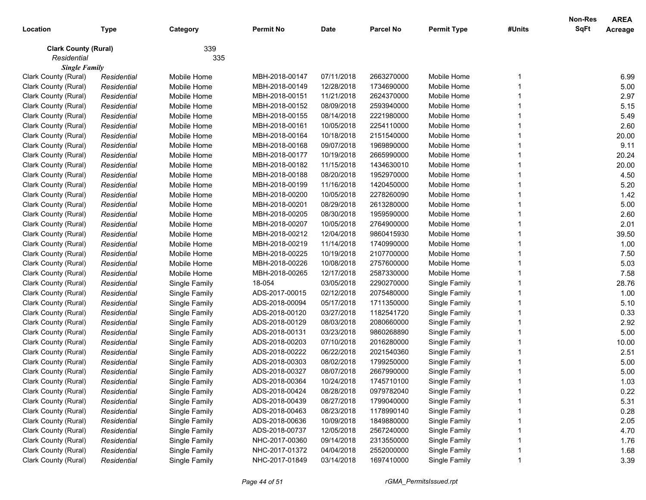|                             |             |               |                  |             |                  |                    |        | <b>Non-Res</b> | <b>AREA</b> |
|-----------------------------|-------------|---------------|------------------|-------------|------------------|--------------------|--------|----------------|-------------|
| Location                    | <b>Type</b> | Category      | <b>Permit No</b> | <b>Date</b> | <b>Parcel No</b> | <b>Permit Type</b> | #Units | SqFt           | Acreage     |
| <b>Clark County (Rural)</b> |             | 339           |                  |             |                  |                    |        |                |             |
| Residential                 |             | 335           |                  |             |                  |                    |        |                |             |
| <b>Single Family</b>        |             |               |                  |             |                  |                    |        |                |             |
| Clark County (Rural)        | Residential | Mobile Home   | MBH-2018-00147   | 07/11/2018  | 2663270000       | Mobile Home        |        |                | 6.99        |
| Clark County (Rural)        | Residential | Mobile Home   | MBH-2018-00149   | 12/28/2018  | 1734690000       | Mobile Home        |        |                | 5.00        |
| Clark County (Rural)        | Residential | Mobile Home   | MBH-2018-00151   | 11/21/2018  | 2624370000       | Mobile Home        |        |                | 2.97        |
| Clark County (Rural)        | Residential | Mobile Home   | MBH-2018-00152   | 08/09/2018  | 2593940000       | Mobile Home        |        |                | 5.15        |
| Clark County (Rural)        | Residential | Mobile Home   | MBH-2018-00155   | 08/14/2018  | 2221980000       | Mobile Home        |        |                | 5.49        |
| Clark County (Rural)        | Residential | Mobile Home   | MBH-2018-00161   | 10/05/2018  | 2254110000       | Mobile Home        |        |                | 2.60        |
| Clark County (Rural)        | Residential | Mobile Home   | MBH-2018-00164   | 10/18/2018  | 2151540000       | Mobile Home        |        |                | 20.00       |
| Clark County (Rural)        | Residential | Mobile Home   | MBH-2018-00168   | 09/07/2018  | 1969890000       | Mobile Home        |        |                | 9.11        |
| Clark County (Rural)        | Residential | Mobile Home   | MBH-2018-00177   | 10/19/2018  | 2665990000       | Mobile Home        |        |                | 20.24       |
| Clark County (Rural)        | Residential | Mobile Home   | MBH-2018-00182   | 11/15/2018  | 1434630010       | Mobile Home        |        |                | 20.00       |
| Clark County (Rural)        | Residential | Mobile Home   | MBH-2018-00188   | 08/20/2018  | 1952970000       | Mobile Home        |        |                | 4.50        |
| Clark County (Rural)        | Residential | Mobile Home   | MBH-2018-00199   | 11/16/2018  | 1420450000       | Mobile Home        |        |                | 5.20        |
| Clark County (Rural)        | Residential | Mobile Home   | MBH-2018-00200   | 10/05/2018  | 2278260090       | Mobile Home        |        |                | 1.42        |
| Clark County (Rural)        | Residential | Mobile Home   | MBH-2018-00201   | 08/29/2018  | 2613280000       | Mobile Home        |        |                | 5.00        |
| Clark County (Rural)        | Residential | Mobile Home   | MBH-2018-00205   | 08/30/2018  | 1959590000       | Mobile Home        |        |                | 2.60        |
| Clark County (Rural)        | Residential | Mobile Home   | MBH-2018-00207   | 10/05/2018  | 2764900000       | Mobile Home        |        |                | 2.01        |
| Clark County (Rural)        | Residential | Mobile Home   | MBH-2018-00212   | 12/04/2018  | 9860415930       | Mobile Home        |        |                | 39.50       |
| Clark County (Rural)        | Residential | Mobile Home   | MBH-2018-00219   | 11/14/2018  | 1740990000       | Mobile Home        |        |                | 1.00        |
| Clark County (Rural)        | Residential | Mobile Home   | MBH-2018-00225   | 10/19/2018  | 2107700000       | Mobile Home        |        |                | 7.50        |
| Clark County (Rural)        | Residential | Mobile Home   | MBH-2018-00226   | 10/08/2018  | 2757600000       | Mobile Home        |        |                | 5.03        |
| Clark County (Rural)        | Residential | Mobile Home   | MBH-2018-00265   | 12/17/2018  | 2587330000       | Mobile Home        |        |                | 7.58        |
| Clark County (Rural)        | Residential | Single Family | 18-054           | 03/05/2018  | 2290270000       | Single Family      |        |                | 28.76       |
| Clark County (Rural)        | Residential | Single Family | ADS-2017-00015   | 02/12/2018  | 2075480000       | Single Family      |        |                | 1.00        |
| Clark County (Rural)        | Residential | Single Family | ADS-2018-00094   | 05/17/2018  | 1711350000       | Single Family      |        |                | 5.10        |
| Clark County (Rural)        | Residential | Single Family | ADS-2018-00120   | 03/27/2018  | 1182541720       | Single Family      |        |                | 0.33        |
| Clark County (Rural)        | Residential | Single Family | ADS-2018-00129   | 08/03/2018  | 2080660000       | Single Family      |        |                | 2.92        |
| Clark County (Rural)        | Residential | Single Family | ADS-2018-00131   | 03/23/2018  | 9860268890       | Single Family      |        |                | 5.00        |
| Clark County (Rural)        | Residential | Single Family | ADS-2018-00203   | 07/10/2018  | 2016280000       | Single Family      |        |                | 10.00       |
| Clark County (Rural)        | Residential | Single Family | ADS-2018-00222   | 06/22/2018  | 2021540360       | Single Family      |        |                | 2.51        |
| Clark County (Rural)        | Residential | Single Family | ADS-2018-00303   | 08/02/2018  | 1799250000       | Single Family      |        |                | 5.00        |
| Clark County (Rural)        | Residential | Single Family | ADS-2018-00327   | 08/07/2018  | 2667990000       | Single Family      |        |                | 5.00        |
| Clark County (Rural)        | Residential | Single Family | ADS-2018-00364   | 10/24/2018  | 1745710100       | Single Family      |        |                | 1.03        |
| Clark County (Rural)        | Residential | Single Family | ADS-2018-00424   | 08/28/2018  | 0979782040       | Single Family      |        |                | 0.22        |
| Clark County (Rural)        | Residential | Single Family | ADS-2018-00439   | 08/27/2018  | 1799040000       | Single Family      |        |                | 5.31        |
| Clark County (Rural)        | Residential | Single Family | ADS-2018-00463   | 08/23/2018  | 1178990140       | Single Family      |        |                | 0.28        |
| Clark County (Rural)        | Residential | Single Family | ADS-2018-00636   | 10/09/2018  | 1849880000       | Single Family      |        |                | 2.05        |
| Clark County (Rural)        | Residential | Single Family | ADS-2018-00737   | 12/05/2018  | 2567240000       | Single Family      |        |                | 4.70        |
| Clark County (Rural)        | Residential | Single Family | NHC-2017-00360   | 09/14/2018  | 2313550000       | Single Family      |        |                | 1.76        |
| Clark County (Rural)        | Residential | Single Family | NHC-2017-01372   | 04/04/2018  | 2552000000       | Single Family      |        |                | 1.68        |
| Clark County (Rural)        | Residential | Single Family | NHC-2017-01849   | 03/14/2018  | 1697410000       | Single Family      |        |                | 3.39        |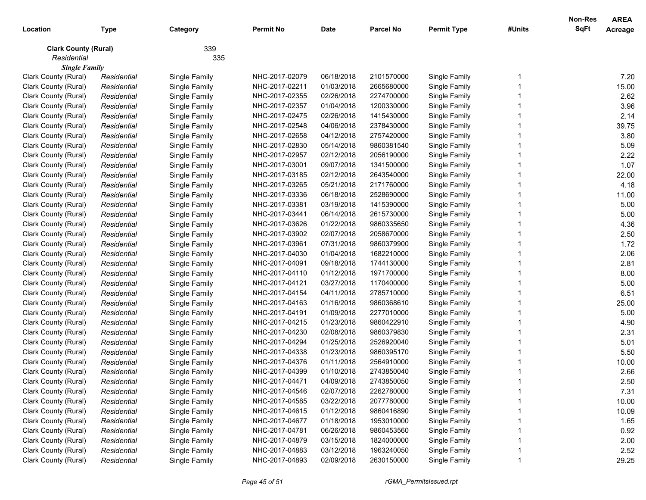| Location                    | <b>Type</b> | Category      | <b>Permit No</b> | <b>Date</b> | <b>Parcel No</b> | <b>Permit Type</b> | #Units | <b>Non-Res</b><br><b>SqFt</b> | <b>AREA</b><br>Acreage |
|-----------------------------|-------------|---------------|------------------|-------------|------------------|--------------------|--------|-------------------------------|------------------------|
| <b>Clark County (Rural)</b> |             | 339           |                  |             |                  |                    |        |                               |                        |
| Residential                 |             | 335           |                  |             |                  |                    |        |                               |                        |
| <b>Single Family</b>        |             |               |                  |             |                  |                    |        |                               |                        |
| Clark County (Rural)        | Residential | Single Family | NHC-2017-02079   | 06/18/2018  | 2101570000       | Single Family      |        |                               | 7.20                   |
| Clark County (Rural)        | Residential | Single Family | NHC-2017-02211   | 01/03/2018  | 2665680000       | Single Family      |        |                               | 15.00                  |
| Clark County (Rural)        | Residential | Single Family | NHC-2017-02355   | 02/26/2018  | 2274700000       | Single Family      |        |                               | 2.62                   |
| Clark County (Rural)        | Residential | Single Family | NHC-2017-02357   | 01/04/2018  | 1200330000       | Single Family      |        |                               | 3.96                   |
| Clark County (Rural)        | Residential | Single Family | NHC-2017-02475   | 02/26/2018  | 1415430000       | Single Family      |        |                               | 2.14                   |
| Clark County (Rural)        | Residential | Single Family | NHC-2017-02548   | 04/06/2018  | 2378430000       | Single Family      |        |                               | 39.75                  |
| Clark County (Rural)        | Residential | Single Family | NHC-2017-02658   | 04/12/2018  | 2757420000       | Single Family      |        |                               | 3.80                   |
| Clark County (Rural)        | Residential | Single Family | NHC-2017-02830   | 05/14/2018  | 9860381540       | Single Family      |        |                               | 5.09                   |
| Clark County (Rural)        | Residential | Single Family | NHC-2017-02957   | 02/12/2018  | 2056190000       | Single Family      |        |                               | 2.22                   |
| Clark County (Rural)        | Residential | Single Family | NHC-2017-03001   | 09/07/2018  | 1341500000       | Single Family      |        |                               | 1.07                   |
| Clark County (Rural)        | Residential | Single Family | NHC-2017-03185   | 02/12/2018  | 2643540000       | Single Family      |        |                               | 22.00                  |
| Clark County (Rural)        | Residential | Single Family | NHC-2017-03265   | 05/21/2018  | 2171760000       | Single Family      |        |                               | 4.18                   |
| Clark County (Rural)        | Residential | Single Family | NHC-2017-03336   | 06/18/2018  | 2528690000       | Single Family      |        |                               | 11.00                  |
| Clark County (Rural)        | Residential | Single Family | NHC-2017-03381   | 03/19/2018  | 1415390000       | Single Family      |        |                               | 5.00                   |
| Clark County (Rural)        | Residential | Single Family | NHC-2017-03441   | 06/14/2018  | 2615730000       | Single Family      |        |                               | 5.00                   |
| Clark County (Rural)        | Residential | Single Family | NHC-2017-03626   | 01/22/2018  | 9860335650       | Single Family      |        |                               | 4.36                   |
| Clark County (Rural)        | Residential | Single Family | NHC-2017-03902   | 02/07/2018  | 2058670000       | Single Family      |        |                               | 2.50                   |
| Clark County (Rural)        | Residential | Single Family | NHC-2017-03961   | 07/31/2018  | 9860379900       | Single Family      |        |                               | 1.72                   |
| Clark County (Rural)        | Residential | Single Family | NHC-2017-04030   | 01/04/2018  | 1682210000       | Single Family      |        |                               | 2.06                   |
| Clark County (Rural)        | Residential | Single Family | NHC-2017-04091   | 09/18/2018  | 1744130000       | Single Family      |        |                               | 2.81                   |
| Clark County (Rural)        | Residential | Single Family | NHC-2017-04110   | 01/12/2018  | 1971700000       | Single Family      |        |                               | 8.00                   |
| Clark County (Rural)        | Residential | Single Family | NHC-2017-04121   | 03/27/2018  | 1170400000       | Single Family      |        |                               | 5.00                   |
| Clark County (Rural)        | Residential | Single Family | NHC-2017-04154   | 04/11/2018  | 2785710000       | Single Family      |        |                               | 6.51                   |
| Clark County (Rural)        | Residential | Single Family | NHC-2017-04163   | 01/16/2018  | 9860368610       | Single Family      |        |                               | 25.00                  |
| Clark County (Rural)        | Residential | Single Family | NHC-2017-04191   | 01/09/2018  | 2277010000       | Single Family      |        |                               | 5.00                   |
| Clark County (Rural)        | Residential | Single Family | NHC-2017-04215   | 01/23/2018  | 9860422910       | Single Family      |        |                               | 4.90                   |
| Clark County (Rural)        | Residential | Single Family | NHC-2017-04230   | 02/08/2018  | 9860379830       | Single Family      |        |                               | 2.31                   |
| Clark County (Rural)        | Residential | Single Family | NHC-2017-04294   | 01/25/2018  | 2526920040       | Single Family      |        |                               | 5.01                   |
| Clark County (Rural)        | Residential | Single Family | NHC-2017-04338   | 01/23/2018  | 9860395170       | Single Family      |        |                               | 5.50                   |
| Clark County (Rural)        | Residential | Single Family | NHC-2017-04376   | 01/11/2018  | 2564910000       | Single Family      |        |                               | 10.00                  |
| Clark County (Rural)        | Residential | Single Family | NHC-2017-04399   | 01/10/2018  | 2743850040       | Single Family      |        |                               | 2.66                   |
| Clark County (Rural)        | Residential | Single Family | NHC-2017-04471   | 04/09/2018  | 2743850050       | Single Family      |        |                               | 2.50                   |
| Clark County (Rural)        | Residential | Single Family | NHC-2017-04546   | 02/07/2018  | 2262780000       | Single Family      |        |                               | 7.31                   |
| Clark County (Rural)        | Residential | Single Family | NHC-2017-04585   | 03/22/2018  | 2077780000       | Single Family      |        |                               | 10.00                  |
| Clark County (Rural)        | Residential | Single Family | NHC-2017-04615   | 01/12/2018  | 9860416890       | Single Family      |        |                               | 10.09                  |
| Clark County (Rural)        | Residential | Single Family | NHC-2017-04677   | 01/18/2018  | 1953010000       | Single Family      |        |                               | 1.65                   |
| Clark County (Rural)        | Residential | Single Family | NHC-2017-04781   | 06/26/2018  | 9860453560       | Single Family      |        |                               | 0.92                   |
| Clark County (Rural)        | Residential | Single Family | NHC-2017-04879   | 03/15/2018  | 1824000000       | Single Family      |        |                               | 2.00                   |
| Clark County (Rural)        | Residential | Single Family | NHC-2017-04883   | 03/12/2018  | 1963240050       | Single Family      |        |                               | 2.52                   |
| Clark County (Rural)        | Residential | Single Family | NHC-2017-04893   | 02/09/2018  | 2630150000       | Single Family      |        |                               | 29.25                  |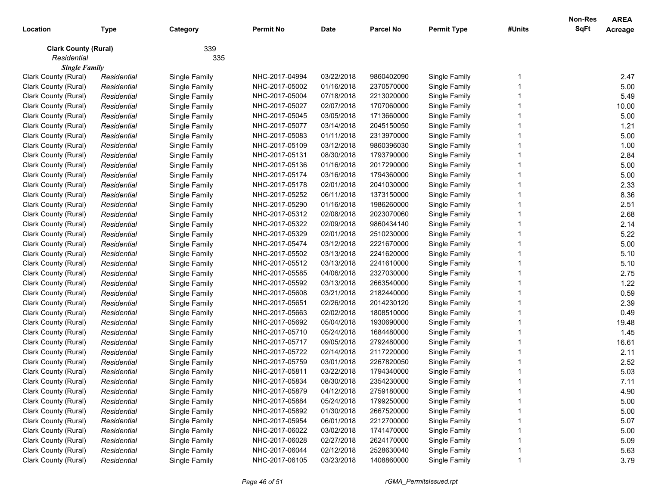| Location                    | <b>Type</b> | Category      | <b>Permit No</b> | <b>Date</b> | <b>Parcel No</b> | <b>Permit Type</b> | #Units | Non-Res<br><b>SqFt</b> | <b>AREA</b><br>Acreage |
|-----------------------------|-------------|---------------|------------------|-------------|------------------|--------------------|--------|------------------------|------------------------|
| <b>Clark County (Rural)</b> |             | 339           |                  |             |                  |                    |        |                        |                        |
| Residential                 |             | 335           |                  |             |                  |                    |        |                        |                        |
| <b>Single Family</b>        |             |               |                  |             |                  |                    |        |                        |                        |
| Clark County (Rural)        | Residential | Single Family | NHC-2017-04994   | 03/22/2018  | 9860402090       | Single Family      |        |                        | 2.47                   |
| Clark County (Rural)        | Residential | Single Family | NHC-2017-05002   | 01/16/2018  | 2370570000       | Single Family      |        |                        | 5.00                   |
| Clark County (Rural)        | Residential | Single Family | NHC-2017-05004   | 07/18/2018  | 2213020000       | Single Family      |        |                        | 5.49                   |
| Clark County (Rural)        | Residential | Single Family | NHC-2017-05027   | 02/07/2018  | 1707060000       | Single Family      |        |                        | 10.00                  |
| Clark County (Rural)        | Residential | Single Family | NHC-2017-05045   | 03/05/2018  | 1713660000       | Single Family      |        |                        | 5.00                   |
| Clark County (Rural)        | Residential | Single Family | NHC-2017-05077   | 03/14/2018  | 2045150050       | Single Family      |        |                        | 1.21                   |
| Clark County (Rural)        | Residential | Single Family | NHC-2017-05083   | 01/11/2018  | 2313970000       | Single Family      |        |                        | 5.00                   |
| Clark County (Rural)        | Residential | Single Family | NHC-2017-05109   | 03/12/2018  | 9860396030       | Single Family      |        |                        | 1.00                   |
| Clark County (Rural)        | Residential | Single Family | NHC-2017-05131   | 08/30/2018  | 1793790000       | Single Family      |        |                        | 2.84                   |
| Clark County (Rural)        | Residential | Single Family | NHC-2017-05136   | 01/16/2018  | 2017290000       | Single Family      |        |                        | 5.00                   |
| Clark County (Rural)        | Residential | Single Family | NHC-2017-05174   | 03/16/2018  | 1794360000       | Single Family      |        |                        | 5.00                   |
| Clark County (Rural)        | Residential | Single Family | NHC-2017-05178   | 02/01/2018  | 2041030000       | Single Family      |        |                        | 2.33                   |
| Clark County (Rural)        | Residential | Single Family | NHC-2017-05252   | 06/11/2018  | 1373150000       | Single Family      |        |                        | 8.36                   |
| Clark County (Rural)        | Residential | Single Family | NHC-2017-05290   | 01/16/2018  | 1986260000       | Single Family      |        |                        | 2.51                   |
| Clark County (Rural)        | Residential | Single Family | NHC-2017-05312   | 02/08/2018  | 2023070060       | Single Family      |        |                        | 2.68                   |
| Clark County (Rural)        | Residential | Single Family | NHC-2017-05322   | 02/09/2018  | 9860434140       | Single Family      |        |                        | 2.14                   |
| Clark County (Rural)        | Residential | Single Family | NHC-2017-05329   | 02/01/2018  | 2510230000       | Single Family      |        |                        | 5.22                   |
| Clark County (Rural)        | Residential | Single Family | NHC-2017-05474   | 03/12/2018  | 2221670000       | Single Family      |        |                        | 5.00                   |
| Clark County (Rural)        | Residential | Single Family | NHC-2017-05502   | 03/13/2018  | 2241620000       | Single Family      |        |                        | 5.10                   |
| Clark County (Rural)        | Residential | Single Family | NHC-2017-05512   | 03/13/2018  | 2241610000       | Single Family      |        |                        | 5.10                   |
| Clark County (Rural)        | Residential | Single Family | NHC-2017-05585   | 04/06/2018  | 2327030000       | Single Family      |        |                        | 2.75                   |
| Clark County (Rural)        | Residential | Single Family | NHC-2017-05592   | 03/13/2018  | 2663540000       | Single Family      |        |                        | 1.22                   |
| Clark County (Rural)        | Residential | Single Family | NHC-2017-05608   | 03/21/2018  | 2182440000       | Single Family      |        |                        | 0.59                   |
| Clark County (Rural)        | Residential | Single Family | NHC-2017-05651   | 02/26/2018  | 2014230120       | Single Family      |        |                        | 2.39                   |
| Clark County (Rural)        | Residential | Single Family | NHC-2017-05663   | 02/02/2018  | 1808510000       | Single Family      |        |                        | 0.49                   |
| Clark County (Rural)        | Residential | Single Family | NHC-2017-05692   | 05/04/2018  | 1930690000       | Single Family      |        |                        | 19.48                  |
| Clark County (Rural)        | Residential | Single Family | NHC-2017-05710   | 05/24/2018  | 1684480000       | Single Family      |        |                        | 1.45                   |
| Clark County (Rural)        | Residential | Single Family | NHC-2017-05717   | 09/05/2018  | 2792480000       | Single Family      |        |                        | 16.61                  |
| Clark County (Rural)        | Residential | Single Family | NHC-2017-05722   | 02/14/2018  | 2117220000       | Single Family      |        |                        | 2.11                   |
| Clark County (Rural)        | Residential | Single Family | NHC-2017-05759   | 03/01/2018  | 2267820050       | Single Family      |        |                        | 2.52                   |
| Clark County (Rural)        | Residential | Single Family | NHC-2017-05811   | 03/22/2018  | 1794340000       | Single Family      |        |                        | 5.03                   |
| Clark County (Rural)        | Residential | Single Family | NHC-2017-05834   | 08/30/2018  | 2354230000       | Single Family      |        |                        | 7.11                   |
| Clark County (Rural)        | Residential | Single Family | NHC-2017-05879   | 04/12/2018  | 2759180000       | Single Family      |        |                        | 4.90                   |
| Clark County (Rural)        | Residential | Single Family | NHC-2017-05884   | 05/24/2018  | 1799250000       | Single Family      |        |                        | 5.00                   |
| Clark County (Rural)        | Residential | Single Family | NHC-2017-05892   | 01/30/2018  | 2667520000       | Single Family      |        |                        | 5.00                   |
| Clark County (Rural)        | Residential | Single Family | NHC-2017-05954   | 06/01/2018  | 2212700000       | Single Family      |        |                        | 5.07                   |
| Clark County (Rural)        | Residential | Single Family | NHC-2017-06022   | 03/02/2018  | 1741470000       | Single Family      |        |                        | 5.00                   |
| Clark County (Rural)        | Residential | Single Family | NHC-2017-06028   | 02/27/2018  | 2624170000       | Single Family      |        |                        | 5.09                   |
| Clark County (Rural)        | Residential | Single Family | NHC-2017-06044   | 02/12/2018  | 2528630040       | Single Family      |        |                        | 5.63                   |
| Clark County (Rural)        | Residential | Single Family | NHC-2017-06105   | 03/23/2018  | 1408860000       | Single Family      |        |                        | 3.79                   |
|                             |             |               |                  |             |                  |                    |        |                        |                        |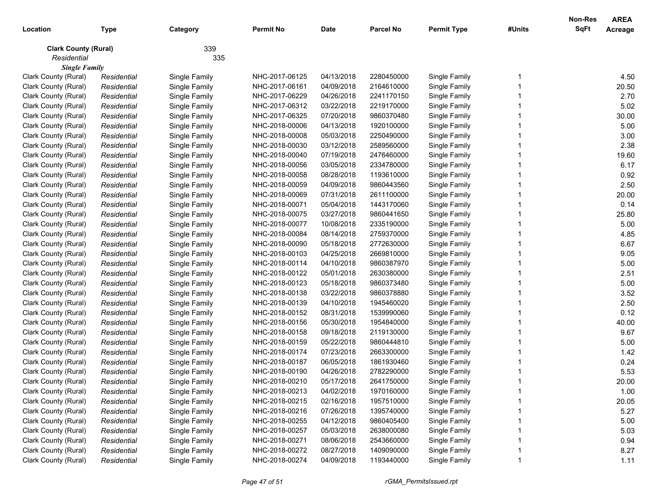| Location                    | <b>Type</b> | Category      | <b>Permit No</b> | <b>Date</b> | <b>Parcel No</b> | <b>Permit Type</b> | #Units | <b>Non-Res</b><br><b>SqFt</b> | <b>AREA</b><br>Acreage |
|-----------------------------|-------------|---------------|------------------|-------------|------------------|--------------------|--------|-------------------------------|------------------------|
| <b>Clark County (Rural)</b> |             | 339           |                  |             |                  |                    |        |                               |                        |
| Residential                 |             | 335           |                  |             |                  |                    |        |                               |                        |
| <b>Single Family</b>        |             |               |                  |             |                  |                    |        |                               |                        |
| Clark County (Rural)        | Residential | Single Family | NHC-2017-06125   | 04/13/2018  | 2280450000       | Single Family      |        |                               | 4.50                   |
| Clark County (Rural)        | Residential | Single Family | NHC-2017-06161   | 04/09/2018  | 2164610000       | Single Family      |        |                               | 20.50                  |
| Clark County (Rural)        | Residential | Single Family | NHC-2017-06229   | 04/26/2018  | 2241170150       | Single Family      |        |                               | 2.70                   |
| Clark County (Rural)        | Residential | Single Family | NHC-2017-06312   | 03/22/2018  | 2219170000       | Single Family      |        |                               | 5.02                   |
| Clark County (Rural)        | Residential | Single Family | NHC-2017-06325   | 07/20/2018  | 9860370480       | Single Family      |        |                               | 30.00                  |
| Clark County (Rural)        | Residential | Single Family | NHC-2018-00006   | 04/13/2018  | 1920100000       | Single Family      |        |                               | 5.00                   |
| Clark County (Rural)        | Residential | Single Family | NHC-2018-00008   | 05/03/2018  | 2250490000       | Single Family      |        |                               | 3.00                   |
| Clark County (Rural)        | Residential | Single Family | NHC-2018-00030   | 03/12/2018  | 2589560000       | Single Family      |        |                               | 2.38                   |
| Clark County (Rural)        | Residential | Single Family | NHC-2018-00040   | 07/19/2018  | 2476460000       | Single Family      |        |                               | 19.60                  |
| Clark County (Rural)        | Residential | Single Family | NHC-2018-00056   | 03/05/2018  | 2334780000       | Single Family      |        |                               | 6.17                   |
| Clark County (Rural)        | Residential | Single Family | NHC-2018-00058   | 08/28/2018  | 1193610000       | Single Family      |        |                               | 0.92                   |
| Clark County (Rural)        | Residential | Single Family | NHC-2018-00059   | 04/09/2018  | 9860443560       | Single Family      |        |                               | 2.50                   |
| Clark County (Rural)        | Residential | Single Family | NHC-2018-00069   | 07/31/2018  | 2611100000       | Single Family      |        |                               | 20.00                  |
| Clark County (Rural)        | Residential | Single Family | NHC-2018-00071   | 05/04/2018  | 1443170060       | Single Family      |        |                               | 0.14                   |
| Clark County (Rural)        | Residential | Single Family | NHC-2018-00075   | 03/27/2018  | 9860441650       | Single Family      |        |                               | 25.80                  |
| Clark County (Rural)        | Residential | Single Family | NHC-2018-00077   | 10/08/2018  | 2335190000       | Single Family      |        |                               | 5.00                   |
| Clark County (Rural)        | Residential | Single Family | NHC-2018-00084   | 08/14/2018  | 2759370000       | Single Family      |        |                               | 4.85                   |
| Clark County (Rural)        | Residential | Single Family | NHC-2018-00090   | 05/18/2018  | 2772630000       | Single Family      |        |                               | 6.67                   |
| Clark County (Rural)        | Residential | Single Family | NHC-2018-00103   | 04/25/2018  | 2669810000       | Single Family      |        |                               | 9.05                   |
| Clark County (Rural)        | Residential | Single Family | NHC-2018-00114   | 04/10/2018  | 9860387970       | Single Family      |        |                               | 5.00                   |
| Clark County (Rural)        | Residential | Single Family | NHC-2018-00122   | 05/01/2018  | 2630380000       | Single Family      |        |                               | 2.51                   |
| Clark County (Rural)        | Residential | Single Family | NHC-2018-00123   | 05/18/2018  | 9860373480       | Single Family      |        |                               | 5.00                   |
| Clark County (Rural)        | Residential | Single Family | NHC-2018-00138   | 03/22/2018  | 9860378880       | Single Family      |        |                               | 3.52                   |
| Clark County (Rural)        | Residential | Single Family | NHC-2018-00139   | 04/10/2018  | 1945460020       | Single Family      |        |                               | 2.50                   |
| Clark County (Rural)        | Residential | Single Family | NHC-2018-00152   | 08/31/2018  | 1539990060       | Single Family      |        |                               | 0.12                   |
| Clark County (Rural)        | Residential | Single Family | NHC-2018-00156   | 05/30/2018  | 1954840000       | Single Family      |        |                               | 40.00                  |
| Clark County (Rural)        | Residential | Single Family | NHC-2018-00158   | 09/18/2018  | 2119130000       | Single Family      |        |                               | 9.67                   |
| Clark County (Rural)        | Residential | Single Family | NHC-2018-00159   | 05/22/2018  | 9860444810       | Single Family      |        |                               | 5.00                   |
| Clark County (Rural)        | Residential | Single Family | NHC-2018-00174   | 07/23/2018  | 2663300000       | Single Family      |        |                               | 1.42                   |
| Clark County (Rural)        | Residential | Single Family | NHC-2018-00187   | 06/05/2018  | 1861930460       | Single Family      |        |                               | 0.24                   |
| Clark County (Rural)        | Residential | Single Family | NHC-2018-00190   | 04/26/2018  | 2782290000       | Single Family      |        |                               | 5.53                   |
| Clark County (Rural)        | Residential | Single Family | NHC-2018-00210   | 05/17/2018  | 2641750000       | Single Family      |        |                               | 20.00                  |
| Clark County (Rural)        | Residential | Single Family | NHC-2018-00213   | 04/02/2018  | 1970160000       | Single Family      |        |                               | 1.00                   |
| Clark County (Rural)        | Residential | Single Family | NHC-2018-00215   | 02/16/2018  | 1957510000       | Single Family      |        |                               | 20.05                  |
| Clark County (Rural)        | Residential | Single Family | NHC-2018-00216   | 07/26/2018  | 1395740000       | Single Family      |        |                               | 5.27                   |
| Clark County (Rural)        | Residential | Single Family | NHC-2018-00255   | 04/12/2018  | 9860405400       | Single Family      |        |                               | 5.00                   |
| Clark County (Rural)        | Residential | Single Family | NHC-2018-00257   | 05/03/2018  | 2638000080       | Single Family      |        |                               | 5.03                   |
| Clark County (Rural)        | Residential | Single Family | NHC-2018-00271   | 08/06/2018  | 2543660000       | Single Family      |        |                               | 0.94                   |
| Clark County (Rural)        | Residential | Single Family | NHC-2018-00272   | 08/27/2018  | 1409090000       | Single Family      |        |                               | 8.27                   |
| Clark County (Rural)        | Residential | Single Family | NHC-2018-00274   | 04/09/2018  | 1193440000       | Single Family      |        |                               | 1.11                   |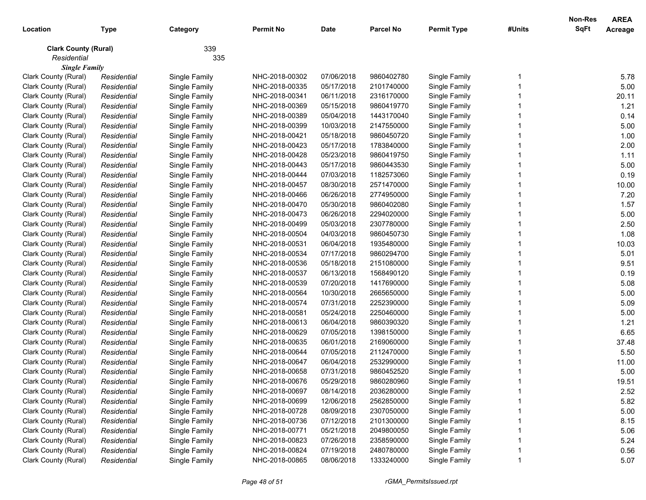| Location                    | <b>Type</b> | Category      | <b>Permit No</b> | <b>Date</b> | <b>Parcel No</b> | <b>Permit Type</b> | #Units | <b>Non-Res</b><br><b>SqFt</b> | <b>AREA</b><br>Acreage |
|-----------------------------|-------------|---------------|------------------|-------------|------------------|--------------------|--------|-------------------------------|------------------------|
| <b>Clark County (Rural)</b> |             | 339           |                  |             |                  |                    |        |                               |                        |
| Residential                 |             | 335           |                  |             |                  |                    |        |                               |                        |
| <b>Single Family</b>        |             |               |                  |             |                  |                    |        |                               |                        |
| Clark County (Rural)        | Residential | Single Family | NHC-2018-00302   | 07/06/2018  | 9860402780       | Single Family      |        |                               | 5.78                   |
| Clark County (Rural)        | Residential | Single Family | NHC-2018-00335   | 05/17/2018  | 2101740000       | Single Family      |        |                               | 5.00                   |
| Clark County (Rural)        | Residential | Single Family | NHC-2018-00341   | 06/11/2018  | 2316170000       | Single Family      |        |                               | 20.11                  |
| Clark County (Rural)        | Residential | Single Family | NHC-2018-00369   | 05/15/2018  | 9860419770       | Single Family      |        |                               | 1.21                   |
| Clark County (Rural)        | Residential | Single Family | NHC-2018-00389   | 05/04/2018  | 1443170040       | Single Family      |        |                               | 0.14                   |
| Clark County (Rural)        | Residential | Single Family | NHC-2018-00399   | 10/03/2018  | 2147550000       | Single Family      |        |                               | 5.00                   |
| Clark County (Rural)        | Residential | Single Family | NHC-2018-00421   | 05/18/2018  | 9860450720       | Single Family      |        |                               | 1.00                   |
| Clark County (Rural)        | Residential | Single Family | NHC-2018-00423   | 05/17/2018  | 1783840000       | Single Family      |        |                               | 2.00                   |
| Clark County (Rural)        | Residential | Single Family | NHC-2018-00428   | 05/23/2018  | 9860419750       | Single Family      |        |                               | 1.11                   |
| Clark County (Rural)        | Residential | Single Family | NHC-2018-00443   | 05/17/2018  | 9860443530       | Single Family      |        |                               | 5.00                   |
| Clark County (Rural)        | Residential | Single Family | NHC-2018-00444   | 07/03/2018  | 1182573060       | Single Family      |        |                               | 0.19                   |
| Clark County (Rural)        | Residential | Single Family | NHC-2018-00457   | 08/30/2018  | 2571470000       | Single Family      |        |                               | 10.00                  |
| Clark County (Rural)        | Residential | Single Family | NHC-2018-00466   | 06/26/2018  | 2774950000       | Single Family      |        |                               | 7.20                   |
| Clark County (Rural)        | Residential | Single Family | NHC-2018-00470   | 05/30/2018  | 9860402080       | Single Family      |        |                               | 1.57                   |
| Clark County (Rural)        | Residential | Single Family | NHC-2018-00473   | 06/26/2018  | 2294020000       | Single Family      |        |                               | 5.00                   |
| Clark County (Rural)        | Residential | Single Family | NHC-2018-00499   | 05/03/2018  | 2307780000       | Single Family      |        |                               | 2.50                   |
| Clark County (Rural)        | Residential | Single Family | NHC-2018-00504   | 04/03/2018  | 9860450730       | Single Family      |        |                               | 1.08                   |
| Clark County (Rural)        | Residential | Single Family | NHC-2018-00531   | 06/04/2018  | 1935480000       | Single Family      |        |                               | 10.03                  |
| Clark County (Rural)        | Residential | Single Family | NHC-2018-00534   | 07/17/2018  | 9860294700       | Single Family      |        |                               | 5.01                   |
| Clark County (Rural)        | Residential | Single Family | NHC-2018-00536   | 05/18/2018  | 2151080000       | Single Family      |        |                               | 9.51                   |
| Clark County (Rural)        | Residential | Single Family | NHC-2018-00537   | 06/13/2018  | 1568490120       | Single Family      |        |                               | 0.19                   |
| Clark County (Rural)        | Residential | Single Family | NHC-2018-00539   | 07/20/2018  | 1417690000       | Single Family      |        |                               | 5.08                   |
| Clark County (Rural)        | Residential | Single Family | NHC-2018-00564   | 10/30/2018  | 2665650000       | Single Family      |        |                               | 5.00                   |
| Clark County (Rural)        | Residential | Single Family | NHC-2018-00574   | 07/31/2018  | 2252390000       | Single Family      |        |                               | 5.09                   |
| Clark County (Rural)        | Residential | Single Family | NHC-2018-00581   | 05/24/2018  | 2250460000       | Single Family      |        |                               | 5.00                   |
| Clark County (Rural)        | Residential | Single Family | NHC-2018-00613   | 06/04/2018  | 9860390320       | Single Family      |        |                               | 1.21                   |
| Clark County (Rural)        | Residential | Single Family | NHC-2018-00629   | 07/05/2018  | 1398150000       | Single Family      |        |                               | 6.65                   |
| Clark County (Rural)        | Residential | Single Family | NHC-2018-00635   | 06/01/2018  | 2169060000       | Single Family      |        |                               | 37.48                  |
| Clark County (Rural)        | Residential | Single Family | NHC-2018-00644   | 07/05/2018  | 2112470000       | Single Family      |        |                               | 5.50                   |
| Clark County (Rural)        | Residential | Single Family | NHC-2018-00647   | 06/04/2018  | 2532990000       | Single Family      |        |                               | 11.00                  |
| Clark County (Rural)        | Residential | Single Family | NHC-2018-00658   | 07/31/2018  | 9860452520       | Single Family      |        |                               | 5.00                   |
| Clark County (Rural)        | Residential | Single Family | NHC-2018-00676   | 05/29/2018  | 9860280960       | Single Family      |        |                               | 19.51                  |
| Clark County (Rural)        | Residential | Single Family | NHC-2018-00697   | 08/14/2018  | 2036280000       | Single Family      |        |                               | 2.52                   |
| Clark County (Rural)        | Residential | Single Family | NHC-2018-00699   | 12/06/2018  | 2562850000       | Single Family      |        |                               | 5.82                   |
| Clark County (Rural)        | Residential | Single Family | NHC-2018-00728   | 08/09/2018  | 2307050000       | Single Family      |        |                               | 5.00                   |
| Clark County (Rural)        | Residential | Single Family | NHC-2018-00736   | 07/12/2018  | 2101300000       | Single Family      |        |                               | 8.15                   |
| Clark County (Rural)        | Residential | Single Family | NHC-2018-00771   | 05/21/2018  | 2049800050       | Single Family      |        |                               | 5.06                   |
| Clark County (Rural)        | Residential | Single Family | NHC-2018-00823   | 07/26/2018  | 2358590000       | Single Family      |        |                               | 5.24                   |
| Clark County (Rural)        | Residential | Single Family | NHC-2018-00824   | 07/19/2018  | 2480780000       | Single Family      |        |                               | 0.56                   |
| Clark County (Rural)        | Residential | Single Family | NHC-2018-00865   | 08/06/2018  | 1333240000       | Single Family      |        |                               | 5.07                   |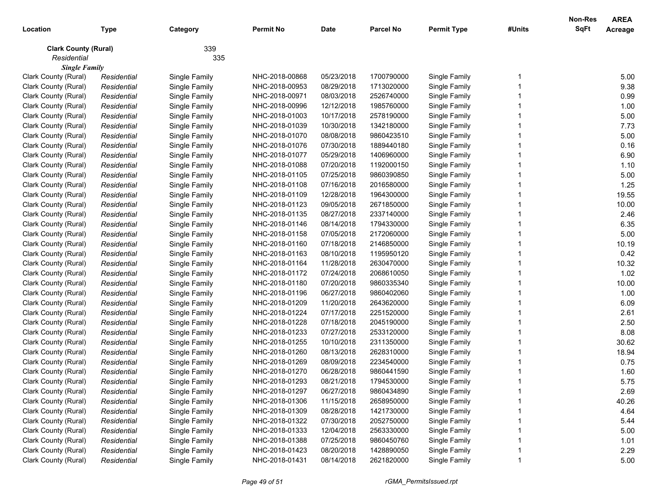|                             |             |               |                  |             |            |                    |        | <b>Non-Res</b> | <b>AREA</b>    |
|-----------------------------|-------------|---------------|------------------|-------------|------------|--------------------|--------|----------------|----------------|
| Location                    | Type        | Category      | <b>Permit No</b> | <b>Date</b> | Parcel No  | <b>Permit Type</b> | #Units | SqFt           | <b>Acreage</b> |
| <b>Clark County (Rural)</b> |             | 339           |                  |             |            |                    |        |                |                |
| Residential                 |             | 335           |                  |             |            |                    |        |                |                |
| <b>Single Family</b>        |             |               |                  |             |            |                    |        |                |                |
| Clark County (Rural)        | Residential | Single Family | NHC-2018-00868   | 05/23/2018  | 1700790000 | Single Family      |        |                | 5.00           |
| Clark County (Rural)        | Residential | Single Family | NHC-2018-00953   | 08/29/2018  | 1713020000 | Single Family      |        |                | 9.38           |
| Clark County (Rural)        | Residential | Single Family | NHC-2018-00971   | 08/03/2018  | 2526740000 | Single Family      |        |                | 0.99           |
| Clark County (Rural)        | Residential | Single Family | NHC-2018-00996   | 12/12/2018  | 1985760000 | Single Family      |        |                | 1.00           |
| Clark County (Rural)        | Residential | Single Family | NHC-2018-01003   | 10/17/2018  | 2578190000 | Single Family      |        |                | 5.00           |
| Clark County (Rural)        | Residential | Single Family | NHC-2018-01039   | 10/30/2018  | 1342180000 | Single Family      |        |                | 7.73           |
| Clark County (Rural)        | Residential | Single Family | NHC-2018-01070   | 08/08/2018  | 9860423510 | Single Family      |        |                | 5.00           |
| Clark County (Rural)        | Residential | Single Family | NHC-2018-01076   | 07/30/2018  | 1889440180 | Single Family      |        |                | 0.16           |
| Clark County (Rural)        | Residential | Single Family | NHC-2018-01077   | 05/29/2018  | 1406960000 | Single Family      |        |                | 6.90           |
| Clark County (Rural)        | Residential | Single Family | NHC-2018-01088   | 07/20/2018  | 1192000150 | Single Family      |        |                | 1.10           |
| Clark County (Rural)        | Residential | Single Family | NHC-2018-01105   | 07/25/2018  | 9860390850 | Single Family      |        |                | 5.00           |
| Clark County (Rural)        | Residential | Single Family | NHC-2018-01108   | 07/16/2018  | 2016580000 | Single Family      |        |                | 1.25           |
| Clark County (Rural)        | Residential | Single Family | NHC-2018-01109   | 12/28/2018  | 1964300000 | Single Family      |        |                | 19.55          |
| Clark County (Rural)        | Residential | Single Family | NHC-2018-01123   | 09/05/2018  | 2671850000 | Single Family      |        |                | 10.00          |
| Clark County (Rural)        | Residential | Single Family | NHC-2018-01135   | 08/27/2018  | 2337140000 | Single Family      |        |                | 2.46           |
| Clark County (Rural)        | Residential | Single Family | NHC-2018-01146   | 08/14/2018  | 1794330000 | Single Family      |        |                | 6.35           |
| Clark County (Rural)        | Residential | Single Family | NHC-2018-01158   | 07/05/2018  | 2172060000 | Single Family      |        |                | 5.00           |
| Clark County (Rural)        | Residential | Single Family | NHC-2018-01160   | 07/18/2018  | 2146850000 | Single Family      |        |                | 10.19          |
| Clark County (Rural)        | Residential | Single Family | NHC-2018-01163   | 08/10/2018  | 1195950120 | Single Family      |        |                | 0.42           |
| Clark County (Rural)        | Residential | Single Family | NHC-2018-01164   | 11/28/2018  | 2630470000 | Single Family      |        |                | 10.32          |
| Clark County (Rural)        | Residential | Single Family | NHC-2018-01172   | 07/24/2018  | 2068610050 | Single Family      |        |                | 1.02           |
| Clark County (Rural)        | Residential | Single Family | NHC-2018-01180   | 07/20/2018  | 9860335340 | Single Family      |        |                | 10.00          |
| Clark County (Rural)        | Residential | Single Family | NHC-2018-01196   | 06/27/2018  | 9860402060 | Single Family      |        |                | 1.00           |
| Clark County (Rural)        | Residential | Single Family | NHC-2018-01209   | 11/20/2018  | 2643620000 | Single Family      |        |                | 6.09           |
| Clark County (Rural)        | Residential | Single Family | NHC-2018-01224   | 07/17/2018  | 2251520000 | Single Family      |        |                | 2.61           |
| Clark County (Rural)        | Residential | Single Family | NHC-2018-01228   | 07/18/2018  | 2045190000 | Single Family      |        |                | 2.50           |
| Clark County (Rural)        | Residential | Single Family | NHC-2018-01233   | 07/27/2018  | 2533120000 | Single Family      |        |                | 8.08           |
| Clark County (Rural)        | Residential | Single Family | NHC-2018-01255   | 10/10/2018  | 2311350000 | Single Family      |        |                | 30.62          |
| Clark County (Rural)        | Residential | Single Family | NHC-2018-01260   | 08/13/2018  | 2628310000 | Single Family      |        |                | 18.94          |
| Clark County (Rural)        | Residential | Single Family | NHC-2018-01269   | 08/09/2018  | 2234540000 | Single Family      |        |                | 0.75           |
| Clark County (Rural)        | Residential | Single Family | NHC-2018-01270   | 06/28/2018  | 9860441590 | Single Family      |        |                | 1.60           |
| Clark County (Rural)        | Residential | Single Family | NHC-2018-01293   | 08/21/2018  | 1794530000 | Single Family      |        |                | 5.75           |
| Clark County (Rural)        | Residential | Single Family | NHC-2018-01297   | 06/27/2018  | 9860434890 | Single Family      |        |                | 2.69           |
| Clark County (Rural)        | Residential | Single Family | NHC-2018-01306   | 11/15/2018  | 2658950000 | Single Family      |        |                | 40.26          |
| Clark County (Rural)        | Residential | Single Family | NHC-2018-01309   | 08/28/2018  | 1421730000 | Single Family      |        |                | 4.64           |
| Clark County (Rural)        | Residential | Single Family | NHC-2018-01322   | 07/30/2018  | 2052750000 | Single Family      |        |                | 5.44           |
| Clark County (Rural)        | Residential | Single Family | NHC-2018-01333   | 12/04/2018  | 2563330000 | Single Family      |        |                | 5.00           |
| Clark County (Rural)        | Residential | Single Family | NHC-2018-01388   | 07/25/2018  | 9860450760 | Single Family      |        |                | 1.01           |
| Clark County (Rural)        |             | Single Family | NHC-2018-01423   | 08/20/2018  | 1428890050 | Single Family      |        |                | 2.29           |
|                             | Residential |               |                  |             |            |                    |        |                |                |
| Clark County (Rural)        | Residential | Single Family | NHC-2018-01431   | 08/14/2018  | 2621820000 | Single Family      |        |                | 5.00           |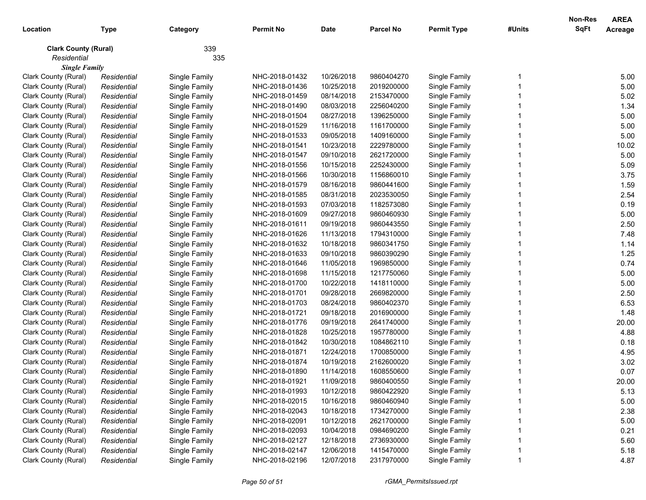|                             |             |               |                  |             |                  |                    |        | Non-Res | <b>AREA</b>    |
|-----------------------------|-------------|---------------|------------------|-------------|------------------|--------------------|--------|---------|----------------|
| Location                    | <b>Type</b> | Category      | <b>Permit No</b> | <b>Date</b> | <b>Parcel No</b> | <b>Permit Type</b> | #Units | SqFt    | <b>Acreage</b> |
| <b>Clark County (Rural)</b> |             | 339           |                  |             |                  |                    |        |         |                |
| Residential                 |             | 335           |                  |             |                  |                    |        |         |                |
| <b>Single Family</b>        |             |               |                  |             |                  |                    |        |         |                |
| Clark County (Rural)        | Residential | Single Family | NHC-2018-01432   | 10/26/2018  | 9860404270       | Single Family      |        |         | 5.00           |
| Clark County (Rural)        | Residential | Single Family | NHC-2018-01436   | 10/25/2018  | 2019200000       | Single Family      |        |         | 5.00           |
| Clark County (Rural)        | Residential | Single Family | NHC-2018-01459   | 08/14/2018  | 2153470000       | Single Family      |        |         | 5.02           |
| Clark County (Rural)        | Residential | Single Family | NHC-2018-01490   | 08/03/2018  | 2256040200       | Single Family      |        |         | 1.34           |
| Clark County (Rural)        | Residential | Single Family | NHC-2018-01504   | 08/27/2018  | 1396250000       | Single Family      |        |         | 5.00           |
| Clark County (Rural)        | Residential | Single Family | NHC-2018-01529   | 11/16/2018  | 1161700000       | Single Family      |        |         | 5.00           |
| Clark County (Rural)        | Residential | Single Family | NHC-2018-01533   | 09/05/2018  | 1409160000       | Single Family      |        |         | 5.00           |
| Clark County (Rural)        | Residential | Single Family | NHC-2018-01541   | 10/23/2018  | 2229780000       | Single Family      |        |         | 10.02          |
| Clark County (Rural)        | Residential | Single Family | NHC-2018-01547   | 09/10/2018  | 2621720000       | Single Family      |        |         | 5.00           |
| Clark County (Rural)        | Residential | Single Family | NHC-2018-01556   | 10/15/2018  | 2252430000       | Single Family      |        |         | 5.09           |
| Clark County (Rural)        | Residential | Single Family | NHC-2018-01566   | 10/30/2018  | 1156860010       | Single Family      |        |         | 3.75           |
| Clark County (Rural)        | Residential | Single Family | NHC-2018-01579   | 08/16/2018  | 9860441600       | Single Family      |        |         | 1.59           |
| Clark County (Rural)        | Residential | Single Family | NHC-2018-01585   | 08/31/2018  | 2023530050       | Single Family      |        |         | 2.54           |
| Clark County (Rural)        | Residential | Single Family | NHC-2018-01593   | 07/03/2018  | 1182573080       | Single Family      |        |         | 0.19           |
| Clark County (Rural)        | Residential | Single Family | NHC-2018-01609   | 09/27/2018  | 9860460930       | Single Family      |        |         | 5.00           |
| Clark County (Rural)        | Residential | Single Family | NHC-2018-01611   | 09/19/2018  | 9860443550       | Single Family      |        |         | 2.50           |
| Clark County (Rural)        | Residential | Single Family | NHC-2018-01626   | 11/13/2018  | 1794310000       | Single Family      |        |         | 7.48           |
| Clark County (Rural)        | Residential | Single Family | NHC-2018-01632   | 10/18/2018  | 9860341750       | Single Family      |        |         | 1.14           |
| Clark County (Rural)        | Residential | Single Family | NHC-2018-01633   | 09/10/2018  | 9860390290       | Single Family      |        |         | 1.25           |
| Clark County (Rural)        | Residential | Single Family | NHC-2018-01646   | 11/05/2018  | 1969850000       | Single Family      |        |         | 0.74           |
| Clark County (Rural)        | Residential | Single Family | NHC-2018-01698   | 11/15/2018  | 1217750060       | Single Family      |        |         | 5.00           |
| Clark County (Rural)        | Residential | Single Family | NHC-2018-01700   | 10/22/2018  | 1418110000       | Single Family      |        |         | 5.00           |
| Clark County (Rural)        | Residential | Single Family | NHC-2018-01701   | 09/28/2018  | 2669820000       | Single Family      |        |         | 2.50           |
| Clark County (Rural)        | Residential | Single Family | NHC-2018-01703   | 08/24/2018  | 9860402370       | Single Family      |        |         | 6.53           |
| Clark County (Rural)        | Residential | Single Family | NHC-2018-01721   | 09/18/2018  | 2016900000       | Single Family      |        |         | 1.48           |
| Clark County (Rural)        | Residential | Single Family | NHC-2018-01776   | 09/19/2018  | 2641740000       | Single Family      |        |         | 20.00          |
| Clark County (Rural)        | Residential | Single Family | NHC-2018-01828   | 10/25/2018  | 1957780000       | Single Family      |        |         | 4.88           |
| Clark County (Rural)        | Residential | Single Family | NHC-2018-01842   | 10/30/2018  | 1084862110       | Single Family      |        |         | 0.18           |
| Clark County (Rural)        | Residential | Single Family | NHC-2018-01871   | 12/24/2018  | 1700850000       | Single Family      |        |         | 4.95           |
| Clark County (Rural)        | Residential | Single Family | NHC-2018-01874   | 10/19/2018  | 2162600020       | Single Family      |        |         | 3.02           |
| Clark County (Rural)        | Residential | Single Family | NHC-2018-01890   | 11/14/2018  | 1608550600       | Single Family      |        |         | 0.07           |
| Clark County (Rural)        | Residential | Single Family | NHC-2018-01921   | 11/09/2018  | 9860400550       | Single Family      |        |         | 20.00          |
| Clark County (Rural)        | Residential | Single Family | NHC-2018-01993   | 10/12/2018  | 9860422920       | Single Family      |        |         | 5.13           |
| Clark County (Rural)        | Residential | Single Family | NHC-2018-02015   | 10/16/2018  | 9860460940       | Single Family      |        |         | 5.00           |
| Clark County (Rural)        | Residential | Single Family | NHC-2018-02043   | 10/18/2018  | 1734270000       | Single Family      |        |         | 2.38           |
| Clark County (Rural)        | Residential | Single Family | NHC-2018-02091   | 10/12/2018  | 2621700000       | Single Family      |        |         | 5.00           |
| Clark County (Rural)        | Residential | Single Family | NHC-2018-02093   | 10/04/2018  | 0984690200       | Single Family      |        |         | 0.21           |
| Clark County (Rural)        | Residential | Single Family | NHC-2018-02127   | 12/18/2018  | 2736930000       | Single Family      |        |         | 5.60           |
| Clark County (Rural)        | Residential | Single Family | NHC-2018-02147   | 12/06/2018  | 1415470000       | Single Family      |        |         | 5.18           |
| Clark County (Rural)        | Residential | Single Family | NHC-2018-02196   | 12/07/2018  | 2317970000       | Single Family      |        |         | 4.87           |